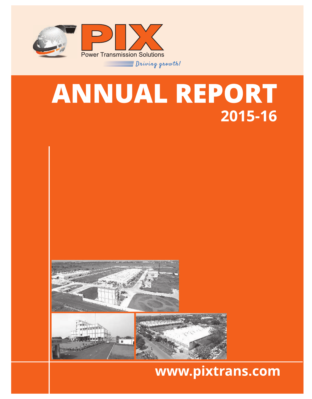

# ANNUAL REPORT 2015-16



 $\blacksquare$ 

# www.pixtrans.com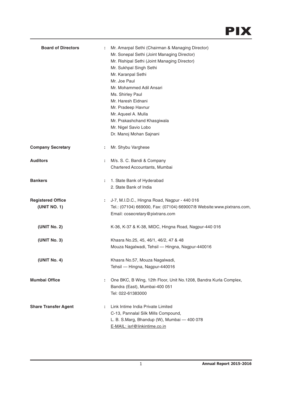| <b>Board of Directors</b>                | ÷. | Mr. Amarpal Sethi (Chairman & Managing Director)<br>Mr. Sonepal Sethi (Joint Managing Director)<br>Mr. Rishipal Sethi (Joint Managing Director)<br>Mr. Sukhpal Singh Sethi<br>Mr. Karanpal Sethi<br>Mr. Joe Paul<br>Mr. Mohammed Adil Ansari<br>Ms. Shirley Paul<br>Mr. Haresh Eidnani<br>Mr. Pradeep Havnur<br>Mr. Aqueel A. Mulla<br>Mr. Prakashchand Khasgiwala<br>Mr. Nigel Savio Lobo<br>Dr. Manoj Mohan Sajnani |
|------------------------------------------|----|-----------------------------------------------------------------------------------------------------------------------------------------------------------------------------------------------------------------------------------------------------------------------------------------------------------------------------------------------------------------------------------------------------------------------|
| <b>Company Secretary</b>                 | ÷  | Mr. Shybu Varghese                                                                                                                                                                                                                                                                                                                                                                                                    |
| <b>Auditors</b>                          | ÷  | M/s. S. C. Bandi & Company<br>Chartered Accountants, Mumbai                                                                                                                                                                                                                                                                                                                                                           |
| <b>Bankers</b>                           | ÷. | 1. State Bank of Hyderabad<br>2. State Bank of India                                                                                                                                                                                                                                                                                                                                                                  |
| <b>Registered Office</b><br>(UNIT NO. 1) | ÷  | J-7, M.I.D.C., Hingna Road, Nagpur - 440 016<br>Tel.: (07104) 669000, Fax: (07104) 669007/8 Website:www.pixtrans.com,<br>Email: cosecretary@pixtrans.com                                                                                                                                                                                                                                                              |
| (UNIT No. 2)                             |    | K-36, K-37 & K-38, MIDC, Hingna Road, Nagpur-440 016                                                                                                                                                                                                                                                                                                                                                                  |
| (UNIT No. 3)                             |    | Khasra No.25, 45, 46/1, 46/2, 47 & 48<br>Mouza Nagalwadi, Tehsil - Hingna, Nagpur-440016                                                                                                                                                                                                                                                                                                                              |
| (UNIT No. 4)                             |    | Khasra No.57, Mouza Nagalwadi,<br>Tehsil - Hingna, Nagpur-440016                                                                                                                                                                                                                                                                                                                                                      |
| <b>Mumbai Office</b>                     | ÷  | One BKC, B Wing, 12th Floor, Unit No.1208, Bandra Kurla Complex,<br>Bandra (East), Mumbai-400 051<br>Tel: 022-61383000                                                                                                                                                                                                                                                                                                |
| <b>Share Transfer Agent</b>              | ÷  | Link Intime India Private Limited<br>C-13, Pannalal Silk Mills Compound,<br>L. B. S.Marg, Bhandup (W), Mumbai - 400 078<br>E-MAIL: isrl@linkintime.co.in                                                                                                                                                                                                                                                              |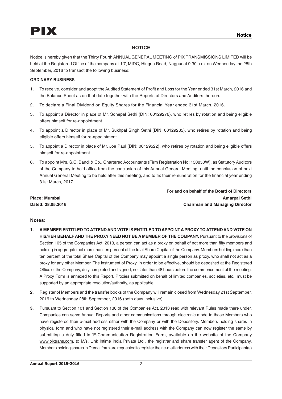## **NOTICE**

Notice is hereby given that the Thirty Fourth ANNUAL GENERAL MEETING of PIX TRANSMISSIONS LIMITED will be held at the Registered Office of the company at J-7, MIDC, Hingna Road, Nagpur at 9.30 a.m. on Wednesday the 28th September, 2016 to transact the following business:

## **ORDINARY BUSINESS**

- 1. To receive, consider and adopt the Audited Statement of Profit and Loss for the Year ended 31st March, 2016 and the Balance Sheet as on that date together with the Reports of Directors and Auditors thereon.
- 2. To declare a Final Dividend on Equity Shares for the Financial Year ended 31st March, 2016.
- 3. To appoint a Director in place of Mr. Sonepal Sethi (DIN: 00129276), who retires by rotation and being eligible offers himself for re-appointment.
- 4. To appoint a Director in place of Mr. Sukhpal Singh Sethi (DIN: 00129235), who retires by rotation and being eligible offers himself for re-appointment.
- 5. To appoint a Director in place of Mr. Joe Paul (DIN: 00129522), who retires by rotation and being eligible offers himself for re-appointment.
- 6. To appoint M/s. S.C. Bandi & Co., Chartered Accountants (Firm Registration No; 130850W), as Statutory Auditors of the Company to hold office from the conclusion of this Annual General Meeting, until the conclusion of next Annual General Meeting to be held after this meeting, and to fix their remuneration for the financial year ending 31st March, 2017.

**For and on behalf of the Board of Directors Place: Mumbai Amarpal Sethi Dated: 28.05.2016 Chairman and Managing Director**

## **Notes:**

- **1. A MEMBER ENTITLED TO ATTEND AND VOTE IS ENTITLED TO APPOINT A PROXY TO ATTEND AND VOTE ON HIS/HER BEHALF AND THE PROXY NEED NOT BE A MEMBER OF THE COMPANY.** Pursuant to the provisions of Section 105 of the Companies Act, 2013, a person can act as a proxy on behalf of not more than fifty members and holding in aggregate not more than ten percent of the total Share Capital of the Company. Members holding more than ten percent of the total Share Capital of the Company may appoint a single person as proxy, who shall not act as a proxy for any other Member. The instrument of Proxy, in order to be effective, should be deposited at the Registered Office of the Company, duly completed and signed, not later than 48 hours before the commencement of the meeting. A Proxy Form is annexed to this Report. Proxies submitted on behalf of limited companies, societies, etc., must be supported by an appropriate resolution/authority, as applicable.
- **2.** Register of Members and the transfer books of the Company will remain closed from Wednesday 21st September, 2016 to Wednesday 28th September, 2016 (both days inclusive).
- **3.** Pursuant to Section 101 and Section 136 of the Companies Act, 2013 read with relevant Rules made there under, Companies can serve Annual Reports and other communications through electronic mode to those Members who have registered their e-mail address either with the Company or with the Depository. Members holding shares in physical form and who have not registered their e-mail address with the Company can now register the same by submitting a duly filled in 'E-Communication Registration Form, available on the website of the Company www.pixtrans.com, to M/s. Link Intime India Private Ltd, the registrar and share transfer agent of the Company. Members holding shares in Demat form are requested to register their e-mail address with their Depository Participant(s)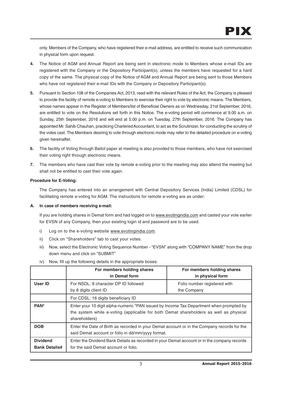only. Members of the Company, who have registered their e-mail address, are entitled to receive such communication in physical form upon request.

- **4.** The Notice of AGM and Annual Report are being sent in electronic mode to Members whose e-mail IDs are registered with the Company or the Depository Participant(s), unless the members have requested for a hard copy of the same. The physical copy of the Notice of AGM and Annual Report are being sent to those Members who have not registered their e-mail IDs with the Company or Depository Participant(s).
- **5.** Pursuant to Section 108 of the Companies Act, 2013, read with the relevant Rules of the Act, the Company is pleased to provide the facility of remote e-voting to Members to exercise their right to vote by electronic means. The Members, whose names appear in the Register of Members/list of Beneficial Owners as on Wednesday, 21st September, 2016, are entitled to vote on the Resolutions set forth in this Notice. The e-voting period will commence at 9.00 a.m. on Sunday, 25th September, 2016 and will end at 5.00 p.m. on Tuesday, 27th September, 2016. The Company has appointed Mr. Sahib Chauhan, practicing Chartered Accountant, to act as the Scrutinizer, for conducting the scrutiny of the votes cast. The Members desiring to vote through electronic mode may refer to the detailed procedure on e-voting given hereinafter.
- **6.** The facility of Voting through Ballot paper at meeting is also provided to those members, who have not exercised their voting right through electronic means.
- **7.** The members who have cast their vote by remote e-voting prior to the meeting may also attend the meeting but shall not be entitled to cast their vote again.

## **Procedure for E-Voting:**

The Company has entered into an arrangement with Central Depository Services (India) Limited (CDSL) for facilitating remote e-voting for AGM. The instructions for remote e-voting are as under:

## **A. In case of members receiving e-mail:**

If you are holding shares in Demat form and had logged on to www.evotingindia.com and casted your vote earlier for EVSN of any Company, then your existing login id and password are to be used.

- i) Log on to the e-voting website www.evotingindia.com.
- ii) Click on "Shareholders" tab to cast your votes.
- iii) Now, select the Electronic Voting Sequence Number "EVSN" along with "COMPANY NAME" from the drop down menu and click on "SUBMIT"

|                                         | For members holding shares<br>in Demat form                                                                                                                                                       | For members holding shares<br>in physical form |  |  |
|-----------------------------------------|---------------------------------------------------------------------------------------------------------------------------------------------------------------------------------------------------|------------------------------------------------|--|--|
| User ID                                 | For NSDL: 8 character DP ID followed<br>by 8 digits client ID                                                                                                                                     | Folio number registered with<br>the Company    |  |  |
|                                         | For CDSL: 16 digits beneficiary ID                                                                                                                                                                |                                                |  |  |
| PAN*                                    | Enter your 10 digit alpha-numeric *PAN issued by Income Tax Department when prompted by<br>the system while e-voting (applicable for both Demat shareholders as well as physical<br>shareholders) |                                                |  |  |
| <b>DOB</b>                              | Enter the Date of Birth as recorded in your Demat account or in the Company records for the<br>said Demat account or folio in dd/mm/yyyy format.                                                  |                                                |  |  |
| <b>Dividend</b><br><b>Bank Details#</b> | Enter the Dividend Bank Details as recorded in your Demat account or in the company records<br>for the said Demat account or folio.                                                               |                                                |  |  |

iv) Now, fill up the following details in the appropriate boxes: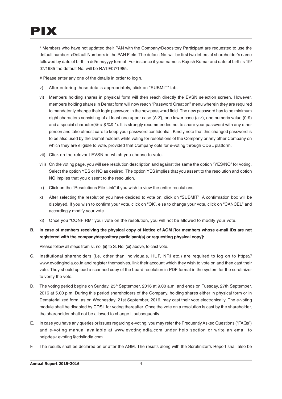\* Members who have not updated their PAN with the Company/Depository Participant are requested to use the default number: <Default Number> in the PAN Field. The default No. will be first two letters of shareholder's name followed by date of birth in dd/mm/yyyy format, For instance if your name is Rajesh Kumar and date of birth is 19/ 07/1985 the default No. will be RA19/07/1985.

# Please enter any one of the details in order to login.

- v) After entering these details appropriately, click on "SUBMIT" tab.
- vi) Members holding shares in physical form will then reach directly the EVSN selection screen. However, members holding shares in Demat form will now reach "Password Creation" menu wherein they are required to mandatorily change their login password in the new password field. The new password has to be minimum eight characters consisting of at least one upper case (A-Z), one lower case (a-z), one numeric value (0-9) and a special character( $@$  #  $\$$  %&  $*$ ). It is strongly recommended not to share your password with any other person and take utmost care to keep your password confidential. Kindly note that this changed password is to be also used by the Demat holders while voting for resolutions of the Company or any other Company on which they are eligible to vote, provided that Company opts for e-voting through CDSL platform.
- vii) Click on the relevant EVSN on which you choose to vote.
- viii) On the voting page, you will see resolution description and against the same the option "YES/NO" for voting. Select the option YES or NO as desired. The option YES implies that you assent to the resolution and option NO implies that you dissent to the resolution.
- ix) Click on the "Resolutions File Link" if you wish to view the entire resolutions.
- x) After selecting the resolution you have decided to vote on, click on "SUBMIT". A confirmation box will be displayed. If you wish to confirm your vote, click on "OK', else to change your vote, click on "CANCEL" and accordingly modify your vote.
- xi) Once you "CONFIRM" your vote on the resolution, you will not be allowed to modify your vote.

## **B. In case of members receiving the physical copy of Notice of AGM [for members whose e-mail IDs are not registered with the company/depository participant(s) or requesting physical copy]:**

Please follow all steps from sl. no. (ii) to S. No. (xi) above, to cast vote.

- C. Institutional shareholders (i.e. other than individuals, HUF, NRI etc.) are required to log on to https:// www.evotingindia.co.in and register themselves, link their account which they wish to vote on and then cast their vote. They should upload a scanned copy of the board resolution in PDF format in the system for the scrutinizer to verify the vote.
- D. The voting period begins on Sunday, 25<sup>th</sup> September, 2016 at 9.00 a.m. and ends on Tuesday, 27th September, 2016 at 5.00 p.m. During this period shareholders of the Company, holding shares either in physical form or in Dematerialized form, as on Wednesday, 21st September, 2016, may cast their vote electronically. The e-voting module shall be disabled by CDSL for voting thereafter. Once the vote on a resolution is cast by the shareholder, the shareholder shall not be allowed to change it subsequently.
- E. In case you have any queries or issues regarding e-voting, you may refer the Frequently Asked Questions ("FAQs") and e-voting manual available at www.evotingindia.com under help section or write an email to helpdesk.evoting@cdslindia.com.
- F. The results shall be declared on or after the AGM. The results along with the Scrutinizer's Report shall also be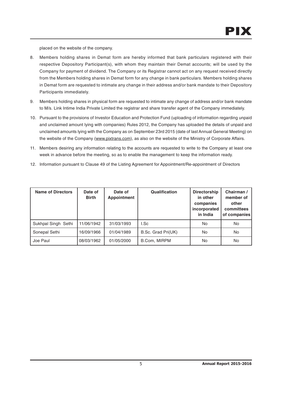placed on the website of the company.

- 8. Members holding shares in Demat form are hereby informed that bank particulars registered with their respective Depository Participant(s), with whom they maintain their Demat accounts; will be used by the Company for payment of dividend. The Company or its Registrar cannot act on any request received directly from the Members holding shares in Demat form for any change in bank particulars. Members holding shares in Demat form are requested to intimate any change in their address and/or bank mandate to their Depository Participants immediately.
- 9. Members holding shares in physical form are requested to intimate any change of address and/or bank mandate to M/s. Link Intime India Private Limited the registrar and share transfer agent of the Company immediately.
- 10. Pursuant to the provisions of Investor Education and Protection Fund (uploading of information regarding unpaid and unclaimed amount lying with companies) Rules 2012, the Company has uploaded the details of unpaid and unclaimed amounts lying with the Company as on September 23rd 2015 (date of last Annual General Meeting) on the website of the Company (www.pixtrans.com), as also on the website of the Ministry of Corporate Affairs.
- 11. Members desiring any information relating to the accounts are requested to write to the Company at least one week in advance before the meeting, so as to enable the management to keep the information ready.
- 12. Information pursuant to Clause 49 of the Listing Agreement for Appointment/Re-appointment of Directors

| <b>Name of Directors</b> | Date of<br><b>Birth</b> | Date of<br><b>Appointment</b> | <b>Qualification</b> | <b>Directorship</b><br>in other<br>companies<br>incorporated<br>in India | Chairman /<br>member of<br>other<br>committees<br>of companies |
|--------------------------|-------------------------|-------------------------------|----------------------|--------------------------------------------------------------------------|----------------------------------------------------------------|
| Sukhpal Singh Sethi      | 11/06/1942              | 31/03/1993                    | I.Sc                 | No                                                                       | No.                                                            |
| Sonepal Sethi            | 16/09/1966              | 01/04/1989                    | B.Sc. Grad Pri(UK)   | <b>No</b>                                                                | No.                                                            |
| Joe Paul                 | 08/03/1962              | 01/05/2000                    | B.Com, MIRPM         | No                                                                       | No.                                                            |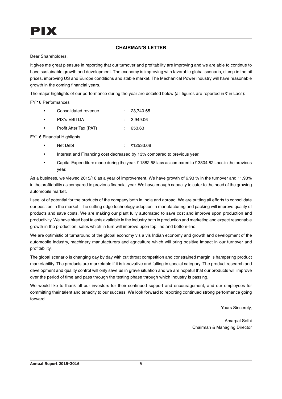## **CHAIRMAN'S LETTER**

Dear Shareholders,

It gives me great pleasure in reporting that our turnover and profitability are improving and we are able to continue to have sustainable growth and development. The economy is improving with favorable global scenario, slump in the oil prices, improving US and Europe conditions and stable market. The Mechanical Power industry will have reasonable growth in the coming financial years.

The major highlights of our performance during the year are detailed below (all figures are reported in  $\bar{\tau}$  in Lacs):

FY'16 Performances

| $\bullet$ | Consolidated revenue | : 23.740.65 |
|-----------|----------------------|-------------|
|           | PIX's EBITDA         | : 3.949.06  |

• Profit After Tax (PAT) : 653.63

FY'16 Financial Highlights

- Net Debt : ₹12533.08
- Interest and Financing cost decreased by 13% compared to previous year.
- Capital Expenditure made during the year.  $\bar{\tau}$  1882.58 lacs as compared to  $\bar{\tau}$  3804.82 Lacs in the previous year.

As a business, we viewed 2015/16 as a year of improvement. We have growth of 6.93 % in the turnover and 11.93% in the profitability as compared to previous financial year. We have enough capacity to cater to the need of the growing automobile market.

I see lot of potential for the products of the company both in India and abroad. We are putting all efforts to consolidate our position in the market. The cutting edge technology adoption in manufacturing and packing will improve quality of products and save costs. We are making our plant fully automated to save cost and improve upon production and productivity. We have hired best talents available in the industry both in production and marketing and expect reasonable growth in the production, sales which in turn will improve upon top line and bottom-line.

We are optimistic of turnaround of the global economy vis a vis Indian economy and growth and development of the automobile industry, machinery manufacturers and agriculture which will bring positive impact in our turnover and profitability.

The global scenario is changing day by day with cut throat competition and constrained margin is hampering product marketability. The products are marketable if it is innovative and falling in special category. The product research and development and quality control will only save us in grave situation and we are hopeful that our products will improve over the period of time and pass through the testing phase through which industry is passing.

We would like to thank all our investors for their continued support and encouragement, and our employees for committing their talent and tenacity to our success. We look forward to reporting continued strong performance going forward.

Yours Sincerely,

Amarpal Sethi Chairman & Managing Director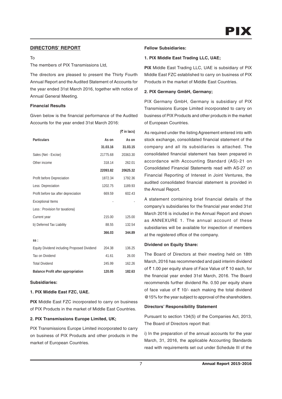## **DIRECTORS' REPORT**

#### $T<sub>0</sub>$

The members of PIX Transmissions Ltd,

The directors are pleased to present the Thirty Fourth Annual Report and the Audited Statement of Accounts for the year ended 31st March 2016, together with notice of Annual General Meeting.

## **Financial Results**

Given below is the financial performance of the Audited Accounts for the year ended 31st March 2016:

|                                                    |          | $(5 \in \mathsf{In} \mathsf{lacs})$ |
|----------------------------------------------------|----------|-------------------------------------|
| <b>Particulars</b>                                 | As on    | As on                               |
|                                                    | 31.03.16 | 31.03.15                            |
| Sales (Net - Excise)                               | 21775.68 | 20363.30                            |
| Other income                                       | 318.14   | 262.01                              |
|                                                    | 22093.82 | 20625.32                            |
| Profit before Depreciation                         | 1872.34  | 1792.36                             |
| Less: Depreciation                                 | 1202.75  | 1189.93                             |
| Profit before tax after depreciation               | 669.59   | 602.43                              |
| <b>Exceptional Items</b>                           |          |                                     |
| Less: Provision for taxationa)                     |          |                                     |
| Current year                                       | 215.00   | 125.00                              |
| b) Deferred Tax Liability                          | 88.55    | 132.54                              |
|                                                    | 366.03   | 344.89                              |
| SS:                                                |          |                                     |
| <b>Equity Dividend including Proposed Dividend</b> | 204.38   | 136.25                              |
| Tax on Dividend                                    | 41.61    | 26.00                               |
| <b>Total Dividend</b>                              | 245.99   | 162.26                              |
| <b>Balance Profit after appropriation</b>          | 120.05   | 182.63                              |

## **Subsidiaries:**

## **1. PIX Middle East FZC, UAE.**

**PIX** Middle East FZC incorporated to carry on business of PIX Products in the market of Middle East Countries.

## **2. PIX Transmissions Europe Limited, UK;**

PIX Transmissions Europe Limited incorporated to carry on business of PIX Products and other products in the market of European Countries.

### **Fellow Subsidiaries:**

### **1. PIX Middle East Trading LLC, UAE;**

**PIX** Middle East Trading LLC, UAE is subsidiary of PIX Middle East FZC established to carry on business of PIX Products in the market of Middle East Countries.

### **2. PIX Germany GmbH, Germany;**

PIX Germany GmbH, Germany is subsidiary of PIX Transmissions Europe Limited incorporated to carry on business of PIX Products and other products in the market of European Countries.

As required under the listing Agreement entered into with stock exchange, consolidated financial statement of the company and all its subsidiaries is attached. The consolidated financial statement has been prepared in accordance with Accounting Standard (AS)-21 on Consolidated Financial Statements read with AS-27 on Financial Reporting of Interest in Joint Ventures, the audited consolidated financial statement is provided in the Annual Report.

A statement containing brief financial details of the company's subsidiaries for the financial year ended 31st March 2016 is included in the Annual Report and shown as ANNEXURE 1. The annual account of these subsidiaries will be available for inspection of members at the registered office of the company.

## **Dividend on Equity Share:**

The Board of Directors at their meeting held on 18th March, 2016 has recommended and paid interim dividend of  $\bar{\tau}$  1.00 per equity share of Face Value of  $\bar{\tau}$  10 each, for the financial year ended 31st March, 2016. The Board recommends further dividend Re. 0.50 per equity share of face value of  $\bar{\tau}$  10/- each making the total dividend @15% for the year subject to approval of the shareholders.

#### **Directors' Responsibility Statement**

Pursuant to section 134(5) of the Companies Act, 2013, The Board of Directors report that:

i) In the preparation of the annual accounts for the year March, 31, 2016, the applicable Accounting Standards read with requirements set out under Schedule III of the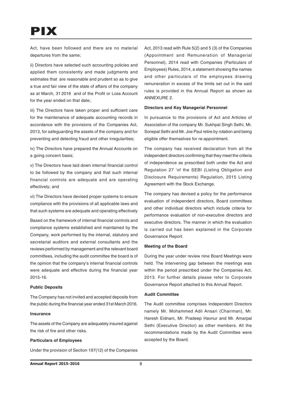## PIX

Act, have been followed and there are no material departures from the same;

ii) Directors have selected such accounting policies and applied them consistently and made judgments and estimates that are reasonable and prudent so as to give a true and fair view of the state of affairs of the company as at March, 31 2016 and of the Profit or Loss Account for the year ended on that date;.

iii) The Directors have taken proper and sufficient care for the maintenance of adequate accounting records in accordance with the provisions of the Companies Act, 2013, for safeguarding the assets of the company and for preventing and detecting fraud and other irregularities;

iv) The Directors have prepared the Annual Accounts on a going concern basis;

v) The Directors have laid down internal financial control to be followed by the company and that such internal financial controls are adequate and are operating effectively; and

vi) The Directors have devised proper systems to ensure compliance with the provisions of all applicable laws and that such systems are adequate and operating effectively

Based on the framework of internal financial controls and compliance systems established and maintained by the Company, work performed by the internal, statutory and secretarial auditors and external consultants and the reviews performed by management and the relevant board committees, including the audit committee the board is of the opinion that the company's internal financial controls were adequate and effective during the financial year 2015-16.

### **Public Deposits**

The Company has not invited and accepted deposits from the public during the financial year ended 31st March 2016.

#### **Insurance**

The assets of the Company are adequately insured against the risk of fire and other risks.

## **Particulars of Employees**

Under the provision of Section 197(12) of the Companies

Act, 2013 read with Rule 5(2) and 5 (3) of the Companies (Appointment and Remuneration of Managerial Personnel), 2014 read with Companies (Particulars of Employees) Rules, 2014, a statement showing the names and other particulars of the employees drawing remuneration in excess of the limits set out in the said rules is provided in the Annual Report as shown as ANNEXURE 2.

#### **Directors and Key Managerial Personnel**

In pursuance to the provisions of Act and Articles of Association of the company Mr. Sukhpal Singh Sethi, Mr. Sonepal Sethi and Mr. Joe Paul retire by rotation and being eligible offer themselves for re-appointment.

The company has received declaration from all the independent directors confirming that they meet the criteria of independence as prescribed both under the Act and Regulation 27 'of the SEBI (Listing Obligation and Disclosure Requirements) Regulation, 2015 Listing Agreement with the Stock Exchange.

The company has devised a policy for the performance evaluation of independent directors, Board committees and other individual directors which include criteria for performance evaluation of non-executive directors and executive directors. The manner in which the evaluation is carried out has been explained in the Corporate Governance Report.

#### **Meeting of the Board**

During the year under review nine Board Meetings were held. The intervening gap between the meetings was within the period prescribed under the Companies Act, 2013. For further details please refer to Corporate Governance Report attached to this Annual Report.

#### **Audit Committee**

The Audit committee comprises Independent Directors namely Mr. Mohammed Adil Ansari (Chairman), Mr. Haresh Eidnani, Mr. Pradeep Havnur and Mr. Amarpal Sethi (Executive Director) as other members. All the recommendations made by the Audit Committee were accepted by the Board.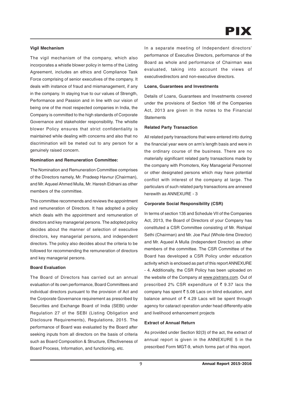### **Vigil Mechanism**

The vigil mechanism of the company, which also incorporates a whistle blower policy in terms of the Listing Agreement, includes an ethics and Compliance Task Force comprising of senior executives of the company. It deals with instance of fraud and mismanagement, if any in the company. In staying true to our values of Strength, Performance and Passion and in line with our vision of being one of the most respected companies in India, the Company is committed to the high standards of Corporate Governance and stakeholder responsibility. The whistle blower Policy ensures that strict confidentiality is maintained while dealing with concerns and also that no discrimination will be meted out to any person for a genuinely raised concern.

#### **Nomination and Remuneration Committee:**

The Nomination and Remuneration Committee comprises of the Directors namely, Mr. Pradeep Havnur (Chairman), and Mr. Aqueel Ahmed Mulla, Mr. Haresh Eidnani as other members of the committee.

This committee recommends and reviews the appointment and remuneration of Directors. It has adopted a policy which deals with the appointment and remuneration of directors and key managerial persons. The adopted policy decides about the manner of selection of executive directors, key managerial persons, and independent directors. The policy also decides about the criteria to be followed for recommending the remuneration of directors and key managerial persons.

### **Board Evaluation**

The Board of Directors has carried out an annual evaluation of its own performance, Board Committees and individual directors pursuant to the provision of Act and the Corporate Governance requirement as prescribed by Securities and Exchange Board of India (SEBI) under Regulation 27 of the SEBI (Listing Obligation and Disclosure Requirements), Regulations, 2015. The performance of Board was evaluated by the Board after seeking inputs from all directors on the basis of criteria such as Board Composition & Structure, Effectiveness of Board Process, Information, and functioning, etc.

In a separate meeting of Independent directors' performance of Executive Directors, performance of the Board as whole and performance of Chairman was evaluated, taking into account the views of executivedirectors and non-executive directors.

#### **Loans, Guarantees and Investments**

Details of Loans, Guarantees and Investments covered under the provisions of Section 186 of the Companies Act, 2013 are given in the notes to the Financial **Statements** 

#### **Related Party Transaction**

All related party transactions that were entered into during the financial year were on arm's length basis and were in the ordinary course of the business. There are no materially significant related party transactions made by the company with Promoters, Key Managerial Personnel or other designated persons which may have potential conflict with interest of the company at large. The particulars of such related party transactions are annexed herewith as ANNEXURE - 3

#### **Corporate Social Responsibility (CSR)**

In terms of section 135 and Schedule VII of the Companies Act, 2013, the Board of Directors of your Company has constituted a CSR Committee consisting of Mr. Rishipal Sethi (Chairman) and Mr. Joe Paul (Whole-time Director) and Mr. Aqueel A Mulla (Independent Director) as other members of the committee. The CSR Committee of the Board has developed a CSR Policy under education activity which is enclosed as part of this report ANNEXURE - 4. Additionally, the CSR Policy has been uploaded on the website of the Company at www.pixtrans.com. Out of prescribed 2% CSR expenditure of  $\bar{\tau}$  9.37 lacs the company has spent  $\bar{\tau}$  5.08 Lacs on blind education, and balance amount of  $\bar{\tau}$  4.29 Lacs will be spent through agency for cataract operation under head differently-able and livelihood enhancement projects

#### **Extract of Annual Return**

As provided under Section 92(3) of the act, the extract of annual report is given in the ANNEXURE 5 in the prescribed Form MGT-9, which forms part of this report.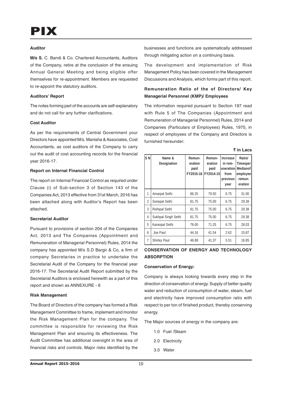### **Auditor**

**M/s S.** C. Bandi & Co. Chartered Accountants, Auditors of the Company, retire at the conclusion of the ensuing Annual General Meeting and being eligible offer themselves for re-appointment. Members are requested to re-appoint the statutory auditors.

#### **Auditors' Report**

The notes forming part of the accounts are self-explanatory and do not call for any further clarifications.

## **Cost Auditor**

As per the requirements of Central Government your Directors have appointed M/s. Manisha & Associates, Cost Accountants, as cost auditors of the Company to carry out the audit of cost accounting records for the financial year 2016-17.

#### **Report on Internal Financial Control**

The report on Internal Financial Control as required under Clause (i) of Sub-section 3 of Section 143 of the Companies Act, 2013 effective from 31st March, 2016 has been attached along with Auditor's Report has been attached.

#### **Secretarial Auditor**

Pursuant to provisions of section 204 of the Companies Act, 2013 and The Companies (Appointment and Remuneration of Managerial Personnel) Rules, 2014 the company has appointed M/s S.D Bargir & Co, a firm of company Secretaries in practice to undertake the Secretarial Audit of the Company for the financial year 2016-17. The Secretarial Audit Report submitted by the Secretarial Auditors is enclosed herewith as a part of this report and shown as ANNEXURE - 6

#### **Risk Management**

The Board of Directors of the company has formed a Risk Management Committee to frame, implement and monitor the Risk Management Plan for the company. The committee is responsible for reviewing the Risk Management Plan and ensuring its effectiveness. The Audit Committee has additional oversight in the area of financial risks and controls. Major risks identified by the

businesses and functions are systematically addressed through mitigating action on a continuing basis.

The development and implementation of Risk Management Policy has been covered in the Management Discussions and Analysis, which forms part of this report.

## **Remuneration Ratio of the of Directors/ Key Managerial Personnel (KMP)/ Employees**

The information required pursuant to Section 197 read with Rule 5 of The Companies (Appointment and Remuneration of Managerial Personnel) Rules, 2014 and Companies (Particulars of Employees) Rules, 1975, in respect of employees of the Company and Directors is furnished hereunder:

|  |  | ۰,<br>× |
|--|--|---------|
|--|--|---------|

| SN             | Name &<br>Designation | Remun-<br>eration<br>paid<br>FY2015-16 | Remun-<br>eration<br>paid<br>FY2014-15 | <b>Increase</b><br>in rem-<br>uneration<br>from<br>previous<br>year | Ratio/<br>Timesper<br><b>Medianof</b><br>employee<br>remun-<br>eration |
|----------------|-----------------------|----------------------------------------|----------------------------------------|---------------------------------------------------------------------|------------------------------------------------------------------------|
| 1              | Amarpal Sethi         | 86.25                                  | 79.50                                  | 6.75                                                                | 31.00                                                                  |
| $\overline{2}$ | Sonepal Sethi         | 81.75                                  | 75.00                                  | 6.75                                                                | 29.38                                                                  |
| 3              | <b>Rishipal Sethi</b> | 81.75                                  | 75.00                                  | 6.75                                                                | 29.38                                                                  |
| 4              | Sukhpal Singh Sethi   | 81.75                                  | 75.00                                  | 6.75                                                                | 29.38                                                                  |
| 5              | Karanpal Sethi        | 78.00                                  | 71.25                                  | 6.75                                                                | 28.03                                                                  |
| 6              | Joe Paul              | 44.16                                  | 41.54                                  | 2.62                                                                | 15.87                                                                  |
| $\overline{7}$ | <b>Shirley Paul</b>   | 46.88                                  | 41.37                                  | 5.51                                                                | 16.85                                                                  |

## **CONSERVATION OF ENERGY AND TECHNOLOGY ABSORPTION**

#### **Conservation of Energy:**

Company is always looking towards every step in the direction of conservation of energy. Supply of better quality water and reduction of consumption of water, steam, fuel and electricity have improved consumption ratio with respect to per ton of finished product, thereby conserving energy.

The Major sources of energy in the company are:

- 1.0 Fuel /Steam
- 2.0 Electricity
- 3.0 Water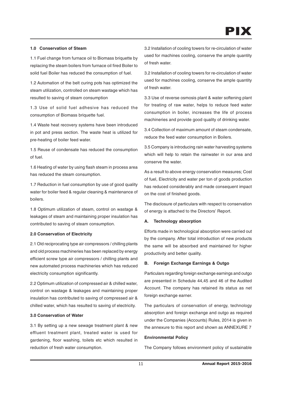## **1.0 Conservation of Steam**

1.1 Fuel change from furnace oil to Biomass briquette by replacing the steam boilers from furnace oil fired Boiler to solid fuel Boiler has reduced the consumption of fuel.

1.2 Automation of the belt curing pots has optimized the steam utilization, controlled on steam wastage which has resulted to saving of steam consumption

1.3 Use of solid fuel adhesive has reduced the consumption of Biomass briquette fuel.

1.4 Waste heat recovery systems have been introduced in pot and press section. The waste heat is utilized for pre-heating of boiler feed water.

1.5 Reuse of condensate has reduced the consumption of fuel.

1.6 Heating of water by using flash steam in process area has reduced the steam consumption.

1.7 Reduction in fuel consumption by use of good quality water for boiler feed & regular cleaning & maintenance of boilers.

1.8 Optimum utilization of steam, control on wastage & leakages of steam and maintaining proper insulation has contributed to saving of steam consumption.

#### **2.0 Conservation of Electricity**

2.1 Old reciprocating type air compressors / chilling plants and old process machineries has been replaced by energy efficient screw type air compressors / chilling plants and new automated process machineries which has reduced electricity consumption significantly.

2.2 Optimum utilization of compressed air & chilled water, control on wastage & leakages and maintaining proper insulation has contributed to saving of compressed air & chilled water, which has resulted to saving of electricity.

#### **3.0 Conservation of Water**

3.1 By setting up a new sewage treatment plant & new effluent treatment plant, treated water is used for gardening, floor washing, toilets etc which resulted in reduction of fresh water consumption.

3.2 Installation of cooling towers for re-circulation of water used for machines cooling, conserve the ample quantity of fresh water.

3.2 Installation of cooling towers for re-circulation of water used for machines cooling, conserve the ample quantity of fresh water.

3.3 Use of reverse osmosis plant & water softening plant for treating of raw water, helps to reduce feed water consumption in boiler, increases the life of process machineries and provide good quality of drinking water.

3.4 Collection of maximum amount of steam condensate, reduce the feed water consumption in Boilers.

3.5 Company is introducing rain water harvesting systems which will help to retain the rainwater in our area and conserve the water.

As a result to above energy conservation measures; Cost of fuel, Electricity and water per ton of goods production has reduced considerably and made consequent impact on the cost of finished goods.

The disclosure of particulars with respect to conservation of energy is attached to the Directors' Report.

## **A. Technology absorption**

Efforts made in technological absorption were carried out by the company. After total introduction of new products the same will be absorbed and maintained for higher productivity and better quality.

## **B. Foreign Exchange Earnings & Outgo**

Particulars regarding foreign exchange earnings and outgo are presented in Schedule 44,45 and 46 of the Audited Account. The company has retained its status as net foreign exchange earner.

The particulars of conservation of energy, technology absorption and foreign exchange and outgo as required under the Companies (Accounts) Rules, 2014 is given in the annexure to this report and shown as ANNEXURE 7

## **Environmental Policy**

The Company follows environment policy of sustainable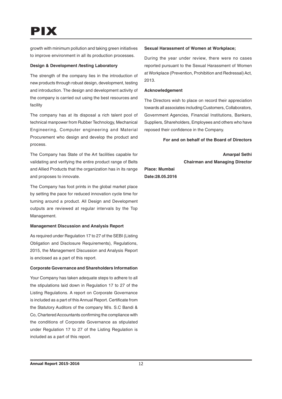growth with minimum pollution and taking green initiatives to improve environment in all its production processes.

## **Design & Development /testing Laboratory**

The strength of the company lies in the introduction of new products through robust design, development, testing and introduction. The design and development activity of the company is carried out using the best resources and facility

The company has at its disposal a rich talent pool of technical manpower from Rubber Technology, Mechanical Engineering, Computer engineering and Material Procurement who design and develop the product and process.

The Company has State of the Art facilities capable for validating and verifying the entire product range of Belts and Allied Products that the organization has in its range and proposes to innovate.

The Company has foot prints in the global market place by setting the pace for reduced innovation cycle time for turning around a product. All Design and Development outputs are reviewed at regular intervals by the Top Management.

## **Management Discussion and Analysis Report**

As required under Regulation 17 to 27 of the SEBI (Listing Obligation and Disclosure Requirements), Regulations, 2015, the Management Discussion and Analysis Report is enclosed as a part of this report.

## **Corporate Governance and Shareholders Information**

Your Company has taken adequate steps to adhere to all the stipulations laid down in Regulation 17 to 27 of the Listing Regulations. A report on Corporate Governance is included as a part of this Annual Report. Certificate from the Statutory Auditors of the company M/s. S.C Bandi & Co, Chartered Accountants confirming the compliance with the conditions of Corporate Governance as stipulated under Regulation 17 to 27 of the Listing Regulation is included as a part of this report.

## **Sexual Harassment of Women at Workplace;**

During the year under review, there were no cases reported pursuant to the Sexual Harassment of Women at Workplace (Prevention, Prohibition and Redressal) Act, 2013.

## **Acknowledgement**

The Directors wish to place on record their appreciation towards all associates including Customers, Collaborators, Government Agencies, Financial Institutions, Bankers, Suppliers, Shareholders, Employees and others who have reposed their confidence in the Company.

## **For and on behalf of the Board of Directors**

**Amarpal Sethi Chairman and Managing Director**

**Place: Mumbai Date:28.05.2016**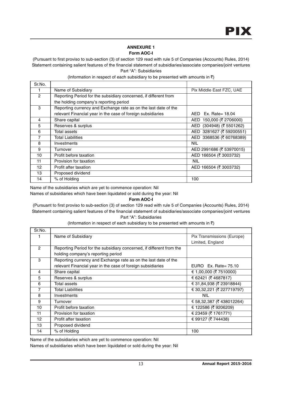## **ANNEXURE 1 Form AOC-I**

(Pursuant to first proviso to sub-section (3) of section 129 read with rule 5 of Companies (Accounts) Rules, 2014) Statement containing salient features of the financial statement of subsidiaries/associate companies/joint ventures Part "A": Subsidiaries

| Sr.No.            |                                                                  |                            |
|-------------------|------------------------------------------------------------------|----------------------------|
|                   | Name of Subsidiary                                               | Pix Middle East FZC, UAE   |
| $\overline{c}$    | Reporting Period for the subsidiary concerned, if different from |                            |
|                   | the holding company's reporting period                           |                            |
| 3                 | Reporting currency and Exchange rate as on the last date of the  |                            |
|                   | relevant Financial year in the case of foreign subsidiaries      | $AED$ Ex. Rate= 18.04      |
| 4                 | Share capital                                                    | 150,000 (₹ 2706000)<br>AED |
| 5                 | Reserves & surplus                                               | AED (304948) (₹ 5501262)   |
| 6                 | Total assets                                                     | AED 3281627 (₹ 59200551)   |
| 7                 | Total Liabilities                                                | AED 3368536 (₹ 60768389)   |
| 8                 | Investments                                                      | <b>NIL</b>                 |
| 9                 | Turnover                                                         | AED 2991686 (₹ 53970015)   |
| 10                | Profit before taxation                                           | AED 166504 (₹ 3003732)     |
| 11                | Provision for taxation                                           | <b>NIL</b>                 |
| $12 \overline{ }$ | Profit after taxation                                            | AED 166504 (₹ 3003732)     |
| 13                | Proposed dividend                                                |                            |
| 14                | % of Holding                                                     | 100                        |

## (Information in respect of each subsidiary to be presented with amounts in  $\bar{\tau}$ )

Name of the subsidiaries which are yet to commence operation: Nil

Names of subsidiaries which have been liquidated or sold during the year: Nil

## **Form AOC-I**

(Pursuant to first proviso to sub-section (3) of section 129 read with rule 5 of Companies (Accounts) Rules, 2014) Statement containing salient features of the financial statement of subsidiaries/associate companies/joint ventures Part "A": Subsidiaries

(Information in respect of each subsidiary to be presented with amounts in  $\bar{z}$ )

| Sr.No.          |                                                                      |                            |
|-----------------|----------------------------------------------------------------------|----------------------------|
|                 | Name of Subsidiary                                                   | Pix Transmissions (Europe) |
|                 |                                                                      | Limited, England           |
| $\mathcal{P}$   | Reporting Period for the subsidiary concerned, if different from the |                            |
|                 | holding company's reporting period                                   |                            |
| 3               | Reporting currency and Exchange rate as on the last date of the      |                            |
|                 | relevant Financial year in the case of foreign subsidiaries          | EURO Ex. Rate= $75.10$     |
| 4               | Share capital                                                        | $\in$ 1,00,000 (₹ 7510000) |
| 5               | Reserves & surplus                                                   | € 62421 (₹ 4687817)        |
| 6               | Total assets                                                         | € 31,84,938 (₹ 23918844)   |
| 7               | <b>Total Liabilities</b>                                             | € 30,32,221 (₹ 227719797)  |
| 8               | Investments                                                          | <b>NIL</b>                 |
| 9               | Turnover                                                             | € 58,32,387 (₹ 438012264)  |
| 10              | Profit before taxation                                               | € 122586 (₹ 9206209)       |
| 11              | Provision for taxation                                               | € 23459 (₹ 1761771)        |
| 12 <sup>2</sup> | Profit after taxation                                                | € 99127 (₹ 744438)         |
| 13              | Proposed dividend                                                    |                            |
| 14              | % of Holding                                                         | 100                        |

Name of the subsidiaries which are yet to commence operation: Nil

Names of subsidiaries which have been liquidated or sold during the year: Nil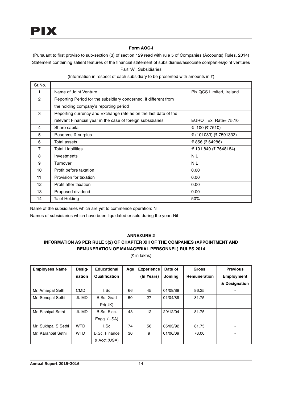## **Form AOC-I**

(Pursuant to first proviso to sub-section (3) of section 129 read with rule 5 of Companies (Accounts) Rules, 2014) Statement containing salient features of the financial statement of subsidiaries/associate companies/joint ventures Part "A": Subsidiaries

| Sr.No.          |                                                                  |                          |
|-----------------|------------------------------------------------------------------|--------------------------|
| 1               | Name of Joint Venture                                            | Pix QCS Limited, Ireland |
| $\overline{2}$  | Reporting Period for the subsidiary concerned, if different from |                          |
|                 | the holding company's reporting period                           |                          |
| 3               | Reporting currency and Exchange rate as on the last date of the  |                          |
|                 | relevant Financial year in the case of foreign subsidiaries      | EURO Ex. Rate= $75.10$   |
| 4               | Share capital                                                    | $∈$ 100 (₹ 7510)         |
| 5               | Reserves & surplus                                               | € (101083) (₹ 7591333)   |
| 6               | Total assets                                                     | € 856 (₹ 64286)          |
| 7               | <b>Total Liabilities</b>                                         | € 101,840 (₹ 7648184)    |
| 8               | Investments                                                      | <b>NIL</b>               |
| 9               | Turnover                                                         | <b>NIL</b>               |
| 10              | Profit before taxation                                           | 0.00                     |
| 11              | Provision for taxation                                           | 0.00                     |
| 12 <sup>2</sup> | Profit after taxation                                            | 0.00                     |
| 13              | Proposed dividend                                                | 0.00                     |
| 14              | % of Holding                                                     | 50%                      |

(Information in respect of each subsidiary to be presented with amounts in  $\bar{z}$ )

Name of the subsidiaries which are yet to commence operation: Nil

Names of subsidiaries which have been liquidated or sold during the year: Nil

## **ANNEXURE 2**

## **INFORMATION AS PER RULE 5(2) OF CHAPTER XIII OF THE COMPANIES (APPOINTMENT AND REMUNERATION OF MANAGERIAL PERSONNEL) RULES 2014**

 $($ ₹ in lakhs)

| <b>Employees Name</b> | Desig-     | <b>Educational</b>   | Age | <b>Experience</b> | Date of  | <b>Gross</b>        | <b>Previous</b> |
|-----------------------|------------|----------------------|-----|-------------------|----------|---------------------|-----------------|
|                       | nation     | Qualification        |     | (In Years)        | Joining  | <b>Remuneration</b> | Employment      |
|                       |            |                      |     |                   |          |                     | & Designation   |
| Mr. Amarpal Sethi     | <b>CMD</b> | I.Sc                 | 66  | 45                | 01/09/89 | 86.25               |                 |
| Mr. Sonepal Sethi     | Jt. MD     | B.Sc. Grad           | 50  | 27                | 01/04/89 | 81.75               |                 |
|                       |            | Pri(UK)              |     |                   |          |                     |                 |
| Mr. Rishipal Sethi    | Jt. MD     | B.Sc. Elec.          | 43  | 12                | 29/12/04 | 81.75               |                 |
|                       |            | Engg. (USA)          |     |                   |          |                     |                 |
| Mr. Sukhpal S Sethi   | <b>WTD</b> | I.Sc                 | 74  | 56                | 05/03/92 | 81.75               |                 |
| Mr. Karanpal Sethi    | <b>WTD</b> | <b>B.Sc. Finance</b> | 30  | 9                 | 01/06/09 | 78.00               |                 |
|                       |            | & Acct.(USA)         |     |                   |          |                     |                 |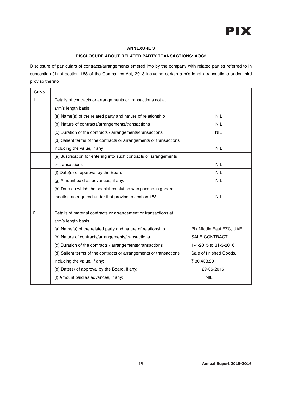## **ANNEXURE 3**

## **DISCLOSURE ABOUT RELATED PARTY TRANSACTIONS: AOC2**

| Sr.No.         |                                                                    |                           |
|----------------|--------------------------------------------------------------------|---------------------------|
| 1              | Details of contracts or arrangements or transactions not at        |                           |
|                | arm's length basis                                                 |                           |
|                | (a) Name(s) of the related party and nature of relationship        | <b>NIL</b>                |
|                | (b) Nature of contracts/arrangements/transactions                  | <b>NIL</b>                |
|                | (c) Duration of the contracts / arrangements/transactions          | <b>NIL</b>                |
|                | (d) Salient terms of the contracts or arrangements or transactions |                           |
|                | including the value, if any                                        | <b>NIL</b>                |
|                | (e) Justification for entering into such contracts or arrangements |                           |
|                | or transactions                                                    | <b>NIL</b>                |
|                | (f) Date(s) of approval by the Board                               | <b>NIL</b>                |
|                | (g) Amount paid as advances, if any:                               | <b>NIL</b>                |
|                | (h) Date on which the special resolution was passed in general     |                           |
|                | meeting as required under first proviso to section 188             | <b>NIL</b>                |
|                |                                                                    |                           |
| $\overline{c}$ | Details of material contracts or arrangement or transactions at    |                           |
|                | arm's length basis                                                 |                           |
|                | (a) Name(s) of the related party and nature of relationship        | Pix Middle East FZC, UAE. |
|                | (b) Nature of contracts/arrangements/transactions                  | <b>SALE CONTRACT</b>      |
|                | (c) Duration of the contracts / arrangements/transactions          | 1-4-2015 to 31-3-2016     |
|                | (d) Salient terms of the contracts or arrangements or transactions | Sale of finished Goods,   |
|                | including the value, if any:                                       | ₹ 30,438,201              |
|                | (e) Date(s) of approval by the Board, if any:                      | 29-05-2015                |
|                | (f) Amount paid as advances, if any:                               | <b>NIL</b>                |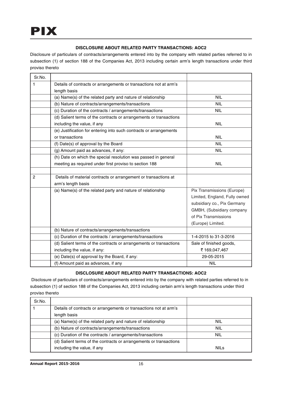## **DISCLOSURE ABOUT RELATED PARTY TRANSACTIONS: AOC2**

Disclosure of particulars of contracts/arrangements entered into by the company with related parties referred to in subsection (1) of section 188 of the Companies Act, 2013 including certain arm's length transactions under third proviso thereto

| Sr.No.         |                                                                    |                               |  |  |  |
|----------------|--------------------------------------------------------------------|-------------------------------|--|--|--|
| 1              | Details of contracts or arrangements or transactions not at arm's  |                               |  |  |  |
|                | length basis                                                       |                               |  |  |  |
|                | (a) Name(s) of the related party and nature of relationship        | <b>NIL</b>                    |  |  |  |
|                | (b) Nature of contracts/arrangements/transactions                  | <b>NIL</b>                    |  |  |  |
|                | (c) Duration of the contracts / arrangements/transactions          | <b>NIL</b>                    |  |  |  |
|                | (d) Salient terms of the contracts or arrangements or transactions |                               |  |  |  |
|                | including the value, if any                                        | <b>NIL</b>                    |  |  |  |
|                | (e) Justification for entering into such contracts or arrangements |                               |  |  |  |
|                | or transactions                                                    | <b>NIL</b>                    |  |  |  |
|                | (f) Date(s) of approval by the Board                               | <b>NIL</b>                    |  |  |  |
|                | (g) Amount paid as advances, if any:                               | <b>NIL</b>                    |  |  |  |
|                | (h) Date on which the special resolution was passed in general     |                               |  |  |  |
|                | meeting as required under first proviso to section 188             | <b>NIL</b>                    |  |  |  |
|                |                                                                    |                               |  |  |  |
| $\overline{c}$ | Details of material contracts or arrangement or transactions at    |                               |  |  |  |
|                | arm's length basis                                                 |                               |  |  |  |
|                | (a) Name(s) of the related party and nature of relationship        | Pix Transmissions (Europe)    |  |  |  |
|                |                                                                    | Limited, England, Fully owned |  |  |  |
|                |                                                                    | subsidiary co., Pix Germany   |  |  |  |
|                |                                                                    | GMBH, (Subsidiary company     |  |  |  |
|                |                                                                    | of Pix Transmissions          |  |  |  |
|                |                                                                    | (Europe) Limited.             |  |  |  |
|                | (b) Nature of contracts/arrangements/transactions                  |                               |  |  |  |
|                | (c) Duration of the contracts / arrangements/transactions          | 1-4-2015 to 31-3-2016         |  |  |  |
|                | (d) Salient terms of the contracts or arrangements or transactions | Sale of finished goods,       |  |  |  |
|                | including the value, if any:                                       | ₹169,047,467                  |  |  |  |
|                | (e) Date(s) of approval by the Board, if any:                      | 29-05-2015                    |  |  |  |
|                | (f) Amount paid as advances, if any                                | <b>NIL</b>                    |  |  |  |

## **DISCLOSURE ABOUT RELATED PARTY TRANSACTIONS: AOC2**

| Sr.No. |                                                                    |             |
|--------|--------------------------------------------------------------------|-------------|
|        | Details of contracts or arrangements or transactions not at arm's  |             |
|        | length basis                                                       |             |
|        | (a) Name(s) of the related party and nature of relationship        | <b>NIL</b>  |
|        | (b) Nature of contracts/arrangements/transactions                  | <b>NIL</b>  |
|        | (c) Duration of the contracts / arrangements/transactions          | <b>NIL</b>  |
|        | (d) Salient terms of the contracts or arrangements or transactions |             |
|        | including the value, if any                                        | <b>NILs</b> |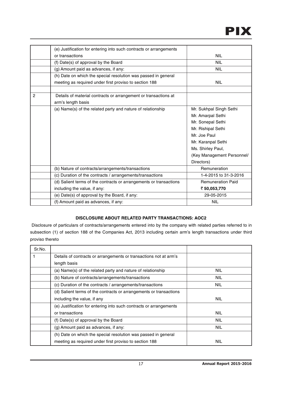|                | (e) Justification for entering into such contracts or arrangements |                            |  |  |  |
|----------------|--------------------------------------------------------------------|----------------------------|--|--|--|
|                | or transactions                                                    | <b>NIL</b>                 |  |  |  |
|                | (f) Date(s) of approval by the Board                               | <b>NIL</b>                 |  |  |  |
|                | (g) Amount paid as advances, if any:                               | <b>NIL</b>                 |  |  |  |
|                | (h) Date on which the special resolution was passed in general     |                            |  |  |  |
|                | meeting as required under first proviso to section 188             | <b>NIL</b>                 |  |  |  |
|                |                                                                    |                            |  |  |  |
| $\overline{c}$ | Details of material contracts or arrangement or transactions at    |                            |  |  |  |
|                | arm's length basis                                                 |                            |  |  |  |
|                | (a) Name(s) of the related party and nature of relationship        | Mr. Sukhpal Singh Sethi    |  |  |  |
|                |                                                                    | Mr. Amarpal Sethi          |  |  |  |
|                |                                                                    | Mr. Sonepal Sethi          |  |  |  |
|                |                                                                    | Mr. Rishipal Sethi         |  |  |  |
|                |                                                                    | Mr. Joe Paul               |  |  |  |
|                |                                                                    | Mr. Karanpal Sethi         |  |  |  |
|                |                                                                    | Ms. Shirley Paul,          |  |  |  |
|                |                                                                    | (Key Management Personnel/ |  |  |  |
|                |                                                                    | Directors)                 |  |  |  |
|                | (b) Nature of contracts/arrangements/transactions                  | Remuneration               |  |  |  |
|                | (c) Duration of the contracts / arrangements/transactions          | 1-4-2015 to 31-3-2016      |  |  |  |
|                | (d) Salient terms of the contracts or arrangements or transactions | <b>Remuneration Paid</b>   |  |  |  |
|                | including the value, if any:                                       | ₹ 50,053,770               |  |  |  |
|                | (e) Date(s) of approval by the Board, if any:                      | 29-05-2015                 |  |  |  |
|                | (f) Amount paid as advances, if any:                               | <b>NIL</b>                 |  |  |  |

## **DISCLOSURE ABOUT RELATED PARTY TRANSACTIONS: AOC2**

| Sr.No. |                                                                    |            |
|--------|--------------------------------------------------------------------|------------|
|        | Details of contracts or arrangements or transactions not at arm's  |            |
|        | length basis                                                       |            |
|        | (a) Name(s) of the related party and nature of relationship        | <b>NIL</b> |
|        | (b) Nature of contracts/arrangements/transactions                  | <b>NIL</b> |
|        | (c) Duration of the contracts / arrangements/transactions          | <b>NIL</b> |
|        | (d) Salient terms of the contracts or arrangements or transactions |            |
|        | including the value, if any                                        | <b>NIL</b> |
|        | (e) Justification for entering into such contracts or arrangements |            |
|        | or transactions                                                    | <b>NIL</b> |
|        | (f) Date(s) of approval by the Board                               | <b>NIL</b> |
|        | (g) Amount paid as advances, if any:                               | <b>NIL</b> |
|        | (h) Date on which the special resolution was passed in general     |            |
|        | meeting as required under first proviso to section 188             | <b>NIL</b> |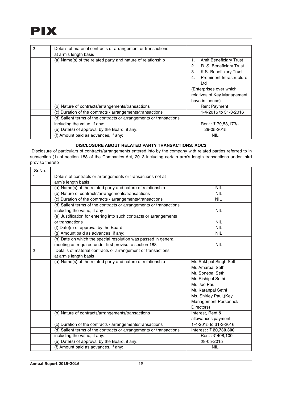## PIX

| $\mathcal{P}$ | Details of material contracts or arrangement or transactions       |                                            |  |  |  |
|---------------|--------------------------------------------------------------------|--------------------------------------------|--|--|--|
|               | at arm's length basis                                              |                                            |  |  |  |
|               | (a) Name(s) of the related party and nature of relationship        | <b>Amit Beneficiary Trust</b><br>1.        |  |  |  |
|               |                                                                    | R. S. Beneficiary Trust<br>2.              |  |  |  |
|               |                                                                    | K.S. Beneficiary Trust<br>3.               |  |  |  |
|               |                                                                    | Prominent Infrastructure<br>$\mathbf{4}$ . |  |  |  |
|               |                                                                    | Ltd                                        |  |  |  |
|               |                                                                    | (Enterprises over which                    |  |  |  |
|               |                                                                    | relatives of Key Management                |  |  |  |
|               |                                                                    | have influence)                            |  |  |  |
|               | (b) Nature of contracts/arrangements/transactions                  | <b>Rent Payment</b>                        |  |  |  |
|               | (c) Duration of the contracts / arrangements/transactions          | 1-4-2015 to 31-3-2016                      |  |  |  |
|               | (d) Salient terms of the contracts or arrangements or transactions |                                            |  |  |  |
|               | including the value, if any:                                       | Rent: ₹79,53,173/-                         |  |  |  |
|               | (e) Date(s) of approval by the Board, if any:                      | 29-05-2015                                 |  |  |  |
|               | (f) Amount paid as advances, if any:                               | NIL                                        |  |  |  |

## **DISCLOSURE ABOUT RELATED PARTY TRANSACTIONS: AOC2**

| Sr.No.         |                                                                    |                         |  |  |  |
|----------------|--------------------------------------------------------------------|-------------------------|--|--|--|
| 1              | Details of contracts or arrangements or transactions not at        |                         |  |  |  |
|                | arm's length basis                                                 |                         |  |  |  |
|                | (a) Name(s) of the related party and nature of relationship        | <b>NIL</b>              |  |  |  |
|                | (b) Nature of contracts/arrangements/transactions                  | <b>NIL</b>              |  |  |  |
|                | (c) Duration of the contracts / arrangements/transactions          | <b>NIL</b>              |  |  |  |
|                | (d) Salient terms of the contracts or arrangements or transactions |                         |  |  |  |
|                | including the value, if any                                        | <b>NIL</b>              |  |  |  |
|                | (e) Justification for entering into such contracts or arrangements |                         |  |  |  |
|                | or transactions                                                    | <b>NIL</b>              |  |  |  |
|                | (f) Date(s) of approval by the Board                               | <b>NIL</b>              |  |  |  |
|                | (g) Amount paid as advances, if any:                               | <b>NIL</b>              |  |  |  |
|                | (h) Date on which the special resolution was passed in general     |                         |  |  |  |
|                | meeting as required under first proviso to section 188             | <b>NIL</b>              |  |  |  |
| $\overline{2}$ | Details of material contracts or arrangement or transactions       |                         |  |  |  |
|                | at arm's length basis                                              |                         |  |  |  |
|                | (a) Name(s) of the related party and nature of relationship        | Mr. Sukhpal Singh Sethi |  |  |  |
|                |                                                                    | Mr. Amarpal Sethi       |  |  |  |
|                |                                                                    | Mr. Sonepal Sethi       |  |  |  |
|                |                                                                    | Mr. Rishipal Sethi      |  |  |  |
|                |                                                                    | Mr. Joe Paul            |  |  |  |
|                |                                                                    | Mr. Karanpal Sethi      |  |  |  |
|                |                                                                    | Ms. Shirley Paul, (Key  |  |  |  |
|                |                                                                    | Management Personnel/   |  |  |  |
|                |                                                                    | Directors)              |  |  |  |
|                | (b) Nature of contracts/arrangements/transactions                  | Interest, Rent &        |  |  |  |
|                |                                                                    | allowances payment      |  |  |  |
|                | (c) Duration of the contracts / arrangements/transactions          | 1-4-2015 to 31-3-2016   |  |  |  |
|                | (d) Salient terms of the contracts or arrangements or transactions | Interest: ₹ 20,730,300  |  |  |  |
|                | including the value, if any:                                       | Rent: ₹408,100          |  |  |  |
|                | (e) Date(s) of approval by the Board, if any:                      | 29-05-2015              |  |  |  |
|                | (f) Amount paid as advances, if any:                               | <b>NIL</b>              |  |  |  |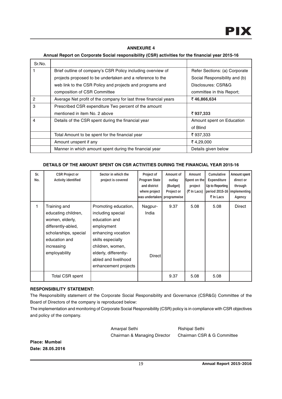## **ANNEXURE 4**

## **Annual Report on Corporate Social responsibility (CSR) activities for the financial year 2015-16**

| Sr.No. |                                                                  |                               |  |  |
|--------|------------------------------------------------------------------|-------------------------------|--|--|
|        | Brief outline of company's CSR Policy including overview of      | Refer Sections: (a) Corporate |  |  |
|        | projects proposed to be undertaken and a reference to the        | Social Responsibility and (b) |  |  |
|        | web link to the CSR Policy and projects and programs and         | Disclosures: CSR&G            |  |  |
|        | composition of CSR Committee                                     | committee in this Report:     |  |  |
| 2      | Average Net profit of the company for last three financial years | ₹46,866,634                   |  |  |
| 3      | Prescribed CSR expenditure Two percent of the amount             |                               |  |  |
|        | mentioned in item No. 2 above                                    | ₹937,333                      |  |  |
| 4      | Details of the CSR spent during the financial year               | Amount spent on Education     |  |  |
|        |                                                                  | of Blind                      |  |  |
|        | Total Amount to be spent for the financial year                  | ₹937,333                      |  |  |
|        | Amount unspent if any                                            | ₹4,29,000                     |  |  |
|        | Manner in which amount spent during the financial year           | Details given below           |  |  |

## **DETAILS OF THE AMOUNT SPENT ON CSR ACTIVITIES DURING THE FINANCIAL YEAR 2015-16**

| Sr.<br>No. | <b>CSR Project or</b><br><b>Activity identified</b>                                                                                                   | Sector in which the<br>project is covered                                                                                                                                                                        | Project of<br><b>Program State</b><br>and district<br>where project<br>was undertaken  programwise | Amount of<br>outlay<br>(Budget)<br>Project or | Amount<br>Spent on the<br>project<br>$($ ₹ In Lacs) | Cumulative<br><b>Expenditure</b><br>Up to Reporting<br>period 2015-16   implementing<br>₹ In Lacs | Amount spent<br>direct or<br>through<br>Agency |
|------------|-------------------------------------------------------------------------------------------------------------------------------------------------------|------------------------------------------------------------------------------------------------------------------------------------------------------------------------------------------------------------------|----------------------------------------------------------------------------------------------------|-----------------------------------------------|-----------------------------------------------------|---------------------------------------------------------------------------------------------------|------------------------------------------------|
| 1.         | Training and<br>educating children,<br>women, elderly,<br>differently-abled,<br>scholarships, special<br>education and<br>increasing<br>employability | Promoting education,<br>including special<br>education and<br>employment<br>enhancing vocation<br>skills especially<br>children, women,<br>elderly, differently-<br>abled and livelihood<br>enhancement projects | Nagpur-<br>India<br>Direct                                                                         | 9.37                                          | 5.08                                                | 5.08                                                                                              | Direct                                         |
|            | <b>Total CSR spent</b>                                                                                                                                |                                                                                                                                                                                                                  |                                                                                                    | 9.37                                          | 5.08                                                | 5.08                                                                                              |                                                |

## **RESPONSIBILITY STATEMENT:**

The Responsibility statement of the Corporate Social Responsibility and Governance (CSR&G) Committee of the Board of Directors of the company is reproduced below:

The implementation and monitoring of Corporate Social Responsibility (CSR) policy is in compliance with CSR objectives and policy of the company.

Amarpal Sethi Rishipal Sethi

Chairman & Managing Director Chairman CSR & G Committee

**Place: Mumbai Date: 28.05.2016**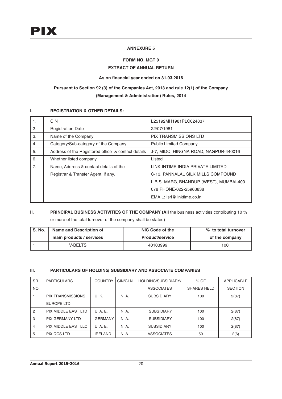## **ANNEXURE 5**

## **FORM NO. MGT 9**

## **EXTRACT OF ANNUAL RETURN**

## **As on financial year ended on 31.03.2016**

## **Pursuant to Section 92 (3) of the Companies Act, 2013 and rule 12(1) of the Company (Management & Administration) Rules, 2014**

## **I. REGISTRATION & OTHER DETAILS:**

| 1. | <b>CIN</b>                                         | L25192MH1981PLC024837                   |
|----|----------------------------------------------------|-----------------------------------------|
| 2. | <b>Registration Date</b>                           | 22/07/1981                              |
| 3. | Name of the Company                                | <b>PIX TRANSMISSIONS LTD</b>            |
| 4. | Category/Sub-category of the Company               | <b>Public Limited Company</b>           |
| 5. | Address of the Registered office & contact details | J-7, MIDC, HINGNA ROAD, NAGPUR-440016   |
| 6. | Whether listed company                             | Listed                                  |
| 7. | Name, Address & contact details of the             | LINK INTIME INDIA PRIVATE LIMITED       |
|    | Registrar & Transfer Agent, if any.                | C-13, PANNALAL SILK MILLS COMPOUND      |
|    |                                                    | L.B.S. MARG, BHANDUP (WEST), MUMBAI-400 |
|    |                                                    | 078 PHONE-022-25963838                  |
|    |                                                    | EMAIL: isrl@linktime.co.in              |

## **II.** PRINCIPAL BUSINESS ACTIVITIES OF THE COMPANY (All the business activities contributing 10 %

or more of the total turnover of the company shall be stated)

| S. No. | Name and Description of  | NIC Code of the        | % to total turnover |  |  |
|--------|--------------------------|------------------------|---------------------|--|--|
|        | main products / services | <b>Product/service</b> | of the company      |  |  |
|        | <b>V-BELTS</b>           | 40103999               | 100                 |  |  |

## **III. PARTICULARS OF HOLDING, SUBSIDIARY AND ASSOCIATE COMPANIES**

| SR.            | <b>PARTICULARS</b>       | <b>COUNTRY</b> | CIN/GLN | HOLDING/SUBSIDIARY/ | $%$ OF             | <b>APPLICABLE</b> |
|----------------|--------------------------|----------------|---------|---------------------|--------------------|-------------------|
| NO.            |                          |                |         | <b>ASSOCIATES</b>   | <b>SHARES HELD</b> |                   |
|                | <b>PIX TRANSMISSIONS</b> | U.K.           | N. A.   | <b>SUBSIDIARY</b>   | 100                | 2(87)             |
|                | EUROPE LTD.              |                |         |                     |                    |                   |
| $\overline{2}$ | PIX MIDDLE EAST LTD      | U.A.E.         | N. A.   | <b>SUBSIDIARY</b>   | 100                | 2(87)             |
| 3              | <b>PIX GERMANY LTD</b>   | <b>GERMANY</b> | N. A.   | <b>SUBSIDIARY</b>   | 100                | 2(87)             |
| 4              | PIX MIDDLE EAST LLC      | U.A.E.         | N. A.   | <b>SUBSIDIARY</b>   | 100                | 2(87)             |
| 5              | <b>PIX QCS LTD</b>       | <b>IRELAND</b> | N. A.   | <b>ASSOCIATES</b>   | 50                 | 2(6)              |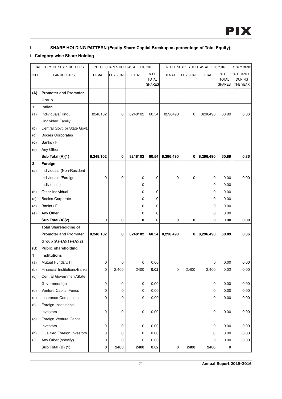## **I. SHARE HOLDING PATTERN (Equity Share Capital Breakup as percentage of Total Equity)**

## i. **Category-wise Share Holding**

|             | CATEGORY OF SHAREHOLDERS     |              |                     | NO OF SHARES HOLD AS AT 31.03.2015 |                                       |           |          | NO OF SHARES HOLD AS AT 31.03.2016 |                                       | % OF CHANGE                           |
|-------------|------------------------------|--------------|---------------------|------------------------------------|---------------------------------------|-----------|----------|------------------------------------|---------------------------------------|---------------------------------------|
| <b>CODE</b> | PARTICULARS                  | <b>DEMAT</b> | PHYSICAL            | <b>TOTAL</b>                       | % OF<br><b>TOTAL</b><br><b>SHARES</b> | DEMAT     | PHYSICAL | <b>TOTAL</b>                       | % OF<br><b>TOTAL</b><br><b>SHARES</b> | % CHANGE<br><b>DURING</b><br>THE YEAR |
| (A)         | <b>Promoter and Promoter</b> |              |                     |                                    |                                       |           |          |                                    |                                       |                                       |
|             | Group                        |              |                     |                                    |                                       |           |          |                                    |                                       |                                       |
| 1           | Indian                       |              |                     |                                    |                                       |           |          |                                    |                                       |                                       |
| (a)         | Individuals/Hindu            | 8248102      | $\mathbf 0$         | 8248102                            | 60.54                                 | 8296490   | 0        | 8296490                            | 60.89                                 | 0.36                                  |
|             | <b>Undivided Family</b>      |              |                     |                                    |                                       |           |          |                                    |                                       |                                       |
| (b)         | Central Govt. or State Govt. |              |                     |                                    |                                       |           |          |                                    |                                       |                                       |
| (c)         | <b>Bodies Corporates</b>     |              |                     |                                    |                                       |           |          |                                    |                                       |                                       |
| (d)         | Banks / Fl                   |              |                     |                                    |                                       |           |          |                                    |                                       |                                       |
| (e)         | Any Other                    |              |                     |                                    |                                       |           |          |                                    |                                       |                                       |
|             | Sub Total (A)(1)             | 8,248,102    | $\mathbf 0$         | 8248102                            | 60.54                                 | 8,296,490 | 0        | 8,296,490                          | 60.89                                 | 0.36                                  |
| $\mathbf 2$ | Foreign                      |              |                     |                                    |                                       |           |          |                                    |                                       |                                       |
| (a)         | Individuals (Non-Resident    |              |                     |                                    |                                       |           |          |                                    |                                       |                                       |
|             | Individuals / Foreign        | 0            | 0                   | 0                                  | 0                                     | 0         | 0        | 0                                  | 0.00                                  | 0.00                                  |
|             | Individuals)                 |              |                     | 0                                  |                                       |           |          | 0                                  | 0.00                                  |                                       |
| (b)         | Other Individual             |              |                     | 0                                  | 0                                     |           |          | 0                                  | 0.00                                  |                                       |
| (c)         | <b>Bodies Corporate</b>      |              |                     | 0                                  | 0                                     |           |          | 0                                  | 0.00                                  |                                       |
| (d)         | Banks / Fl                   |              |                     | 0                                  | 0                                     |           |          | 0                                  | 0.00                                  |                                       |
| (e)         | Any Other                    |              |                     | 0                                  | 0                                     |           |          | 0                                  | 0.00                                  |                                       |
|             | Sub Total (A)(2)             | 0            | 0                   | 0                                  | 0                                     | 0         | 0        | 0                                  | 0.00                                  | 0.00                                  |
|             | <b>Total Shareholding of</b> |              |                     |                                    |                                       |           |          |                                    |                                       |                                       |
|             | <b>Promoter and Promoter</b> | 8,248,102    | 0                   | 8248102                            | 60.54                                 | 8,296,490 | 0        | 8,296,490                          | 60.89                                 | 0.36                                  |
|             | Group $(A)=(A)(1)+(A)(2)$    |              |                     |                                    |                                       |           |          |                                    |                                       |                                       |
| (B)         | <b>Public shareholding</b>   |              |                     |                                    |                                       |           |          |                                    |                                       |                                       |
| 1           | <b>Institutions</b>          |              |                     |                                    |                                       |           |          |                                    |                                       |                                       |
| (a)         | Mutual Funds/UTI             | 0            | 0                   | 0                                  | 0.00                                  |           |          | 0                                  | 0.00                                  | 0.00                                  |
| (b)         | Financial Institutions/Banks | 0            | 2,400               | 2400                               | 0.02                                  | 0         | 2,400    | 2,400                              | 0.02                                  | 0.00                                  |
| (c)         | Central Government/State     |              |                     |                                    |                                       |           |          |                                    |                                       |                                       |
|             | Government(s)                | 0            | $\mathsf 0$         | 0                                  | 0.00                                  |           |          | 0                                  | 0.00                                  | 0.00                                  |
| (d)         | Venture Capital Funds        | 0            | $\mathsf{O}\xspace$ | 0                                  | 0.00                                  |           |          | 0                                  | 0.00                                  | 0.00                                  |
| (e)         | Insurance Companies          | 0            | 0                   | 0                                  | 0.00                                  |           |          | 0                                  | 0.00                                  | 0.00                                  |
| (f)         | Foreign Institutional        |              |                     |                                    |                                       |           |          |                                    |                                       |                                       |
|             | Investors                    | 0            | $\mathsf 0$         | 0                                  | 0.00                                  |           |          | 0                                  | 0.00                                  | 0.00                                  |
| (g)         | Foreign Venture Capital      |              |                     |                                    |                                       |           |          |                                    |                                       |                                       |
|             | Investors                    | 0            | $\mathsf 0$         | 0                                  | 0.00                                  |           |          | 0                                  | 0.00                                  | 0.00                                  |
| (h)         | Qualified Foreign Investors  | 0            | $\mathsf 0$         | 0                                  | 0.00                                  |           |          | 0                                  | 0.00                                  | 0.00                                  |
| (1)         | Any Other (specify)          | 0            | 0                   | 0                                  | 0.00                                  |           |          | 0                                  | 0.00                                  | 0.00                                  |
|             | Sub Total (B) (1)            | 0            | 2400                | 2400                               | 0.02                                  | $\pmb{0}$ | 2400     | 2400                               | 0                                     |                                       |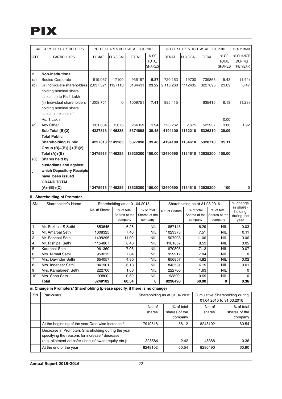## PIX

| CATEGORY OF SHAREHOLDERS |                                                | NO OF SHARES HOLD AS AT 31.03.2015 |          |              | NO OF SHARES HOLD AS AT 31.03.2016 |                 |          |              | % OF CHANGE          |                           |
|--------------------------|------------------------------------------------|------------------------------------|----------|--------------|------------------------------------|-----------------|----------|--------------|----------------------|---------------------------|
| <b>CODE</b>              | <b>PARTICULARS</b>                             | <b>DEMAT</b>                       | PHYSICAL | <b>TOTAL</b> | % OF<br><b>TOTAL</b>               | <b>DEMAT</b>    | PHYSICAL | <b>TOTAL</b> | % OF<br><b>TOTAL</b> | % CHANGE<br><b>DURING</b> |
|                          |                                                |                                    |          |              | <b>SHARES</b>                      |                 |          |              | <b>SHARES</b>        | THE YEAR                  |
| $\overline{2}$           | <b>Non-institutions</b>                        |                                    |          |              |                                    |                 |          |              |                      |                           |
| (a)                      | <b>Bodies Corporate</b>                        | 919,057                            | 17100    | 936157       | 6.87                               | 720,163         | 19700    | 739863       | 5.43                 | (1.44)                    |
| (b)                      | (i) Individuals-shareholders $\vert 2.037.321$ |                                    | 1127110  | 3164431      | 23.22                              | 2,115,260       | 1112435  | 3227695      | 23.69                | 0.47                      |
|                          | holding nominal share                          |                                    |          |              |                                    |                 |          |              |                      |                           |
|                          | capital up to Rs 1 Lakh                        |                                    |          |              |                                    |                 |          |              |                      |                           |
|                          | (ii) Individual shareholders                   | 1,009,751                          | 0        | 1009751      | 7.41                               | 835,415         |          | 835415       | 6.13                 | (1.28)                    |
|                          | holding nominal share                          |                                    |          |              |                                    |                 |          |              |                      |                           |
|                          | capital in excess of                           |                                    |          |              |                                    |                 |          |              |                      |                           |
|                          | Rs. 1 Lakh                                     |                                    |          |              |                                    |                 |          |              | 0.00                 |                           |
| (c)                      | Any Other                                      | 261,684                            | 2,675    | 264359       | 1.94                               | 523,262         | 2,675    | 525937       | 3.86                 | 1.92                      |
|                          | Sub Total (B)(2)                               | 4227813 1146885                    |          | 5374698      | 39.45                              | 4194100         | 1132210  | 5326310      | 39.09                |                           |
|                          | <b>Total Public</b>                            |                                    |          |              |                                    |                 |          |              |                      |                           |
|                          | <b>Shareholding Public</b>                     | 4227813 1149285                    |          | 5377098      | 39.46                              | 4194100         | 1134610  | 5328710      | 39.11                |                           |
|                          | Group $(B)=(B)(1)+(B)(2)$                      |                                    |          |              |                                    |                 |          |              |                      |                           |
|                          | Total $(A)+(B)$                                | 12475915 1149285                   |          | 13625200     |                                    | 100.00 12490590 | 1134610  | 13625200     | 100.00               |                           |
| (C)                      | Shares held by                                 |                                    |          |              |                                    |                 |          |              |                      |                           |
|                          | custodians and against                         |                                    |          |              |                                    |                 |          |              |                      |                           |
|                          | which Depository Receipts                      |                                    |          |              |                                    |                 |          |              |                      |                           |
|                          | have been issued                               |                                    |          |              |                                    |                 |          |              |                      |                           |
|                          | <b>GRAND TOTAL</b>                             |                                    |          |              |                                    |                 |          |              |                      |                           |
|                          | $(A)+(B)+(C)$                                  | 12475915 1149285                   |          | 13625200     |                                    | 100.00 12490590 | 1134610  | 13625200     | 100                  | 0                         |

### **ii. Shareholding of Promoter-**

| <b>SN</b>      | Shareholder's Name    |               | Shareholding as at 01.04.2015          |                                        | Shareholding as at 31.03.2016 |                                        |                                        |                                            |  |  | % change |
|----------------|-----------------------|---------------|----------------------------------------|----------------------------------------|-------------------------------|----------------------------------------|----------------------------------------|--------------------------------------------|--|--|----------|
|                |                       | No. of Shares | % of total<br>Shares of the<br>company | % of total<br>Shares of the<br>company | No. of Shares                 | % of total<br>Shares of the<br>company | % of total<br>Shares of the<br>company | in share-<br>holding<br>during the<br>year |  |  |          |
|                | Mr. Sukhpal S Sethi   | 853645        | 6.26                                   | NIL                                    | 857145                        | 6.29                                   | <b>NIL</b>                             | 0.03                                       |  |  |          |
| $\overline{2}$ | Mr. Amarpal Sethi     | 1008325       | 7.40                                   | <b>NIL</b>                             | 1023375                       | 7.51                                   | <b>NIL</b>                             | 0.11                                       |  |  |          |
| 3              | Mr. Sonepal Sethi     | 1498295       | 11.00                                  | <b>NIL</b>                             | 1507208                       | 11.06                                  | <b>NIL</b>                             | 0.06                                       |  |  |          |
| 4              | Mr. Rishipal Sethi    | 1154807       | 8.48                                   | <b>NIL</b>                             | 1161857                       | 8.53                                   | <b>NIL</b>                             | 0.05                                       |  |  |          |
| 5              | Karanpal Sethi        | 961360        | 7.06                                   | NIL                                    | 970805                        | 7.13                                   | <b>NIL</b>                             | 0.07                                       |  |  |          |
| 6              | Mrs. Nirmal Sethi     | 959212        | 7.04                                   | NIL                                    | 959212                        | 7.04                                   | <b>NIL</b>                             | 0                                          |  |  |          |
| $\overline{7}$ | Mrs. Davinder Sethi   | 654057        | 4.80                                   | <b>NIL</b>                             | 656857                        | 4.82                                   | <b>NIL</b>                             | 0.02                                       |  |  |          |
| 8              | Mrs. Inderjeet Sethi  | 841901        | 6.18                                   | NIL                                    | 843531                        | 6.19                                   | <b>NIL</b>                             | 0.01                                       |  |  |          |
| 9              | Mrs. Kamalpreet Sethi | 222700        | 1.63                                   | NIL                                    | 222700                        | 1.63                                   | <b>NIL</b>                             | $\Omega$                                   |  |  |          |
| 10             | Mrs. Saba Sethi       | 93800         | 0.69                                   | NIL                                    | 93800                         | 0.69                                   | <b>NIL</b>                             | 0                                          |  |  |          |
|                | <b>Total</b>          | 8248102       | 60.54                                  | 0                                      | 8296490                       | 60.90                                  | 0                                      | 0.36                                       |  |  |          |

## iii. **Change in Promoters' Shareholding (please specify, if there is no change)**

| <b>SN</b> | <b>Particulars</b>                                                                                                                                             | Shareholding as at 01.04.2015 |                                        | Cumulative Shareholding during<br>01.04.2015 to 31.03.2016 |                                        |
|-----------|----------------------------------------------------------------------------------------------------------------------------------------------------------------|-------------------------------|----------------------------------------|------------------------------------------------------------|----------------------------------------|
|           |                                                                                                                                                                | No. of<br>shares              | % of total<br>shares of the<br>company | No. of<br>shares                                           | % of total<br>shares of the<br>company |
|           | At the beginning of the year Date wise Increase /                                                                                                              | 7919518                       | 58.12                                  | 8248102                                                    | 60.54                                  |
|           | Decrease in Promoters Shareholding during the year<br>specifying the reasons for increase / decrease<br>(e.g. allotment /transfer / bonus/ sweat equity etc.): | 328584                        | 2.42                                   | 48388                                                      | 0.36                                   |
|           | At the end of the year                                                                                                                                         | 8248102                       | 60.54                                  | 8296490                                                    | 60.90                                  |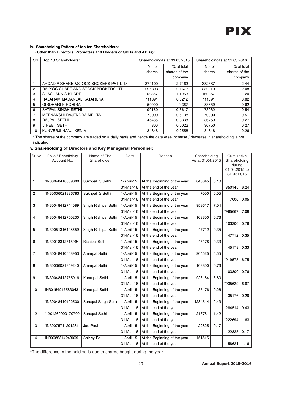### **iv. Shareholding Pattern of top ten Shareholders:**

 **(Other than Directors, Promoters and Holders of GDRs and ADRs):**

| <b>SN</b>      | Top 10 Shareholders*                  |        | Shareholdingas at 31.03.2015 | Shareholdingas at 31.03.2016 |               |  |
|----------------|---------------------------------------|--------|------------------------------|------------------------------|---------------|--|
|                |                                       | No. of | % of total                   | No. of                       | % of total    |  |
|                |                                       | shares | shares of the                | shares                       | shares of the |  |
|                |                                       |        | company                      |                              | company       |  |
|                | ARCADIA SHARE & STOCK BROKERS PVT LTD | 370100 | 2.7163                       | 332387                       | 2.44          |  |
| $\overline{2}$ | RAJYOG SHARE AND STOCK BROKERS LTD    | 295303 | 2.1673                       | 282919                       | 2.08          |  |
| 3              | <b>SHASHANK S KHADE</b>               | 162857 | 1.1953                       | 162857                       | 1.20          |  |
| 4              | RAJARAM MADANLAL KATARUKA             | 111891 | 0.8212                       | 111891                       | 0.82          |  |
| 5              | <b>GIRDHARI P ROHIRA</b>              | 50000  | 0.367                        | 83859                        | 0.62          |  |
| 6              | SATPAL SINGH SETHI                    | 90160  | 0.6617                       | 73962                        | 0.54          |  |
| $\overline{7}$ | MEENAKSHI RAJENDRA MEHTA              | 70000  | 0.5138                       | 70000                        | 0.51          |  |
| 8              | <b>RAJPAL SETHI</b>                   | 45485  | 0.3338                       | 36750                        | 0.27          |  |
| 9              | <b>VINEET SETHI</b>                   | 300    | 0.0022                       | 36750                        | 0.27          |  |
| 10             | KUNVERJI NANJI KENIA                  | 34848  | 0.2558                       | 34848                        | 0.26          |  |

\* The shares of the company are traded on a daily basis and hence the date wise increase / decrease in shareholding is not indicated.

## **v. Shareholding of Directors and Key Managerial Personnel:**

| Sr No.                  | Folio / Beneficiary<br>Account No. | Name of The<br>Shareholder | Date         | Reason                       | Shareholding<br>As at 01.04.2015 |      | Cumulative<br>Shareholding<br>during<br>01.04.2015 to<br>31.03.2016 |      |
|-------------------------|------------------------------------|----------------------------|--------------|------------------------------|----------------------------------|------|---------------------------------------------------------------------|------|
| 1                       | 'IN30048410069000                  | Sukhpal S Sethi            | 1-April-15   | At the Beginning of the year | 846645                           | 6.13 |                                                                     |      |
|                         |                                    |                            | 31-Mar-16    | At the end of the year       |                                  |      | *850145                                                             | 6.24 |
| $\overline{2}$          | 'IN30036021886783                  | Sukhpal S Sethi            | 1-April-15   | At the Beginning of the year | 7000                             | 0.05 |                                                                     |      |
|                         |                                    |                            | 31-Mar-16    | At the end of the year       |                                  |      | 7000                                                                | 0.05 |
| 3                       | 'IN30048412744089                  | Singh Rishipal Sethi       | 1-April-15   | At the Beginning of the year | 958617                           | 7.04 |                                                                     |      |
|                         |                                    |                            | 31-Mar-16    | At the end of the year       |                                  |      | *965667                                                             | 7.09 |
| $\overline{\mathbf{4}}$ | 'IN30048412750230                  | Singh Rishipal Sethi       | 1-April-15   | At the Beginning of the year | 103300                           | 0.76 |                                                                     |      |
|                         |                                    |                            | 31-Mar-16    | At the end of the year       |                                  |      | 103300                                                              | 0.76 |
| 5                       | 'IN30051316198659                  | Singh Rishipal Sethi       | 1-April-15   | At the Beginning of the year | 47712                            | 0.35 |                                                                     |      |
|                         |                                    |                            | 31-Mar-16    | At the end of the year       |                                  |      | 47712                                                               | 0.35 |
| 6                       | 'IN30018312515994                  | <b>Rishipal Sethi</b>      | 1-April-15   | At the Beginning of the year | 45178                            | 0.33 |                                                                     |      |
|                         |                                    |                            | 31-Mar-16    | At the end of the year       |                                  |      | 45178                                                               | 0.33 |
| $\overline{7}$          | 'IN30048410068953                  | Amarpal Sethi              | 1-April-15   | At the Beginning of the year | 904525                           | 6.55 |                                                                     |      |
|                         |                                    |                            | 31-Mar-16    | At the end of the year       |                                  |      | *919575                                                             | 6.75 |
| 8                       | 'IN30036021859240                  | Amarpal Sethi              | 1-April-15   | At the Beginning of the year | 103800                           | 0.76 |                                                                     |      |
|                         |                                    |                            | 31-Mar-16    | At the end of the year       |                                  |      | 103800                                                              | 0.76 |
| 9                       | 'IN30048412755916                  | Karanpal Sethi             | 1-April-15   | At the Beginning of the year | 926184                           | 6.80 |                                                                     |      |
|                         |                                    |                            | 31-Mar-16    | At the end of the year       |                                  |      | *935629                                                             | 6.87 |
| 10                      | IN30154917583043                   | Karanpal Sethi             | $1-April-15$ | At the Beginning of the year | 35176                            | 0.26 |                                                                     |      |
|                         |                                    |                            | 31-Mar-16    | At the end of the year       |                                  |      | 35176                                                               | 0.26 |
| 11                      | 'IN30048410102530                  | Sonepal Singh Sethi        | 1-April-15   | At the Beginning of the year | 1284514                          | 9.43 |                                                                     |      |
|                         |                                    |                            | 31-Mar-16    | At the end of the year       |                                  |      | 1284514                                                             | 9.43 |
| 12                      | 1201260000170700                   | Sonepal Sethi              | 1-April-15   | At the Beginning of the year | 213781                           | 1.42 |                                                                     |      |
|                         |                                    |                            | 31-Mar-16    | At the end of the year       |                                  |      | *222694                                                             | 1.63 |
| 13                      | 'IN30075711201281                  | Joe Paul                   | 1-April-15   | At the Beginning of the year | 22825                            | 0.17 |                                                                     |      |
|                         |                                    |                            | 31-Mar-16    | At the end of the year       |                                  |      | 22825                                                               | 0.17 |
| 14                      | IN30088814243009                   | <b>Shirley Paul</b>        | 1-April-15   | At the Beginning of the year | 151515                           | 1.11 |                                                                     |      |
|                         |                                    |                            | 31-Mar-16    | At the end of the year       |                                  |      | 158621                                                              | 1.16 |

**\***The difference in the holding is due to shares bought during the year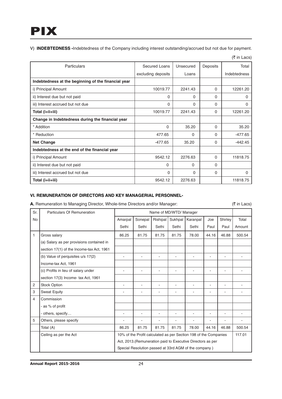V) **INDEBTEDNESS -**Indebtedness of the Company including interest outstanding/accrued but not due for payment.

| Particulars                                         | Secured Loans      | Unsecured | Deposits | Total               |
|-----------------------------------------------------|--------------------|-----------|----------|---------------------|
|                                                     | excluding deposits | Loans     |          | <b>Indebtedness</b> |
| Indebtedness at the beginning of the financial year |                    |           |          |                     |
| i) Principal Amount                                 | 10019.77           | 2241.43   | $\Omega$ | 12261.20            |
| ii) Interest due but not paid                       | 0                  | $\Omega$  | $\Omega$ | 0                   |
| iii) Interest accrued but not due                   | $\Omega$           | $\Omega$  | $\Omega$ | 0                   |
| Total (i+ii+iii)                                    | 10019.77           | 2241.43   | $\Omega$ | 12261.20            |
| Change in Indebtedness during the financial year    |                    |           |          |                     |
| * Addition                                          | $\Omega$           | 35.20     | $\Omega$ | 35.20               |
| * Reduction                                         | 477.65             | $\Omega$  | $\Omega$ | $-477.65$           |
| <b>Net Change</b>                                   | $-477.65$          | 35.20     | $\Omega$ | $-442.45$           |
| Indebtedness at the end of the financial year       |                    |           |          |                     |
| i) Principal Amount                                 | 9542.12            | 2276.63   | $\Omega$ | 11818.75            |
| ii) Interest due but not paid                       | 0                  | 0         | $\Omega$ |                     |
| iii) Interest accrued but not due                   | $\Omega$           | $\Omega$  | $\Omega$ | 0                   |
| Total (i+ii+iii)                                    | 9542.12            | 2276.63   |          | 11818.75            |

#### (₹ in Lacs)

## **VI. REMUNERATION OF DIRECTORS AND KEY MANAGERIAL PERSONNEL-**

A. Remuneration to Managing Director, Whole-time Directors and/or Manager:  $(3 \pi)$  (3 in Lacs)

| Sr.            | Particulars Of Remuneration               |                                                                  |                          |                | Name of MD/WTD/ Manager |                                                       |                |         |        |
|----------------|-------------------------------------------|------------------------------------------------------------------|--------------------------|----------------|-------------------------|-------------------------------------------------------|----------------|---------|--------|
| No             |                                           | Amarpal                                                          | Sonepal                  | Rishipal       | Sukhpal                 | Karanpal                                              | Joe            | Shirley | Total  |
|                |                                           | Sethi                                                            | Sethi                    | Sethi          | Sethi                   | Sethi                                                 | Paul           | Paul    | Amount |
| 1              | Gross salary                              | 86.25                                                            | 81.75                    | 81.75          | 81.75                   | 78.00                                                 | 44.16          | 46.88   | 500.54 |
|                | (a) Salary as per provisions contained in |                                                                  |                          |                |                         |                                                       |                |         |        |
|                | section 17(1) of the Income-tax Act, 1961 |                                                                  |                          |                |                         |                                                       |                |         |        |
|                | (b) Value of perquisites u/s 17(2)        | L                                                                | $\overline{\phantom{a}}$ | $\blacksquare$ | ä,                      |                                                       | $\blacksquare$ | ä,      |        |
|                | Income-tax Act, 1961                      |                                                                  |                          |                |                         |                                                       |                |         |        |
|                | (c) Profits in lieu of salary under       |                                                                  | ٠                        | ٠              | ٠                       | ۰                                                     | ۰              | ۰       |        |
|                | section 17(3) Income- tax Act, 1961       |                                                                  |                          |                |                         |                                                       |                |         |        |
| $\overline{2}$ | <b>Stock Option</b>                       |                                                                  | ۰                        | ٠              | ٠                       | ۰                                                     | ۰              | ۰       |        |
| 3              | <b>Sweat Equity</b>                       |                                                                  | $\overline{a}$           | ÷              |                         |                                                       | ٠              | L.      |        |
| 4              | Commission                                |                                                                  |                          |                |                         |                                                       |                |         |        |
|                | - as % of profit                          |                                                                  |                          |                |                         |                                                       |                |         |        |
|                | - others, specify                         |                                                                  | ۰                        | ÷              | ٠                       |                                                       | ۰              | ۰       |        |
| 5              | Others, please specify                    |                                                                  |                          |                |                         |                                                       |                |         |        |
|                | Total (A)                                 | 86.25                                                            | 81.75                    | 81.75          | 81.75                   | 78.00                                                 | 44.16          | 46.88   | 500.54 |
|                | Ceiling as per the Act                    | 10% of the Profit calculated as per Section 198 of the Companies |                          |                |                         |                                                       | 117.01         |         |        |
|                |                                           | Act, 2013. (Remuneration paid to Executive Directors as per      |                          |                |                         |                                                       |                |         |        |
|                |                                           |                                                                  |                          |                |                         | Special Resolution passed at 33rd AGM of the company) |                |         |        |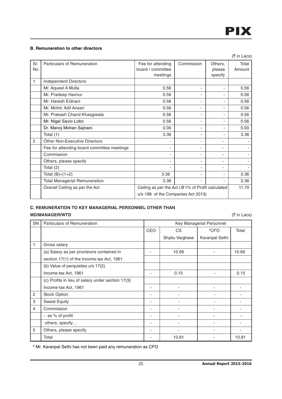## **B. Remuneration to other directors**

|                |                                            |                                                  |                          |         | (₹ in Lacs) |
|----------------|--------------------------------------------|--------------------------------------------------|--------------------------|---------|-------------|
| Sr.            | Particulars of Remuneration                | Fee for attending                                | Commission               | Others, | Total       |
| No.            |                                            | board / committee                                |                          | please  | Amount      |
|                |                                            | meetings                                         |                          | specify |             |
| 1              | <b>Independent Directors</b>               |                                                  |                          |         |             |
|                | Mr. Aqueel A Mulla                         | 0.56                                             | $\overline{\phantom{a}}$ |         | 0.56        |
|                | Mr. Pradeep Havnur                         | 0.56                                             |                          |         | 0.56        |
|                | Mr. Haresh Eidnani                         | 0.56                                             |                          |         | 0.56        |
|                | Mr. Mohd. Adil Ansari                      | 0.56                                             | ٠                        | ٠       | 0.56        |
|                | Mr. Prakash Chand Khasgiwala               | 0.56                                             |                          | ٠       | 0.56        |
|                | Mr. Nigel Savio Lobo                       | 0.56                                             |                          |         | 0.56        |
|                | Dr. Manoj Mohan Sajnani                    | 0.00                                             |                          |         | 0.00        |
|                | Total (1)                                  | 3.36                                             | $\blacksquare$           |         | 3.36        |
| $\overline{2}$ | <b>Other Non-Executive Directors</b>       |                                                  | ٠                        |         |             |
|                | Fee for attending board committee meetings |                                                  | $\overline{\phantom{a}}$ |         |             |
|                | Commission                                 | ٠                                                |                          | ٠       |             |
|                | Others, please specify                     |                                                  | ٠                        |         |             |
|                | Total (2)                                  |                                                  |                          |         |             |
|                | Total $(B)=(1+2)$                          | 3.36                                             | ٠                        |         | 3.36        |
|                | <b>Total Managerial Remuneration</b>       | 3.36                                             |                          |         | 3.36        |
|                | Overall Ceiling as per the Act             | Ceiling as per the Act (@1% of Profit calculated |                          |         | 11.70       |
|                |                                            | u/s 198 of the Companies Act 2013)               |                          |         |             |

## **C. REMUNERATION TO KEY MANAGERIAL PERSONNEL OTHER THAN MD/MANAGER/WTD** (₹ in Lacs)

| SN | Particulars of Remuneration                       |                          |                | Key Managerial Personnel |       |
|----|---------------------------------------------------|--------------------------|----------------|--------------------------|-------|
|    |                                                   | <b>CEO</b>               | <b>CS</b>      | *CFO                     | Total |
|    |                                                   |                          | Shybu Varghese | Karanpal Sethi           |       |
| 1  | Gross salary                                      |                          |                |                          |       |
|    | (a) Salary as per provisions contained in         | ٠                        | 10.66          |                          | 10.66 |
|    | section 17(1) of the Income-tax Act, 1961         |                          |                |                          |       |
|    | (b) Value of perquisites u/s 17(2)                |                          |                |                          |       |
|    | Income-tax Act, 1961                              |                          | 0.15           |                          | 0.15  |
|    | (c) Profits in lieu of salary under section 17(3) |                          |                |                          |       |
|    | Income-tax Act, 1961                              |                          | ۰              |                          |       |
| 2  | Stock Option                                      | $\overline{\phantom{a}}$ |                |                          |       |
| 3  | <b>Sweat Equity</b>                               | $\overline{\phantom{a}}$ |                |                          |       |
| 4  | Commission                                        | $\overline{\phantom{a}}$ | ٠              |                          |       |
|    | - as % of profit                                  | $\overline{\phantom{a}}$ |                |                          |       |
|    | others, specify                                   | $\overline{\phantom{a}}$ |                |                          |       |
| 5  | Others, please specify                            |                          |                |                          |       |
|    | Total                                             |                          | 10.81          |                          | 10.81 |

**\*** Mr. Karanpal Sethi has not been paid any remuneration as CFO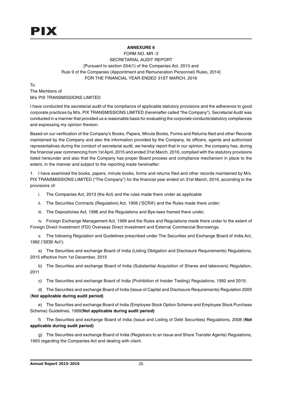## **ANNEXURE 6**

FORM NO. MR -3 SECRETARIAL AUDIT REPORT [Pursuant to section 204(1) of the Companies Act, 2013 and Rule 9 of the Companies (Appointment and Remuneration Personnel) Rules, 2014] FOR THE FINANCIAL YEAR ENDED 31ST MARCH, 2016

To The Members of M/s PIX TRANSMISSIONS LIMITED

I have conducted the secretarial audit of the compliance of applicable statutory provisions and the adherence to good corporate practices by M/s. PIX TRANSMISSIONS LIMITED (hereinafter called "the Company"). Secretarial Audit was conducted in a manner that provided us a reasonable basis for evaluating the corporate conducts/statutory compliances and expressing my opinion thereon.

Based on our verification of the Company's Books, Papers, Minute Books, Forms and Returns filed and other Records maintained by the Company and also the information provided by the Company, its officers, agents and authorized representatives during the conduct of secretarial audit, we hereby report that in our opinion, the company has, during the financial year commencing from 1st April, 2015 and ended 31st March, 2016, complied with the statutory provisions listed hereunder and also that the Company has proper Board process and compliance mechanism in place to the extent, in the manner and subject to the reporting made hereinafter:

1. I have examined the books, papers, minute books, forms and returns filed and other records maintained by M/s. PIX TRANSMISSIONS LIMITED ("The Company") for the financial year ended on 31st March, 2016, according to the provisions of:

- i. The Companies Act, 2013 (the Act) and the rules made there under as applicable
- ii. The Securities Contracts (Regulation) Act, 1956 ('SCRA') and the Rules made there under;
- iii. The Depositories Act, 1996 and the Regulations and Bye-laws framed there under;

iv. Foreign Exchange Management Act, 1999 and the Rules and Regulations made there under to the extent of Foreign Direct Investment (FDI) Overseas Direct Investment and External Commercial Borrowings;

v. The following Regulation and Guidelines prescribed under The Securities and Exchange Board of India Act, 1992 ('SEBI Act'):

a) The Securities and exchange Board of India (Listing Obligation and Disclosure Requirements) Regulations, 2015 effective from 1st December, 2015

b) The Securities and exchange Board of India (Substantial Acquisition of Shares and takeovers) Regulation, 2011

c) The Securities and exchange Board of India (Prohibition of Insider Trading) Regulations, 1992 and 2015;

d) The Securities and exchange Board of India (Issue of Capital and Disclosure Requirements) Regulation 2009 (**Not applicable during audit period)**

e) The Securities and exchange Board of India (Employee Stock Option Scheme and Employee Stock Purchase Scheme) Guidelines, 1999(**Not applicable during audit period)**

f) The Securities and exchange Board of India (Issue and Listing of Debt Securities) Regulations, 2008 (**Not applicable during audit period)**

g) The Securities and exchange Board of India (Registrars to an Issue and Share Transfer Agents) Regulations, 1993 regarding the Companies Act and dealing with client.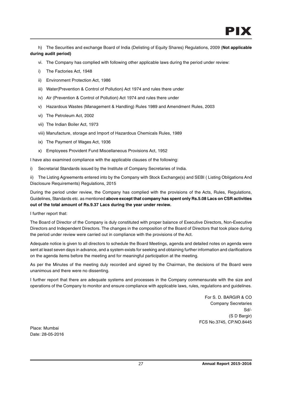h) The Securities and exchange Board of India (Delisting of Equity Shares) Regulations, 2009 (**Not applicable during audit period)**

- vi. The Company has complied with following other applicable laws during the period under review:
- i) The Factories Act, 1948
- ii) Environment Protection Act, 1986
- iii) Water(Prevention & Control of Pollution) Act 1974 and rules there under
- iv) Air (Prevention & Control of Pollution) Act 1974 and rules there under
- v) Hazardous Wastes (Management & Handling) Rules 1989 and Amendment Rules, 2003
- vi) The Petroleum Act, 2002
- vii) The Indian Boiler Act, 1973
- viii) Manufacture, storage and Import of Hazardous Chemicals Rules, 1989
- ix) The Payment of Wages Act, 1936
- x) Employees Provident Fund Miscellaneous Provisions Act, 1952

I have also examined compliance with the applicable clauses of the following:

i) Secretarial Standards issued by the Institute of Company Secretaries of India.

ii) The Listing Agreements entered into by the Company with Stock Exchange(s) and SEBI ( Listing Obligations And Disclosure Requirements) Regulations, 2015

During the period under review, the Company has complied with the provisions of the Acts, Rules, Regulations, Guidelines, Standards etc. as mentioned **above except that company has spent only Rs.5.08 Lacs on CSR activities out of the total amount of Rs.9.37 Lacs during the year under review.**

I further report that:

The Board of Director of the Company is duly constituted with proper balance of Executive Directors, Non-Executive Directors and Independent Directors. The changes in the composition of the Board of Directors that took place during the period under review were carried out in compliance with the provisions of the Act.

Adequate notice is given to all directors to schedule the Board Meetings, agenda and detailed notes on agenda were sent at least seven days in advance, and a system exists for seeking and obtaining further information and clarifications on the agenda items before the meeting and for meaningful participation at the meeting.

As per the Minutes of the meeting duly recorded and signed by the Chairman, the decisions of the Board were unanimous and there were no dissenting.

I further report that there are adequate systems and processes in the Company commensurate with the size and operations of the Company to monitor and ensure compliance with applicable laws, rules, regulations and guidelines.

> For S. D. BARGIR & CO Company Secretaries Sd/- (S D Bargir) FCS No.3745, CP.NO.8445

Place: Mumbai Date: 28-05-2016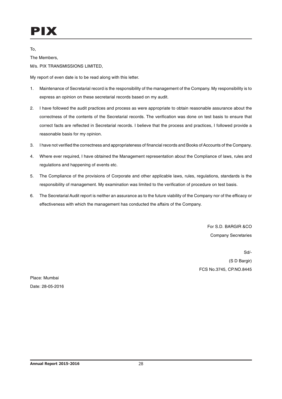To,

The Members,

M/s. PIX TRANSMISSIONS LIMITED,

My report of even date is to be read along with this letter.

- 1. Maintenance of Secretarial record is the responsibility of the management of the Company. My responsibility is to express an opinion on these secretarial records based on my audit.
- 2. I have followed the audit practices and process as were appropriate to obtain reasonable assurance about the correctness of the contents of the Secretarial records. The verification was done on test basis to ensure that correct facts are reflected in Secretarial records. I believe that the process and practices, I followed provide a reasonable basis for my opinion.
- 3. I have not verified the correctness and appropriateness of financial records and Books of Accounts of the Company.
- 4. Where ever required, I have obtained the Management representation about the Compliance of laws, rules and regulations and happening of events etc.
- 5. The Compliance of the provisions of Corporate and other applicable laws, rules, regulations, standards is the responsibility of management. My examination was limited to the verification of procedure on test basis.
- 6. The Secretarial Audit report is neither an assurance as to the future viability of the Company nor of the efficacy or effectiveness with which the management has conducted the affairs of the Company.

For S.D. BARGIR &CO Company Secretaries

Sd/- (S D Bargir) FCS No.3745, CP.NO.8445

Place: Mumbai Date: 28-05-2016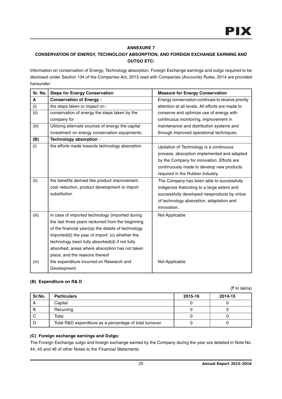## **ANNEXURE 7**

## **CONSERVATION OF ENERGY, TECHNOLOGY ABSORPTION, AND FOREIGN EXCHANGE EARNING AND OUTGO ETC:**

Information on conservation of Energy, Technology absorption, Foreign Exchange earnings and outgo required to be disclosed under Section 134 of the Companies Act, 2013 read with Companies (Accounts) Rules, 2014 are provided hereunder:

| Sr. No. | <b>Steps for Energy Conservation</b>                | <b>Measure for Energy Conservation</b>            |
|---------|-----------------------------------------------------|---------------------------------------------------|
| A       | <b>Conservation of Energy:</b>                      | Energy conservation continues to receive priority |
| (i)     | the steps taken or impact on :                      | attention at all levels. All efforts are made to  |
| (ii)    | conservation of energy the steps taken by the       | conserve and optimize use of energy with          |
|         | company for                                         | continuous monitoring, improvement in             |
| (iii)   | Utilizing alternate sources of energy the capital   | maintenance and distribution systems and          |
|         | investment on energy conservation equipments;       | through improved operational techniques.          |
| (B)     | Technology absorption :                             |                                                   |
| (i)     | the efforts made towards technology absorption      | Updation of Technology is a continuous            |
|         |                                                     | process, absorption implemented and adapted       |
|         |                                                     | by the Company for innovation . Efforts are       |
|         |                                                     | continuously made to develop new products         |
|         |                                                     | required in the Rubber Industry.                  |
| (ii)    | the benefits derived like product improvement,      | The Company has been able to successfully         |
|         | cost reduction, product development or import       | indigenize thetooling to a large extent and       |
|         | substitution                                        | successfully developed newproducts by virtue      |
|         |                                                     | of technology absorption, adaptation and          |
|         |                                                     | innovation.                                       |
| (iii)   | in case of imported technology (imported during     | Not Applicable                                    |
|         | the last three years reckoned from the beginning    |                                                   |
|         | of the financial year)(a) the details of technology |                                                   |
|         | imported(b) the year of import; (c) whether the     |                                                   |
|         | technology been fully absorbed(d) if not fully      |                                                   |
|         | absorbed, areas where absorption has not taken      |                                                   |
|         | place, and the reasons thereof                      |                                                   |
| (iv)    | the expenditure incurred on Research and            | Not Applicable                                    |
|         | Development.                                        |                                                   |

## **(B) Expenditure on R& D**

 $($ ₹ In lakhs)

| Sr.No. | <b>Particulars</b>                                      | 2015-16 | 2014-15 |
|--------|---------------------------------------------------------|---------|---------|
| Α      | Capital                                                 |         |         |
| в      | Recurring                                               |         |         |
|        | Total                                                   |         |         |
|        | Total R&D expenditure as a percentage of total turnover |         |         |

## **(C) Foreign exchange earnings and Outgo:**

The Foreign Exchange outgo and foreign exchange earned by the Company during the year are detailed in Note No. 44, 45 and 46 of other Notes to the Financial Statements.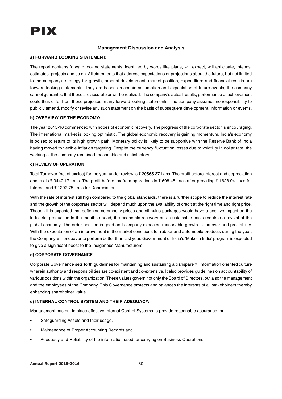## **Management Discussion and Analysis**

## **a) FORWARD LOOKING STATEMENT:**

The report contains forward looking statements, identified by words like plans, will expect, will anticipate, intends, estimates, projects and so on. All statements that address expectations or projections about the future, but not limited to the company's strategy for growth, product development, market position, expenditure and financial results are forward looking statements. They are based on certain assumption and expectation of future events, the company cannot guarantee that these are accurate or will be realized. The company's actual results, performance or achievement could thus differ from those projected in any forward looking statements. The company assumes no responsibility to publicly amend, modify or revise any such statement on the basis of subsequent development, information or events.

## **b) OVERVIEW OF THE ECONOMY:**

The year 2015-16 commenced with hopes of economic recovery. The progress of the corporate sector is encouraging. The international market is looking optimistic. The global economic recovery is gaining momentum. India's economy is poised to return to its high growth path. Monetary policy is likely to be supportive with the Reserve Bank of India having moved to flexible inflation targeting. Despite the currency fluctuation losses due to volatility in dollar rate, the working of the company remained reasonable and satisfactory.

## **c) REVIEW OF OPERATION**

Total Turnover (net of excise) for the year under review is  $\bar{\tau}$  20565.37 Lacs. The profit before interest and depreciation and tax is  $\bar{\tau}$  3440.17 Lacs. The profit before tax from operations is  $\bar{\tau}$  608.48 Lacs after providing  $\bar{\tau}$  1628.94 Lacs for Interest and ₹ 1202.75 Lacs for Depreciation.

With the rate of interest still high compared to the global standards, there is a further scope to reduce the interest rate and the growth of the corporate sector will depend much upon the availability of credit at the right time and right price. Though it is expected that softening commodity prices and stimulus packages would have a positive impact on the industrial production in the months ahead, the economic recovery on a sustainable basis requires a revival of the global economy. The order position is good and company expected reasonable growth in turnover and profitability. With the expectation of an improvement in the market conditions for rubber and automobile products during the year, the Company will endeavor to perform better than last year. Government of India's 'Make in India' program is expected to give a significant boost to the Indigenous Manufacturers.

## **d) CORPORATE GOVERNANCE**

Corporate Governance sets forth guidelines for maintaining and sustaining a transparent, information oriented culture wherein authority and responsibilities are co-existent and co-extensive. It also provides guidelines on accountability of various positions within the organization. These values govern not only the Board of Directors, but also the management and the employees of the Company. This Governance protects and balances the interests of all stakeholders thereby enhancing shareholder value.

## **e) INTERNAL CONTROL SYSTEM AND THEIR ADEQUACY:**

Management has put in place effective Internal Control Systems to provide reasonable assurance for

- Safeguarding Assets and their usage.
- Maintenance of Proper Accounting Records and
- Adequacy and Reliability of the information used for carrying on Business Operations.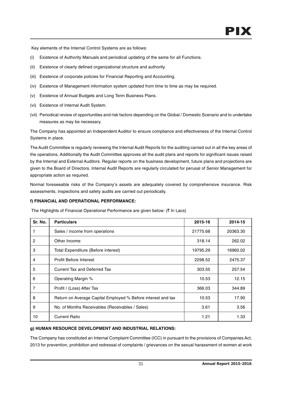Key elements of the Internal Control Systems are as follows:

- (i) Existence of Authority Manuals and periodical updating of the same for all Functions.
- (ii) Existence of clearly defined organizational structure and authority.
- (iii) Existence of corporate policies for Financial Reporting and Accounting.
- (iv) Existence of Management information system updated from time to time as may be required.
- (v) Existence of Annual Budgets and Long Term Business Plans.
- (vi) Existence of Internal Audit System.
- (vii) Periodical review of opportunities and risk factors depending on the Global / Domestic Scenario and to undertake measures as may be necessary.

The Company has appointed an Independent Auditor to ensure compliance and effectiveness of the Internal Control Systems in place.

The Audit Committee is regularly reviewing the Internal Audit Reports for the auditing carried out in all the key areas of the operations. Additionally the Audit Committee approves all the audit plans and reports for significant issues raised by the Internal and External Auditors. Regular reports on the business development, future plans and projections are given to the Board of Directors. Internal Audit Reports are regularly circulated for perusal of Senior Management for appropriate action as required.

Normal foreseeable risks of the Company's assets are adequately covered by comprehensive insurance. Risk assessments, inspections and safety audits are carried out periodically.

## **f) FINANCIAL AND OPERATIONAL PERFORMANCE:**

The Highlights of Financial Operational Performance are given below:  $($ ₹ In Lacs)

| Sr. No.        | <b>Particulars</b>                                           | 2015-16  | 2014-15  |
|----------------|--------------------------------------------------------------|----------|----------|
|                | Sales / income from operations                               | 21775.68 | 20363.30 |
| $\overline{c}$ | Other Income                                                 | 318.14   | 262.02   |
| 3              | Total Expenditure (Before interest)                          | 19795.29 | 16960.02 |
| 4              | Profit Before Interest                                       | 2298.52  | 2475.37  |
| 5              | Current Tax and Deferred Tax                                 | 303.55   | 257.54   |
| 6              | Operating Margin %                                           | 10.53    | 12.15    |
| 7              | Profit / (Loss) After Tax                                    | 366.03   | 344.89   |
| 8              | Return on Average Capital Employed % Before interest and tax | 10.53    | 17.90    |
| 9              | No. of Months Receivables (Receivables / Sales)              | 3.61     | 3.56     |
| 10             | <b>Current Ratio</b>                                         | 1.21     | 1.33     |

## **g) HUMAN RESOURCE DEVELOPMENT AND INDUSTRIAL RELATIONS:**

The Company has constituted an Internal Complaint Committee (ICC) in pursuant to the provisions of Companies Act, 2013 for prevention, prohibition and redressal of complaints / grievances on the sexual harassment of women at work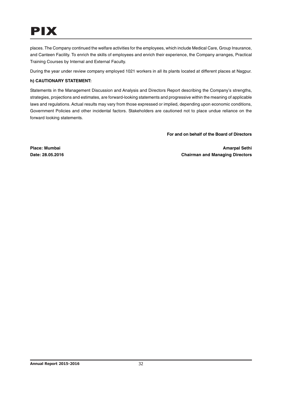## PIX

places. The Company continued the welfare activities for the employees, which include Medical Care, Group Insurance, and Canteen Facility. To enrich the skills of employees and enrich their experience, the Company arranges, Practical Training Courses by Internal and External Faculty.

During the year under review company employed 1021 workers in all its plants located at different places at Nagpur.

## **h) CAUTIONARY STATEMENT:**

Statements in the Management Discussion and Analysis and Directors Report describing the Company's strengths, strategies, projections and estimates, are forward-looking statements and progressive within the meaning of applicable laws and regulations. Actual results may vary from those expressed or implied, depending upon economic conditions, Government Policies and other incidental factors. Stakeholders are cautioned not to place undue reliance on the forward looking statements.

**For and on behalf of the Board of Directors**

**Place: Mumbai Amarpal Sethi Date: 28.05.2016 Chairman and Managing Directors**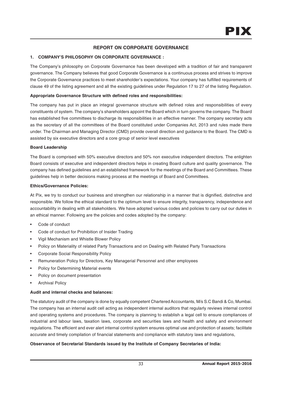## **REPORT ON CORPORATE GOVERNANCE**

## **1. COMPANY'S PHILOSOPHY ON CORPORATE GOVERNANCE :**

The Company's philosophy on Corporate Governance has been developed with a tradition of fair and transparent governance. The Company believes that good Corporate Governance is a continuous process and strives to improve the Corporate Governance practices to meet shareholder's expectations. Your company has fulfilled requirements of clause 49 of the listing agreement and all the existing guidelines under Regulation 17 to 27 of the listing Regulation.

## **Appropriate Governance Structure with defined roles and responsibilities:**

The company has put in place an integral governance structure with defined roles and responsibilities of every constituents of system. The company's shareholders appoint the Board which in turn governs the company. The Board has established five committees to discharge its responsibilities in an effective manner. The company secretary acts as the secretary of all the committees of the Board constituted under Companies Act, 2013 and rules made there under. The Chairman and Managing Director (CMD) provide overall direction and guidance to the Board. The CMD is assisted by six executive directors and a core group of senior level executives

## **Board Leadership**

The Board is comprised with 50% executive directors and 50% non executive independent directors. The enlighten Board consists of executive and independent directors helps in creating Board culture and quality governance. The company has defined guidelines and an established framework for the meetings of the Board and Committees. These guidelines help in better decisions making process at the meetings of Board and Committees.

## **Ethics/Governance Policies:**

At Pix, we try to conduct our business and strengthen our relationship in a manner that is dignified, distinctive and responsible. We follow the ethical standard to the optimum level to ensure integrity, transparency, independence and accountability in dealing with all stakeholders. We have adopted various codes and policies to carry out our duties in an ethical manner. Following are the policies and codes adopted by the company:

- Code of conduct
- Code of conduct for Prohibition of Insider Trading
- Vigil Mechanism and Whistle Blower Policy
- Policy on Materiality of related Party Transactions and on Dealing with Related Party Transactions
- Corporate Social Responsibility Policy
- Remuneration Policy for Directors, Key Managerial Personnel and other employees
- Policy for Determining Material events
- Policy on document presentation
- **Archival Policy**

## **Audit and internal checks and balances:**

The statutory audit of the company is done by equally competent Chartered Accountants, M/s S.C Bandi & Co, Mumbai. The company has an internal audit cell acting as independent internal auditors that regularly reviews internal control and operating systems and procedures. The company is planning to establish a legal cell to ensure compliances of industrial and labour laws, taxation laws, corporate and securities laws and health and safety and environment regulations. The efficient and ever alert internal control system ensures optimal use and protection of assets; facilitate accurate and timely compilation of financial statements and compliance with statutory laws and regulations,

## **Observance of Secretarial Standards issued by the Institute of Company Secretaries of India:**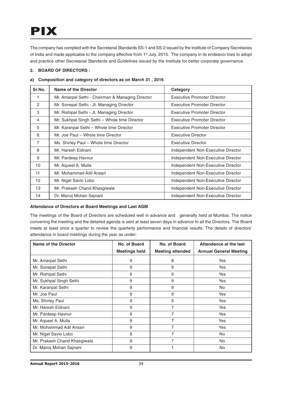## PIX

The company has complied with the Secretarial Standards SS-1 and SS-2 issued by the Institute of Company Secretaries of India and made applicable to the company effective from 1<sup>st</sup> July, 2015. The company in its endeavor tries to adopt and practice other Secretarial Standards and Guidelines issued by the Institute for better corporate governance.

## **2. BOARD OF DIRECTORS :**

| Composition and category of directors as on March 31, 2016<br>a) I |                                                  |                                    |  |  |  |
|--------------------------------------------------------------------|--------------------------------------------------|------------------------------------|--|--|--|
| Sr.No.                                                             | <b>Name of the Director</b>                      | Category                           |  |  |  |
| 1                                                                  | Mr. Amarpal Sethi - Chairman & Managing Director | <b>Executive Promoter Director</b> |  |  |  |
| $\overline{2}$                                                     | Mr. Sonepal Sethi - Jt. Managing Director        | Executive Promoter Director        |  |  |  |
| 3                                                                  | Mr. Rishipal Sethi - Jt. Managing Director       | <b>Executive Promoter Director</b> |  |  |  |
| 4                                                                  | Mr. Sukhpal Singh Sethi – Whole time Director    | <b>Executive Promoter Director</b> |  |  |  |
| 5                                                                  | Mr. Karanpal Sethi - Whole time Director         | Executive Promoter Director        |  |  |  |
| 6                                                                  | Mr. Joe Paul - Whole time Director               | <b>Executive Director</b>          |  |  |  |
| $\overline{7}$                                                     | Ms. Shirley Paul - Whole time Director           | <b>Executive Director</b>          |  |  |  |
| 8                                                                  | Mr. Haresh Eidnani                               | Independent Non-Executive Director |  |  |  |
| 9                                                                  | Mr. Pardeep Havnur                               | Independent Non-Executive Director |  |  |  |
| 10                                                                 | Mr. Aqueel A. Mulla                              | Independent Non-Executive Director |  |  |  |
| 11                                                                 | Mr. Mohammad Adil Ansari                         | Independent Non-Executive Director |  |  |  |
| 12 <sup>2</sup>                                                    | Mr. Nigel Savio Lobo                             | Independent Non-Executive Director |  |  |  |
| 13                                                                 | Mr. Prakash Chand Khasgiwala                     | Independent Non-Executive Director |  |  |  |
| 14                                                                 | Dr. Manoj Mohan Sajnani                          | Independent Non-Executive Director |  |  |  |

## **a) Composition and category of directors as on March 31 , 2016**

## **Attendance of Directors at Board Meetings and Last AGM**

The meetings of the Board of Directors are scheduled well in advance and generally held at Mumbai. The notice convening the meeting and the detailed agenda is sent at least seven days in advance to all the Directors. The Board meets at least once a quarter to review the quarterly performance and financial results. The details of directors' attendance in board meetings during the year as under:

| Name of the Director         | No. of Board         | No. of Board            | Attendance at the last        |
|------------------------------|----------------------|-------------------------|-------------------------------|
|                              | <b>Meetings held</b> | <b>Meeting attended</b> | <b>Annual General Meeting</b> |
| Mr. Amarpal Sethi            | 9                    | 8                       | Yes                           |
| Mr. Sonepal Sethi            | 9                    | 9                       | Yes                           |
| Mr. Rishipal Sethi           | 9                    | 9                       | Yes                           |
| Mr. Sukhpal Singh Sethi      | 9                    | 9                       | Yes                           |
| Mr. Karanpal Sethi           | 9                    | 9                       | No.                           |
| Mr. Joe Paul                 | 9                    | 9                       | Yes                           |
| Ms. Shirley Paul             | 9                    | 9                       | Yes                           |
| Mr. Haresh Eidnani           | 9                    | 7                       | Yes                           |
| Mr. Pardeep Havnur           | 9                    | 7                       | Yes                           |
| Mr. Aqueel A. Mulla          | 9                    | 7                       | Yes                           |
| Mr. Mohammad Adil Ansari     | 9                    | $\overline{7}$          | <b>Yes</b>                    |
| Mr. Nigel Savio Lobo         | 9                    | $\overline{7}$          | <b>No</b>                     |
| Mr. Prakash Chand Khasgiwala | 9                    | 7                       | No                            |
| Dr. Manoj Mohan Sajnani      | 9                    |                         | No                            |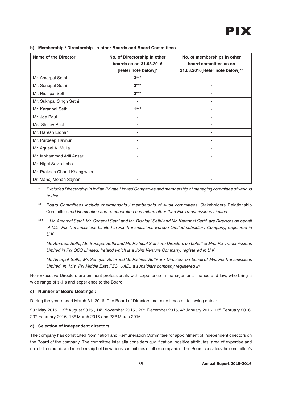| <b>Name of the Director</b>  | No. of Directorship in other<br>boards as on 31,03,2016<br>[Refer note below]* | No. of memberships in other<br>board committee as on<br>31.03.2016[Refer note below]** |
|------------------------------|--------------------------------------------------------------------------------|----------------------------------------------------------------------------------------|
| Mr. Amarpal Sethi            | $3***$                                                                         |                                                                                        |
| Mr. Sonepal Sethi            | $3***$                                                                         |                                                                                        |
| Mr. Rishipal Sethi           | $3***$                                                                         |                                                                                        |
| Mr. Sukhpal Singh Sethi      |                                                                                |                                                                                        |
| Mr. Karanpal Sethi           | $1***$                                                                         |                                                                                        |
| Mr. Joe Paul                 |                                                                                |                                                                                        |
| Ms. Shirley Paul             |                                                                                |                                                                                        |
| Mr. Haresh Eidnani           |                                                                                |                                                                                        |
| Mr. Pardeep Havnur           | ۰                                                                              |                                                                                        |
| Mr. Aqueel A. Mulla          | ۰                                                                              |                                                                                        |
| Mr. Mohammad Adil Ansari     |                                                                                |                                                                                        |
| Mr. Nigel Savio Lobo         |                                                                                |                                                                                        |
| Mr. Prakash Chand Khasgiwala |                                                                                |                                                                                        |
| Dr. Manoj Mohan Sajnani      |                                                                                |                                                                                        |

#### **b) Membership / Directorship in other Boards and Board Committees**

**\*** Excludes Directorship in Indian Private Limited Companies and membership of managing committee of various bodies.

- **\*\*** Board Committees include chairmanship / membership of Audit committees, Stakeholders Relationship Committee and Nomination and remuneration committee other than Pix Transmissions Limited.
- **\*\*\*** Mr. Amarpal Sethi, Mr. Sonepal Sethi and Mr. Rishipal Sethi and Mr. Karanpal Sethi are Directors on behalf of M/s. Pix Transmissions Limited in Pix Transmissions Europe Limited subsidiary Company, registered in U.K.

Mr. Amarpal Sethi, Mr. Sonepal Sethi and Mr. Rishipal Sethi are Directors on behalf of M/s. Pix Transmissions Limited in Pix QCS Limited, Ireland which is a Joint Venture Company, registered in U.K.

Mr. Amarpal Sethi, Mr. Sonepal Sethi and Mr. Rishipal Sethi are Directors on behalf of M/s. Pix Transmissions Limited in M/s. Pix Middle East FZC, UAE., a subsidiary company registered in

Non-Executive Directors are eminent professionals with experience in management, finance and law, who bring a wide range of skills and experience to the Board.

#### **c) Number of Board Meetings :**

During the year ended March 31, 2016, The Board of Directors met nine times on following dates:

29th May 2015, 12th August 2015, 14th November 2015, 22<sup>nd</sup> December 2015, 4th January 2016, 13th February 2016, 23rd February 2016, 18th March 2016 and 23rd March 2016.

## **d) Selection of Independent directors**

The company has constituted Nomination and Remuneration Committee for appointment of independent directors on the Board of the company. The committee inter alia considers qualification, positive attributes, area of expertise and no. of directorship and membership held in various committees of other companies. The Board considers the committee's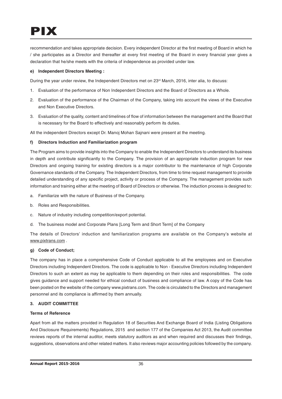recommendation and takes appropriate decision. Every independent Director at the first meeting of Board in which he / she participates as a Director and thereafter at every first meeting of the Board in every financial year gives a declaration that he/she meets with the criteria of independence as provided under law.

# **e) Independent Directors Meeting :**

During the year under review, the Independent Directors met on 23<sup>rd</sup> March, 2016, inter alia, to discuss:

- 1. Evaluation of the performance of Non Independent Directors and the Board of Directors as a Whole.
- 2. Evaluation of the performance of the Chairman of the Company, taking into account the views of the Executive and Non Executive Directors.
- 3. Evaluation of the quality, content and timelines of flow of information between the management and the Board that is necessary for the Board to effectively and reasonably perform its duties.

All the independent Directors except Dr. Manoj Mohan Sajnani were present at the meeting.

# **f) Directors Induction and Familiarization program**

The Program aims to provide insights into the Company to enable the Independent Directors to understand its business in depth and contribute significantly to the Company. The provision of an appropriate induction program for new Directors and ongoing training for existing directors is a major contributor to the maintenance of high Corporate Governance standards of the Company. The Independent Directors, from time to time request management to provide detailed understanding of any specific project, activity or process of the Company. The management provides such information and training either at the meeting of Board of Directors or otherwise. The induction process is designed to:

- a. Familiarize with the nature of Business of the Company.
- b. Roles and Responsibilities.
- c. Nature of industry including competition/export potential.
- d. The business model and Corporate Plans [Long Term and Short Term] of the Company

The details of Directors' induction and familiarization programs are available on the Company's website at www.pixtrans.com .

## **g) Code of Conduct;**

The company has in place a comprehensive Code of Conduct applicable to all the employees and on Executive Directors including Independent Directors. The code is applicable to Non - Executive Directors including Independent Directors to such an extent as may be applicable to them depending on their roles and responsibilities. The code gives guidance and support needed for ethical conduct of business and compliance of law. A copy of the Code has been posted on the website of the company www.pixtrans.com. The code is circulated to the Directors and management personnel and its compliance is affirmed by them annually.

## **3. AUDIT COMMITTEE**

## **Terms of Reference**

Apart from all the matters provided in Regulation 18 of Securities And Exchange Board of India (Listing Obligations And Disclosure Requirements) Regulations, 2015 and section 177 of the Companies Act 2013, the Audit committee reviews reports of the internal auditor, meets statutory auditors as and when required and discusses their findings, suggestions, observations and other related matters. It also reviews major accounting policies followed by the company.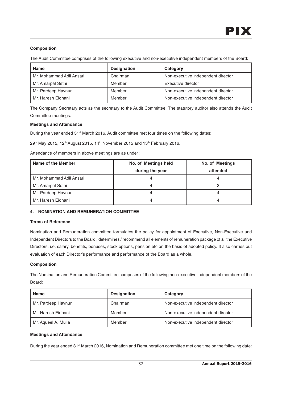# **Composition**

The Audit Committee comprises of the following executive and non-executive independent members of the Board:

| <b>Name</b>              | <b>Designation</b> | Category                           |
|--------------------------|--------------------|------------------------------------|
| Mr. Mohammad Adil Ansari | Chairman           | Non-executive independent director |
| Mr. Amarpal Sethi        | Member             | Executive director                 |
| Mr. Pardeep Havnur       | Member             | Non-executive independent director |
| Mr. Haresh Eidnani       | Member             | Non-executive independent director |

The Company Secretary acts as the secretary to the Audit Committee. The statutory auditor also attends the Audit Committee meetings.

## **Meetings and Attendance**

During the year ended 31<sup>st</sup> March 2016, Audit committee met four times on the following dates:

 $29<sup>th</sup>$  May 2015, 12<sup>th</sup> August 2015, 14<sup>th</sup> November 2015 and 13<sup>th</sup> February 2016.

Attendance of members in above meetings are as under :

| Name of the Member       | No. of Meetings held | No. of Meetings |  |
|--------------------------|----------------------|-----------------|--|
|                          | during the year      | attended        |  |
| Mr. Mohammad Adil Ansari |                      |                 |  |
| Mr. Amarpal Sethi        |                      |                 |  |
| Mr. Pardeep Havnur       |                      |                 |  |
| Mr. Haresh Eidnani       |                      |                 |  |

## **4. NOMINATION AND REMUNERATION COMMITTEE**

## **Terms of Reference**

Nomination and Remuneration committee formulates the policy for appointment of Executive, Non-Executive and Independent Directors to the Board , determines / recommend all elements of remuneration package of all the Executive Directors, i.e. salary, benefits, bonuses, stock options, pension etc on the basis of adopted policy. It also carries out evaluation of each Director's performance and performance of the Board as a whole.

## **Composition**

The Nomination and Remuneration Committee comprises of the following non-executive independent members of the Board:

| <b>Name</b>         | <b>Designation</b> | Category                           |
|---------------------|--------------------|------------------------------------|
| Mr. Pardeep Havnur  | Chairman           | Non-executive independent director |
| Mr. Haresh Eidnani  | Member             | Non-executive independent director |
| Mr. Aqueel A. Mulla | Member             | Non-executive independent director |

## **Meetings and Attendance**

During the year ended 31<sup>st</sup> March 2016, Nomination and Remuneration committee met one time on the following date: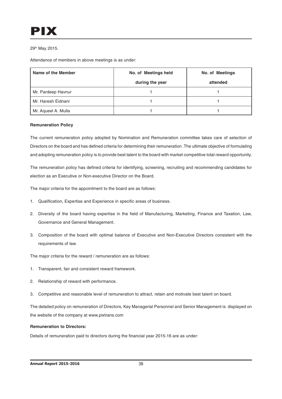# 29th May 2015.

Attendance of members in above meetings is as under:

| Name of the Member  | No. of Meetings held | No. of Meetings |  |
|---------------------|----------------------|-----------------|--|
|                     | during the year      | attended        |  |
| Mr. Pardeep Havnur  |                      |                 |  |
| Mr. Haresh Eidnani  |                      |                 |  |
| Mr. Aqueel A. Mulla |                      |                 |  |

## **Remuneration Policy**

The current remuneration policy adopted by Nomination and Remuneration committee takes care of selection of Directors on the board and has defined criteria for determining their remuneration .The ultimate objective of formulating and adopting remuneration policy is to provide best talent to the board with market competitive total reward opportunity.

The remuneration policy has defined criteria for identifying, screening, recruiting and recommending candidates for election as an Executive or Non-executive Director on the Board.

The major criteria for the appointment to the board are as follows:

- 1. Qualification, Expertise and Experience in specific areas of business.
- 2. Diversity of the board having expertise in the field of Manufacturing, Marketing, Finance and Taxation, Law, Governance and General Management.
- 3. Composition of the board with optimal balance of Executive and Non-Executive Directors consistent with the requirements of law.

The major criteria for the reward / remuneration are as follows:

- 1. Transparent, fair and consistent reward framework.
- 2. Relationship of reward with performance.
- 3. Competitive and reasonable level of remuneration to attract, retain and motivate best talent on board.

The detailed policy on remuneration of Directors, Key Managerial Personnel and Senior Management is displayed on the website of the company at www.pixtrans.com

## **Remuneration to Directors:**

Details of remuneration paid to directors during the financial year 2015-16 are as under: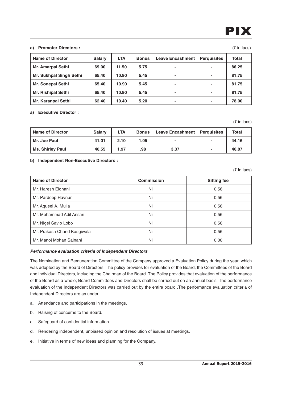# PIX

 $($ ₹ in lacs)

## **a) Promoter Directors :**

| <b>Name of Director</b>   | <b>Salary</b> | <b>LTA</b> | <b>Bonus</b> | <b>Leave Encashment</b> | <b>Perquisites</b> | <b>Total</b> |
|---------------------------|---------------|------------|--------------|-------------------------|--------------------|--------------|
| <b>Mr. Amarpal Sethi</b>  | 69.00         | 11.50      | 5.75         | $\blacksquare$          |                    | 86.25        |
| Mr. Sukhpal Singh Sethi   | 65.40         | 10.90      | 5.45         | $\sim$                  |                    | 81.75        |
| <b>Mr. Sonepal Sethi</b>  | 65.40         | 10.90      | 5.45         | $\blacksquare$          |                    | 81.75        |
| <b>Mr. Rishipal Sethi</b> | 65.40         | 10.90      | 5.45         | $\blacksquare$          |                    | 81.75        |
| <b>Mr. Karanpal Sethi</b> | 62.40         | 10.40      | 5.20         | $\blacksquare$          |                    | 78.00        |

## **a) Executive Director :**

 $($ ₹ in lacs)

| <b>Name of Director</b> | <b>Salary</b> | <b>LTA</b> | <b>Bonus</b> | Leave Encashment   Perquisites | Total |
|-------------------------|---------------|------------|--------------|--------------------------------|-------|
| Mr. Joe Paul            | 41.01         | 2.10       | 1.05         |                                | 44.16 |
| <b>Ms. Shirley Paul</b> | 40.55         | 1.97       | .98          | 3.37                           | 46.87 |

# **b) Independent Non-Executive Directors :**

 $($ ₹ in lacs)

| <b>Name of Director</b>     | <b>Commission</b> | <b>Sitting fee</b> |
|-----------------------------|-------------------|--------------------|
| Mr. Haresh Eidnani          | Nil               | 0.56               |
| Mr. Pardeep Havnur          | Nil               | 0.56               |
| Mr. Aqueel A. Mulla         | Nil               | 0.56               |
| Mr. Mohammad Adil Ansari    | Nil               | 0.56               |
| Mr. Nigel Savio Lobo        | Nil               | 0.56               |
| Mr. Prakash Chand Kasgiwala | Nil               | 0.56               |
| Mr. Manoj Mohan Sajnani     | Nil               | 0.00               |

# **Performance evaluation criteria of Independent Directors**

The Nomination and Remuneration Committee of the Company approved a Evaluation Policy during the year, which was adopted by the Board of Directors. The policy provides for evaluation of the Board, the Committees of the Board and individual Directors, including the Chairman of the Board. The Policy provides that evaluation of the performance of the Board as a whole; Board Committees and Directors shall be carried out on an annual basis. The performance evaluation of the Independent Directors was carried out by the entire board .The performance evaluation criteria of Independent Directors are as under:

- a. Attendance and participations in the meetings.
- b. Raising of concerns to the Board.
- c. Safeguard of confidential information.
- d. Rendering independent, unbiased opinion and resolution of issues at meetings.
- e. Initiative in terms of new ideas and planning for the Company.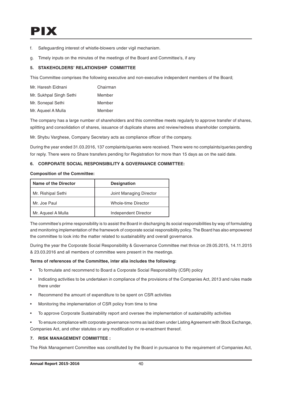# PIX

- f. Safeguarding interest of whistle-blowers under vigil mechanism.
- g. Timely inputs on the minutes of the meetings of the Board and Committee's, if any

## **5. STAKEHOLDERS' RELATIONSHIP COMMITTEE**

This Committee comprises the following executive and non-executive independent members of the Board;

| Mr. Haresh Eidnani      | Chairman |
|-------------------------|----------|
| Mr. Sukhpal Singh Sethi | Member   |
| Mr. Sonepal Sethi       | Member   |
| Mr. Aqueel A Mulla      | Member   |

The company has a large number of shareholders and this committee meets regularly to approve transfer of shares, splitting and consolidation of shares, issuance of duplicate shares and review/redress shareholder complaints.

Mr. Shybu Varghese, Company Secretary acts as compliance officer of the company.

During the year ended 31.03.2016, 137 complaints/queries were received. There were no complaints/queries pending for reply. There were no Share transfers pending for Registration for more than 15 days as on the said date.

## **6. CORPORATE SOCIAL RESPONSIBILITY & GOVERNANCE COMMITTEE:**

#### **Composition of the Committee:**

| Name of the Director | <b>Designation</b>      |
|----------------------|-------------------------|
| Mr. Rishipal Sethi   | Joint Managing Director |
| Mr. Joe Paul         | Whole-time Director     |
| Mr. Aqueel A Mulla   | Independent Director    |

The committee's prime responsibility is to assist the Board in discharging its social responsibilities by way of formulating and monitoring implementation of the framework of corporate social responsibility policy. The Board has also empowered the committee to look into the matter related to sustainability and overall governance.

During the year the Corporate Social Responsibility & Governance Committee met thrice on 29.05.2015, 14.11.2015 & 23.03.2016 and all members of committee were present in the meetings.

#### **Terms of references of the Committee, inter alia includes the following:**

- To formulate and recommend to Board a Corporate Social Responsibility (CSR) policy
- Indicating activities to be undertaken in compliance of the provisions of the Companies Act, 2013 and rules made there under
- Recommend the amount of expenditure to be spent on CSR activities
- Monitoring the implementation of CSR policy from time to time
- To approve Corporate Sustainability report and oversee the implementation of sustainability activities
- To ensure compliance with corporate governance norms as laid down under Listing Agreement with Stock Exchange, Companies Act, and other statutes or any modification or re-enactment thereof.

## **7. RISK MANAGEMENT COMMITTEE :**

The Risk Management Committee was constituted by the Board in pursuance to the requirement of Companies Act,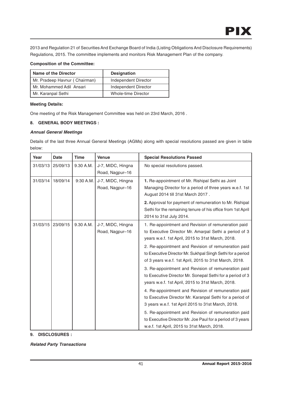2013 and Regulation 21 of Securities And Exchange Board of India (Listing Obligations And Disclosure Requirements) Regulations, 2015. The committee implements and monitors Risk Management Plan of the company.

# **Composition of the Committee:**

| Name of the Director          | <b>Designation</b>   |  |
|-------------------------------|----------------------|--|
| Mr. Pradeep Havnur (Chairman) | Independent Director |  |
| Mr. Mohammed Adil Ansari      | Independent Director |  |
| Mr. Karanpal Sethi            | Whole-time Director  |  |

# **Meeting Details:**

One meeting of the Risk Management Committee was held on 23rd March, 2016 .

# **8. GENERAL BODY MEETINGS :**

# **Annual General Meetings**

Details of the last three Annual General Meetings (AGMs) along with special resolutions passed are given in table below:

| Year<br><b>Date</b>  | <b>Time</b> | <b>Venue</b>                         | <b>Special Resolutions Passed</b>                                                                                                                                                                                                                                                                                                                                                                                                                                                                                                                                                                                                                                                                                                                                                                                       |
|----------------------|-------------|--------------------------------------|-------------------------------------------------------------------------------------------------------------------------------------------------------------------------------------------------------------------------------------------------------------------------------------------------------------------------------------------------------------------------------------------------------------------------------------------------------------------------------------------------------------------------------------------------------------------------------------------------------------------------------------------------------------------------------------------------------------------------------------------------------------------------------------------------------------------------|
| 31/03/13<br>25/09/13 | 9.30 A.M.   | J-7, MIDC, Hingna<br>Road, Nagpur-16 | No special resolutions passed.                                                                                                                                                                                                                                                                                                                                                                                                                                                                                                                                                                                                                                                                                                                                                                                          |
| 31/03/14<br>18/09/14 | 9:30 A.M.   | J-7, MIDC, Hingna<br>Road, Nagpur-16 | 1. Re-appointment of Mr. Rishipal Sethi as Joint<br>Managing Director for a period of three years w.e.f. 1st<br>August 2014 till 31st March 2017.                                                                                                                                                                                                                                                                                                                                                                                                                                                                                                                                                                                                                                                                       |
|                      |             |                                      | 2. Approval for payment of remuneration to Mr. Rishipal<br>Sethi for the remaining tenure of his office from 1st April<br>2014 to 31st July 2014.                                                                                                                                                                                                                                                                                                                                                                                                                                                                                                                                                                                                                                                                       |
| 31/03/15<br>23/09/15 | 9.30 A.M.   | J-7, MIDC, Hingna<br>Road, Nagpur-16 | 1. Re-appointment and Revision of remuneration paid<br>to Executive Director Mr. Amarpal Sethi a period of 3<br>years w.e.f. 1st April, 2015 to 31st March, 2018.<br>2. Re-appointment and Revision of remuneration paid<br>to Executive Director Mr. Sukhpal Singh Sethi for a period<br>of 3 years w.e.f. 1st April, 2015 to 31st March, 2018.<br>3. Re-appointment and Revision of remuneration paid<br>to Executive Director Mr. Sonepal Sethi for a period of 3<br>years w.e.f. 1st April, 2015 to 31st March, 2018.<br>4. Re-appointment and Revision of remuneration paid<br>to Executive Director Mr. Karanpal Sethi for a period of<br>3 years w.e.f. 1st April 2015 to 31st March, 2018.<br>5. Re-appointment and Revision of remuneration paid<br>to Executive Director Mr. Joe Paul for a period of 3 years |

**9. DISCLOSURES :**

**Related Party Transactions**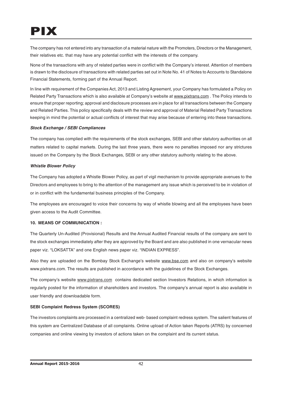# PIX

The company has not entered into any transaction of a material nature with the Promoters, Directors or the Management, their relatives etc. that may have any potential conflict with the interests of the company.

None of the transactions with any of related parties were in conflict with the Company's interest. Attention of members is drawn to the disclosure of transactions with related parties set out in Note No. 41 of Notes to Accounts to Standalone Financial Statements, forming part of the Annual Report.

In line with requirement of the Companies Act, 2013 and Listing Agreement, your Company has formulated a Policy on Related Party Transactions which is also available at Company's website at www.pixtrans.com . The Policy intends to ensure that proper reporting; approval and disclosure processes are in place for all transactions between the Company and Related Parties. This policy specifically deals with the review and approval of Material Related Party Transactions keeping in mind the potential or actual conflicts of interest that may arise because of entering into these transactions.

# **Stock Exchange / SEBI Compliances**

The company has complied with the requirements of the stock exchanges, SEBI and other statutory authorities on all matters related to capital markets. During the last three years, there were no penalties imposed nor any strictures issued on the Company by the Stock Exchanges, SEBI or any other statutory authority relating to the above.

# **Whistle Blower Policy**

The Company has adopted a Whistle Blower Policy, as part of vigil mechanism to provide appropriate avenues to the Directors and employees to bring to the attention of the management any issue which is perceived to be in violation of or in conflict with the fundamental business principles of the Company.

The employees are encouraged to voice their concerns by way of whistle blowing and all the employees have been given access to the Audit Committee.

# **10. MEANS OF COMMUNICATION :**

The Quarterly Un-Audited (Provisional) Results and the Annual Audited Financial results of the company are sent to the stock exchanges immediately after they are approved by the Board and are also published in one vernacular news paper viz. "LOKSATTA" and one English news paper viz. "INDIAN EXPRESS".

Also they are uploaded on the Bombay Stock Exchange's website www.bse.com and also on company's website www.pixtrans.com. The results are published in accordance with the guidelines of the Stock Exchanges.

The company's website www.pixtrans.com contains dedicated section Investors Relations, in which information is regularly posted for the information of shareholders and investors. The company's annual report is also available in user friendly and downloadable form.

# **SEBI Complaint Redress System (SCORES)**

The investors complaints are processed in a centralized web- based complaint redress system. The salient features of this system are Centralized Database of all complaints. Online upload of Action taken Reports (ATRS) by concerned companies and online viewing by investors of actions taken on the complaint and its current status.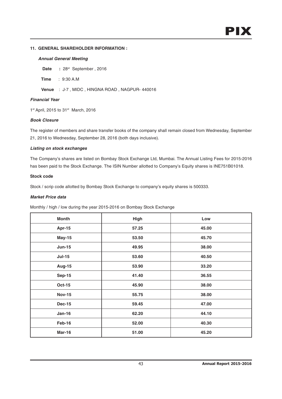## **11. GENERAL SHAREHOLDER INFORMATION :**

## **Annual General Meeting**

**Date** : 28<sup>st</sup> September, 2016

**Time** : 9:30 A.M

**Venue** : J-7 , MIDC , HINGNA ROAD , NAGPUR- 440016

## **Financial Year**

1st April, 2015 to 31st March, 2016

## **Book Closure**

The register of members and share transfer books of the company shall remain closed from Wednesday, September 21, 2016 to Wednesday, September 28, 2016 (both days inclusive).

## **Listing on stock exchanges**

The Company's shares are listed on Bombay Stock Exchange Ltd, Mumbai. The Annual Listing Fees for 2015-2016 has been paid to the Stock Exchange. The ISIN Number allotted to Company's Equity shares is INE751B01018.

## **Stock code**

Stock / scrip code allotted by Bombay Stock Exchange to company's equity shares is 500333.

### **Market Price data**

Monthly / high / low during the year 2015-2016 on Bombay Stock Exchange

| <b>Month</b>  | High  | Low   |
|---------------|-------|-------|
| Apr-15        | 57.25 | 45.00 |
| <b>May-15</b> | 53.50 | 45.70 |
| <b>Jun-15</b> | 49.95 | 38.00 |
| <b>Jul-15</b> | 53.60 | 40.50 |
| <b>Aug-15</b> | 53.90 | 33.20 |
| <b>Sep-15</b> | 41.40 | 36.55 |
| <b>Oct-15</b> | 45.90 | 38.00 |
| <b>Nov-15</b> | 55.75 | 38.00 |
| <b>Dec-15</b> | 59.45 | 47.00 |
| <b>Jan-16</b> | 62.20 | 44.10 |
| Feb-16        | 52.00 | 40.30 |
| <b>Mar-16</b> | 51.00 | 45.20 |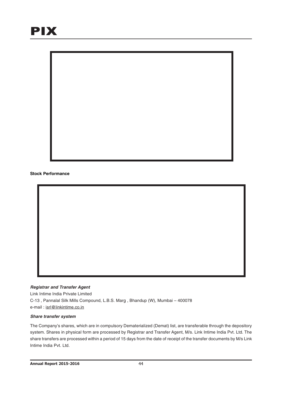

## **Registrar and Transfer Agent**

Link Intime India Private Limited C-13 , Pannalal Silk Mills Compound, L.B.S. Marg , Bhandup (W), Mumbai – 400078 e-mail : isrl@linkintime.co.in

#### **Share transfer system**

The Company's shares, which are in compulsory Dematerialized (Demat) list, are transferable through the depository system. Shares in physical form are processed by Registrar and Transfer Agent, M/s. Link Intime India Pvt. Ltd. The share transfers are processed within a period of 15 days from the date of receipt of the transfer documents by M/s Link Intime India Pvt. Ltd.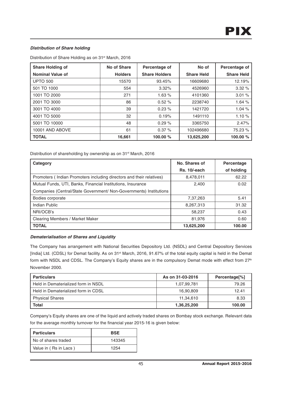# **Distribution of Share holding**

Distribution of Share Holding as on 31<sup>st</sup> March, 2016

| <b>Share Holding of</b> | No of Share    | Percentage of        | No of             | Percentage of     |
|-------------------------|----------------|----------------------|-------------------|-------------------|
| Nominal Value of        | <b>Holders</b> | <b>Share Holders</b> | <b>Share Held</b> | <b>Share Held</b> |
| <b>UPTO 500</b>         | 15570          | 93.45%               | 16609680          | 12.19%            |
| 501 TO 1000             | 554            | 3.32%                | 4526960           | 3.32%             |
| 1001 TO 2000            | 271            | 1.63%                | 4101360           | 3.01%             |
| 2001 TO 3000            | 86             | 0.52%                | 2238740           | 1.64%             |
| 3001 TO 4000            | 39             | 0.23%                | 1421720           | 1.04%             |
| 4001 TO 5000            | 32             | 0.19%                | 1491110           | 1.10%             |
| 5001 TO 10000           | 48             | 0.29%                | 3365750           | 2.47%             |
| 10001 AND ABOVE         | 61             | 0.37%                | 102496680         | 75.23 %           |
| <b>TOTAL</b>            | 16,661         | 100.00 %             | 13,625,200        | 100.00 %          |

Distribution of shareholding by ownership as on 31<sup>st</sup> March, 2016

| Category                                                             | No. Shares of | Percentage |
|----------------------------------------------------------------------|---------------|------------|
|                                                                      | Rs. 10/-each  | of holding |
| Promoters (Indian Promoters including directors and their relatives) | 8,478,011     | 62.22      |
| Mutual Funds, UTI, Banks, Financial Institutions, Insurance          | 2,400         | 0.02       |
| Companies (Central/State Government/ Non-Governments) Institutions   |               |            |
| Bodies corporate                                                     | 7,37,263      | 5.41       |
| Indian Public                                                        | 8,267,313     | 31.32      |
| NRI/OCB's                                                            | 58,237        | 0.43       |
| Clearing Members / Market Maker                                      | 81,976        | 0.60       |
| <b>TOTAL</b>                                                         | 13,625,200    | 100.00     |

## **Dematerialisation of Shares and Liquidity**

The Company has arrangement with National Securities Depository Ltd. (NSDL) and Central Depository Services [India] Ltd. (CDSL) for Demat facility. As on 31<sup>st</sup> March, 2016, 91.67% of the total equity capital is held in the Demat form with NSDL and CDSL. The Company's Equity shares are in the compulsory Demat mode with effect from 27<sup>th</sup> November 2000.

| <b>Particulars</b>                  | As on 31-03-2016 | Percentage <sup>[%]</sup> |
|-------------------------------------|------------------|---------------------------|
| Held in Dematerialized form in NSDL | 1,07,99,781      | 79.26                     |
| Held in Dematerialized form in CDSL | 16.90.809        | 12.41                     |
| <b>Physical Shares</b>              | 11.34.610        | 8.33                      |
| <b>Total</b>                        | 1,36,25,200      | 100.00                    |

Company's Equity shares are one of the liquid and actively traded shares on Bombay stock exchange. Relevant data for the average monthly turnover for the financial year 2015-16 is given below:

| Particulars           | <b>BSE</b> |
|-----------------------|------------|
| I No of shares traded | 143345     |
| Value in (Rs in Lacs) | 1254       |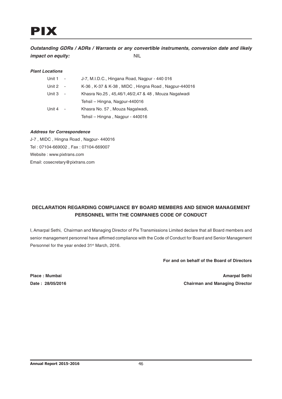**Outstanding GDRs / ADRs / Warrants or any convertible instruments, conversion date and likely impact on equity:** NIL

# **Plant Locations**

| Unit 1 | $\sim$                   | J-7, M.I.D.C., Hingana Road, Nagpur - 440 016       |
|--------|--------------------------|-----------------------------------------------------|
| Unit 2 | $\overline{\phantom{a}}$ | K-36, K-37 & K-38, MIDC, Hingna Road, Nagpur-440016 |
| Unit 3 | $\overline{\phantom{a}}$ | Khasra No.25, 45,46/1,46/2,47 & 48, Mouza Nagalwadi |
|        |                          | Tehsil - Hingna, Nagpur-440016                      |
| Unit 4 | $\overline{\phantom{a}}$ | Khasra No. 57, Mouza Nagalwadi,                     |
|        |                          | Tehsil - Hingna, Nagpur - 440016                    |

## **Address for Correspondence**

J-7 , MIDC , Hingna Road , Nagpur- 440016 Tel : 07104-669002 , Fax : 07104-669007 Website : www.pixtrans.com Email: cosecretary@pixtrans.com

# **DECLARATION REGARDING COMPLIANCE BY BOARD MEMBERS AND SENIOR MANAGEMENT PERSONNEL WITH THE COMPANIES CODE OF CONDUCT**

I, Amarpal Sethi, Chairman and Managing Director of Pix Transmissions Limited declare that all Board members and senior management personnel have affirmed compliance with the Code of Conduct for Board and Senior Management Personnel for the year ended 31<sup>st</sup> March, 2016.

**For and on behalf of the Board of Directors**

**Place : Mumbai Amarpal Sethi Date : 28/05/2016 Chairman and Managing Director**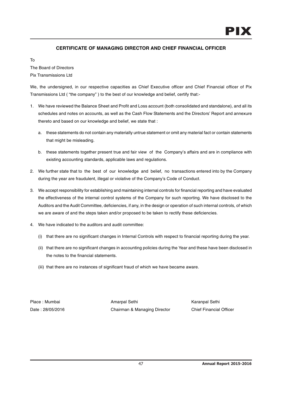# **CERTIFICATE OF MANAGING DIRECTOR AND CHIEF FINANCIAL OFFICER**

To

The Board of Directors Pix Transmissions Ltd

We, the undersigned, in our respective capacities as Chief Executive officer and Chief Financial officer of Pix Transmissions Ltd ( "the company" ) to the best of our knowledge and belief, certify that:-

- 1. We have reviewed the Balance Sheet and Profit and Loss account (both consolidated and standalone), and all its schedules and notes on accounts, as well as the Cash Flow Statements and the Directors' Report and annexure thereto and based on our knowledge and belief, we state that :
	- a. these statements do not contain any materially untrue statement or omit any material fact or contain statements that might be misleading.
	- b. these statements together present true and fair view of the Company's affairs and are in compliance with existing accounting standards, applicable laws and regulations.
- 2. We further state that to the best of our knowledge and belief, no transactions entered into by the Company during the year are fraudulent, illegal or violative of the Company's Code of Conduct.
- 3. We accept responsibility for establishing and maintaining internal controls for financial reporting and have evaluated the effectiveness of the internal control systems of the Company for such reporting. We have disclosed to the Auditors and the Audit Committee, deficiencies, if any, in the design or operation of such internal controls, of which we are aware of and the steps taken and/or proposed to be taken to rectify these deficiencies.
- 4. We have indicated to the auditors and audit committee:
	- (i) that there are no significant changes in Internal Controls with respect to financial reporting during the year.
	- (ii) that there are no significant changes in accounting policies during the Year and these have been disclosed in the notes to the financial statements.
	- (iii) that there are no instances of significant fraud of which we have became aware.

Place : Mumbai **Amarpal Sethi** Amarpal Sethi Karanpal Sethi Date : 28/05/2016 Chairman & Managing Director Chief Financial Officer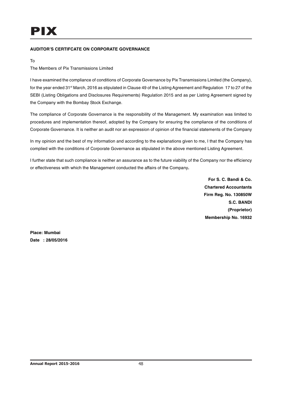# **AUDITOR'S CERTIFCATE ON CORPORATE GOVERNANCE**

To

The Members of Pix Transmissions Limited

I have examined the compliance of conditions of Corporate Governance by Pix Transmissions Limited (the Company), for the year ended 31<sup>st</sup> March, 2016 as stipulated in Clause 49 of the Listing Agreement and Regulation 17 to 27 of the SEBI (Listing Obligations and Disclosures Requirements) Regulation 2015 and as per Listing Agreement signed by the Company with the Bombay Stock Exchange.

The compliance of Corporate Governance is the responsibility of the Management. My examination was limited to procedures and implementation thereof, adopted by the Company for ensuring the compliance of the conditions of Corporate Governance. It is neither an audit nor an expression of opinion of the financial statements of the Company

In my opinion and the best of my information and according to the explanations given to me, I that the Company has complied with the conditions of Corporate Governance as stipulated in the above mentioned Listing Agreement.

I further state that such compliance is neither an assurance as to the future viability of the Company nor the efficiency or effectiveness with which the Management conducted the affairs of the Company**.**

> **For S. C. Bandi & Co. Chartered Accountants Firm Reg. No. 130850W S.C. BANDI (Proprietor) Membership No. 16932**

**Place: Mumbai Date : 28/05/2016**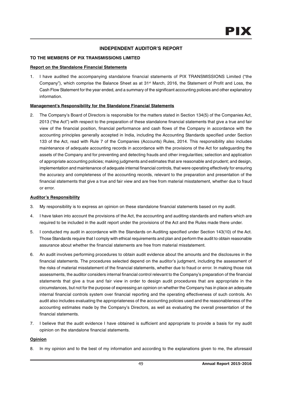# **INDEPENDENT AUDITOR'S REPORT**

# **TO THE MEMBERS OF PIX TRANSMISSIONS LIMITED**

## **Report on the Standalone Financial Statements**

1. I have audited the accompanying standalone financial statements of PIX TRANSMISSIONS Limited ("the Company"), which comprise the Balance Sheet as at 31<sup>st</sup> March, 2016, the Statement of Profit and Loss, the Cash Flow Statement for the year ended, and a summary of the significant accounting policies and other explanatory information.

# **Management's Responsibility for the Standalone Financial Statements**

2. The Company's Board of Directors is responsible for the matters stated in Section 134(5) of the Companies Act, 2013 ("the Act") with respect to the preparation of these standalone financial statements that give a true and fair view of the financial position, financial performance and cash flows of the Company in accordance with the accounting principles generally accepted in India, including the Accounting Standards specified under Section 133 of the Act, read with Rule 7 of the Companies (Accounts) Rules, 2014. This responsibility also includes maintenance of adequate accounting records in accordance with the provisions of the Act for safeguarding the assets of the Company and for preventing and detecting frauds and other irregularities; selection and application of appropriate accounting policies; making judgments and estimates that are reasonable and prudent; and design, implementation and maintenance of adequate internal financial controls, that were operating effectively for ensuring the accuracy and completeness of the accounting records, relevant to the preparation and presentation of the financial statements that give a true and fair view and are free from material misstatement, whether due to fraud or error.

## **Auditor's Responsibility**

- 3. My responsibility is to express an opinion on these standalone financial statements based on my audit.
- 4. I have taken into account the provisions of the Act, the accounting and auditing standards and matters which are required to be included in the audit report under the provisions of the Act and the Rules made there under.
- 5. I conducted my audit in accordance with the Standards on Auditing specified under Section 143(10) of the Act. Those Standards require that I comply with ethical requirements and plan and perform the audit to obtain reasonable assurance about whether the financial statements are free from material misstatement.
- 6. An audit involves performing procedures to obtain audit evidence about the amounts and the disclosures in the financial statements. The procedures selected depend on the auditor's judgment, including the assessment of the risks of material misstatement of the financial statements, whether due to fraud or error. In making those risk assessments, the auditor considers internal financial control relevant to the Company's preparation of the financial statements that give a true and fair view in order to design audit procedures that are appropriate in the circumstances, but not for the purpose of expressing an opinion on whether the Company has in place an adequate internal financial controls system over financial reporting and the operating effectiveness of such controls. An audit also includes evaluating the appropriateness of the accounting policies used and the reasonableness of the accounting estimates made by the Company's Directors, as well as evaluating the overall presentation of the financial statements.
- 7. I believe that the audit evidence I have obtained is sufficient and appropriate to provide a basis for my audit opinion on the standalone financial statements.

# **Opinion**

8. In my opinion and to the best of my information and according to the explanations given to me, the aforesaid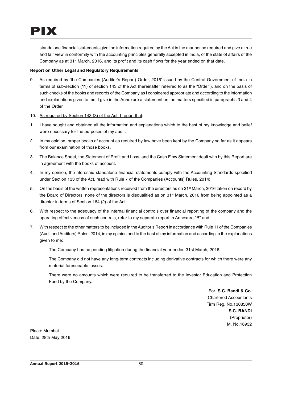standalone financial statements give the information required by the Act in the manner so required and give a true and fair view in conformity with the accounting principles generally accepted in India, of the state of affairs of the Company as at  $31<sup>st</sup>$  March, 2016, and its profit and its cash flows for the year ended on that date.

# **Report on Other Legal and Regulatory Requirements**

- 9. As required by 'the Companies (Auditor's Report) Order, 2016' issued by the Central Government of India in terms of sub-section (11) of section 143 of the Act (hereinafter referred to as the "Order"), and on the basis of such checks of the books and records of the Company as I considered appropriate and according to the information and explanations given to me, I give in the Annexure a statement on the matters specified in paragraphs 3 and 4 of the Order.
- 10. As required by Section 143 (3) of the Act, I report that:
- 1. I have sought and obtained all the information and explanations which to the best of my knowledge and belief were necessary for the purposes of my audit.
- 2. In my opinion, proper books of account as required by law have been kept by the Company so far as it appears from our examination of those books.
- 3. The Balance Sheet, the Statement of Profit and Loss, and the Cash Flow Statement dealt with by this Report are in agreement with the books of account.
- 4. In my opinion, the aforesaid standalone financial statements comply with the Accounting Standards specified under Section 133 of the Act, read with Rule 7 of the Companies (Accounts) Rules, 2014;
- 5. On the basis of the written representations received from the directors as on 31<sup>st</sup> March, 2016 taken on record by the Board of Directors, none of the directors is disqualified as on 31<sup>st</sup> March, 2016 from being appointed as a director in terms of Section 164 (2) of the Act.
- 6. With respect to the adequacy of the internal financial controls over financial reporting of the company and the operating effectiveness of such controls, refer to my separate report in Annexure-"B" and
- 7. With respect to the other matters to be included in the Auditor's Report in accordance with Rule 11 of the Companies (Audit and Auditors) Rules, 2014, in my opinion and to the best of my information and according to the explanations given to me:
	- i. The Company has no pending litigation during the financial year ended 31st March, 2016.
	- ii. The Company did not have any long-term contracts including derivative contracts for which there were any material foreseeable losses.
	- iii. There were no amounts which were required to be transferred to the Investor Education and Protection Fund by the Company.

For **S.C. Bandi & Co.** Chartered Accountants Firm Reg. No.130850W **S.C. BANDI** (Proprietor) M. No.16932

Place: Mumbai Date: 28th May 2016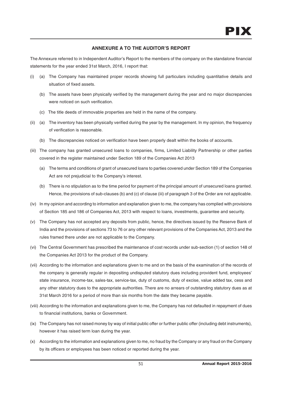# **ANNEXURE A TO THE AUDITOR'S REPORT**

The Annexure referred to in Independent Auditor's Report to the members of the company on the standalone financial statements for the year ended 31st March, 2016, I report that:

- (i) (a) The Company has maintained proper records showing full particulars including quantitative details and situation of fixed assets.
	- (b) The assets have been physically verified by the management during the year and no major discrepancies were noticed on such verification.
	- (c) The title deeds of immovable properties are held in the name of the company.
- (ii) (a) The inventory has been physically verified during the year by the management. In my opinion, the frequency of verification is reasonable.
	- (b) The discrepancies noticed on verification have been properly dealt within the books of accounts.
- (iii) The company has granted unsecured loans to companies, firms, Limited Liability Partnership or other parties covered in the register maintained under Section 189 of the Companies Act 2013
	- (a) The terms and conditions of grant of unsecured loans to parties covered under Section 189 of the Companies Act are not prejudicial to the Company's interest.
	- (b) There is no stipulation as to the time period for payment of the principal amount of unsecured loans granted. Hence, the provisions of sub-clauses (b) and (c) of clause (iii) of paragraph 3 of the Order are not applicable.
- (iv) In my opinion and according to information and explanation given to me, the company has complied with provisions of Section 185 and 186 of Companies Act, 2013 with respect to loans, investments, guarantee and security.
- (v) The Company has not accepted any deposits from public, hence, the directives issued by the Reserve Bank of India and the provisions of sections 73 to 76 or any other relevant provisions of the Companies Act, 2013 and the rules framed there under are not applicable to the Company.
- (vi) The Central Government has prescribed the maintenance of cost records under sub-section (1) of section 148 of the Companies Act 2013 for the product of the Company.
- (vii) According to the information and explanations given to me and on the basis of the examination of the records of the company is generally regular in depositing undisputed statutory dues including provident fund, employees' state insurance, income-tax, sales-tax, service-tax, duty of customs, duty of excise, value added tax, cess and any other statutory dues to the appropriate authorities. There are no arrears of outstanding statutory dues as at 31st March 2016 for a period of more than six months from the date they became payable.
- (viii) According to the information and explanations given to me, the Company has not defaulted in repayment of dues to financial institutions, banks or Government.
- (ix) The Company has not raised money by way of initial public offer or further public offer (including debt instruments), however it has raised term loan during the year.
- (x) According to the information and explanations given to me, no fraud by the Company or any fraud on the Company by its officers or employees has been noticed or reported during the year.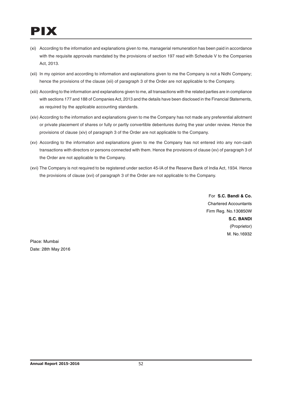# PIX

- (xi) According to the information and explanations given to me, managerial remuneration has been paid in accordance with the requisite approvals mandated by the provisions of section 197 read with Schedule V to the Companies Act, 2013.
- (xii) In my opinion and according to information and explanations given to me the Company is not a Nidhi Company; hence the provisions of the clause (xii) of paragraph 3 of the Order are not applicable to the Company.
- (xiii) According to the information and explanations given to me, all transactions with the related parties are in compliance with sections 177 and 188 of Companies Act, 2013 and the details have been disclosed in the Financial Statements, as required by the applicable accounting standards.
- (xiv) According to the information and explanations given to me the Company has not made any preferential allotment or private placement of shares or fully or partly convertible debentures during the year under review. Hence the provisions of clause (xiv) of paragraph 3 of the Order are not applicable to the Company.
- (xv) According to the information and explanations given to me the Company has not entered into any non-cash transactions with directors or persons connected with them. Hence the provisions of clause (xv) of paragraph 3 of the Order are not applicable to the Company.
- (xvi) The Company is not required to be registered under section 45-IA of the Reserve Bank of India Act, 1934. Hence the provisions of clause (xvi) of paragraph 3 of the Order are not applicable to the Company.

For **S.C. Bandi & Co.** Chartered Accountants Firm Reg. No.130850W **S.C. BANDI** (Proprietor) M. No.16932

Place: Mumbai Date: 28th May 2016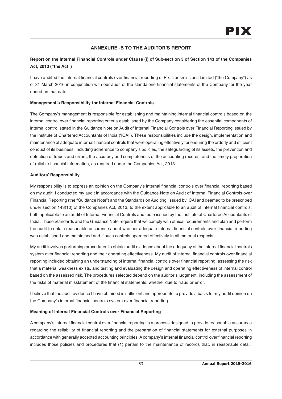# **ANNEXURE -B TO THE AUDITOR'S REPORT**

# **Report on the Internal Financial Controls under Clause (i) of Sub-section 3 of Section 143 of the Companies Act, 2013 ("the Act")**

I have audited the internal financial controls over financial reporting of Pix Transmissions Limited ("the Company") as of 31 March 2016 in conjunction with our audit of the standalone financial statements of the Company for the year ended on that date.

# **Management's Responsibility for Internal Financial Controls**

The Company's management is responsible for establishing and maintaining internal financial controls based on the internal control over financial reporting criteria established by the Company considering the essential components of internal control stated in the Guidance Note on Audit of Internal Financial Controls over Financial Reporting issued by the Institute of Chartered Accountants of India ('ICAI'). These responsibilities include the design, implementation and maintenance of adequate internal financial controls that were operating effectively for ensuring the orderly and efficient conduct of its business, including adherence to company's policies, the safeguarding of its assets, the prevention and detection of frauds and errors, the accuracy and completeness of the accounting records, and the timely preparation of reliable financial information, as required under the Companies Act, 2013.

# **Auditors' Responsibility**

My responsibility is to express an opinion on the Company's internal financial controls over financial reporting based on my audit. I conducted my audit in accordance with the Guidance Note on Audit of Internal Financial Controls over Financial Reporting (the "Guidance Note") and the Standards on Auditing, issued by ICAI and deemed to be prescribed under section 143(10) of the Companies Act, 2013, to the extent applicable to an audit of internal financial controls, both applicable to an audit of Internal Financial Controls and, both issued by the Institute of Chartered Accountants of India. Those Standards and the Guidance Note require that we comply with ethical requirements and plan and perform the audit to obtain reasonable assurance about whether adequate internal financial controls over financial reporting was established and maintained and if such controls operated effectively in all material respects.

My audit involves performing procedures to obtain audit evidence about the adequacy of the internal financial controls system over financial reporting and their operating effectiveness. My audit of internal financial controls over financial reporting included obtaining an understanding of internal financial controls over financial reporting, assessing the risk that a material weakness exists, and testing and evaluating the design and operating effectiveness of internal control based on the assessed risk. The procedures selected depend on the auditor's judgment, including the assessment of the risks of material misstatement of the financial statements, whether due to fraud or error.

I believe that the audit evidence I have obtained is sufficient and appropriate to provide a basis for my audit opinion on the Company's internal financial controls system over financial reporting.

# **Meaning of Internal Financial Controls over Financial Reporting**

A company's internal financial control over financial reporting is a process designed to provide reasonable assurance regarding the reliability of financial reporting and the preparation of financial statements for external purposes in accordance with generally accepted accounting principles. A company's internal financial control over financial reporting includes those policies and procedures that (1) pertain to the maintenance of records that, in reasonable detail,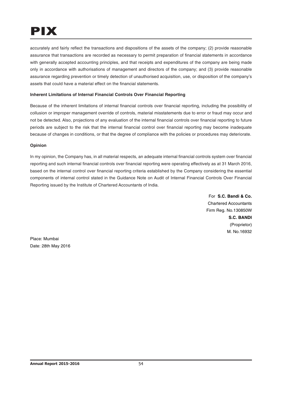accurately and fairly reflect the transactions and dispositions of the assets of the company; (2) provide reasonable assurance that transactions are recorded as necessary to permit preparation of financial statements in accordance with generally accepted accounting principles, and that receipts and expenditures of the company are being made only in accordance with authorisations of management and directors of the company; and (3) provide reasonable assurance regarding prevention or timely detection of unauthorised acquisition, use, or disposition of the company's assets that could have a material effect on the financial statements.

# **Inherent Limitations of Internal Financial Controls Over Financial Reporting**

Because of the inherent limitations of internal financial controls over financial reporting, including the possibility of collusion or improper management override of controls, material misstatements due to error or fraud may occur and not be detected. Also, projections of any evaluation of the internal financial controls over financial reporting to future periods are subject to the risk that the internal financial control over financial reporting may become inadequate because of changes in conditions, or that the degree of compliance with the policies or procedures may deteriorate.

# **Opinion**

In my opinion, the Company has, in all material respects, an adequate internal financial controls system over financial reporting and such internal financial controls over financial reporting were operating effectively as at 31 March 2016, based on the internal control over financial reporting criteria established by the Company considering the essential components of internal control stated in the Guidance Note on Audit of Internal Financial Controls Over Financial Reporting issued by the Institute of Chartered Accountants of India.

> For **S.C. Bandi & Co.** Chartered Accountants Firm Reg. No.130850W **S.C. BANDI** (Proprietor) M. No.16932

Place: Mumbai Date: 28th May 2016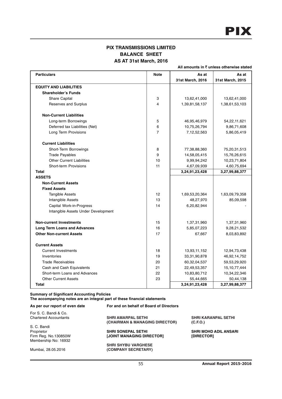# **PIX TRANSMISSIONS LIMITED BALANCE SHEET AS AT 31st March, 2016**

**All amounts in** ` **unless otherwise stated**

| <b>Particulars</b>                  | <b>Note</b>    | As at            | As at            |
|-------------------------------------|----------------|------------------|------------------|
|                                     |                | 31st March, 2016 | 31st March, 2015 |
| <b>EQUITY AND LIABILITIES</b>       |                |                  |                  |
| <b>Shareholder's Funds</b>          |                |                  |                  |
| Share Capital                       | 3              | 13,62,41,000     | 13,62,41,000     |
| Reserves and Surplus                | 4              | 1,39,81,58,137   | 1,38,61,53,103   |
| <b>Non-Current Liabilities</b>      |                |                  |                  |
| Long-term Borrowings                | 5              | 46,95,46,979     | 54,22,11,621     |
| Deferred tax Liabilities (Net)      | 6              | 10,75,26,794     | 9,86,71,608      |
| Long Term Provisions                | $\overline{7}$ | 7,12,52,563      | 5,86,05,419      |
| <b>Current Liabilities</b>          |                |                  |                  |
| Short-Term Borrowings               | 8              | 77,38,88,360     | 75,20,31,513     |
| <b>Trade Payables</b>               | 9              | 14,58,05,415     | 15,76,26,615     |
| <b>Other Current Liabilities</b>    | 10             | 9,99,94,242      | 10,23,71,804     |
| <b>Short-term Provisions</b>        | 11             | 4,67,09,939      | 4,60,75,694      |
| Total                               |                | 3,24,91,23,428   | 3,27,99,88,377   |
| <b>ASSETS</b>                       |                |                  |                  |
| <b>Non-Current Assets</b>           |                |                  |                  |
| <b>Fixed Assets</b>                 |                |                  |                  |
| <b>Tangible Assets</b>              | 12             | 1,69,53,20,364   | 1,63,09,79,358   |
| Intangible Assets                   | 13             | 48,27,970        | 85,09,598        |
| Capital Work-in-Progress            | 14             | 6,20,82,944      |                  |
| Intangible Assets Under Development |                |                  |                  |
| <b>Non-current Investments</b>      | 15             | 1,37,31,960      | 1,37,31,960      |
| <b>Long Term Loans and Advances</b> | 16             | 5,85,07,223      | 9,28,21,532      |
| <b>Other Non-current Assets</b>     | 17             | 67,667           | 8,03,83,892      |
| <b>Current Assets</b>               |                |                  |                  |
| <b>Current Investments</b>          | 18             | 13,93,11,152     | 12,94,73,438     |
| Inventories                         | 19             | 33,31,90,878     | 46,92,14,752     |
| <b>Trade Receivables</b>            | 20             | 60,32,04,537     | 59,53,29,920     |
| Cash and Cash Equivalents           | 21             | 22,49,53,357     | 15, 10, 77, 444  |
| Short-term Loans and Advances       | 22             | 10,83,80,712     | 10,34,22,346     |
| <b>Other Current Assets</b>         | 23             | 55,44,665        | 50,44,138        |
| <b>Total</b>                        |                | 3,24,91,23,428   | 3,27,99,88,377   |

#### **Summary of Significant Accounting Policies**

**The accompanying notes are an integral part of these financial statements**

| <b>SHRI KARANPAL SETHI</b>   |
|------------------------------|
|                              |
|                              |
| <b>SHRI MOHD ADIL ANSARI</b> |
| [DIRECTOR]                   |
|                              |
|                              |
|                              |
|                              |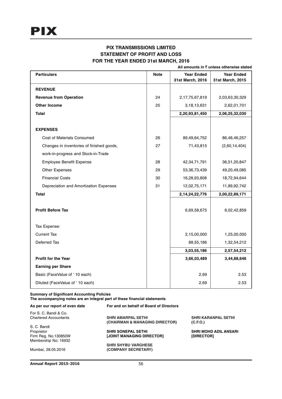# **PIX TRANSMISSIONS LIMITED STATEMENT OF PROFIT AND LOSS FOR THE YEAR ENDED 31st MARCH, 2016**

**All amounts in** ` **unless otherwise stated**

| <b>Particulars</b>                        | <b>Note</b> | <b>Year Ended</b>  | <b>Year Ended</b> |
|-------------------------------------------|-------------|--------------------|-------------------|
|                                           |             | 31st March, 2016   | 31st March, 2015  |
| <b>REVENUE</b>                            |             |                    |                   |
| <b>Revenue from Operation</b>             | 24          | 2,17,75,67,819     | 2,03,63,30,329    |
| <b>Other Income</b>                       | 25          | 3,18,13,631        | 2,62,01,701       |
| <b>Total</b>                              |             | 2,20,93,81,450     | 2,06,25,32,030    |
|                                           |             |                    |                   |
| <b>EXPENSES</b>                           |             |                    |                   |
| Cost of Materials Consumed                | 26          | 89,49,64,752       | 86,48,46,257      |
| Changes in inventories of finished goods, | 27          | 71,43,815          | (2,60,14,404)     |
| work-in-progress and Stock-in-Trade       |             |                    |                   |
| Employee Benefit Expense                  | 28          | 42, 34, 71, 791    | 36,51,20,847      |
| <b>Other Expenses</b>                     | 29          | 53, 36, 73, 439    | 49,20,49,085      |
| <b>Financial Costs</b>                    | 30          | 16,28,93,808       | 18,72,94,644      |
| Depreciation and Amortization Expenses    | 31          | 12,02,75,171       | 11,89,92,742      |
| <b>Total</b>                              |             | 2, 14, 24, 22, 776 | 2,00,22,89,171    |
|                                           |             |                    |                   |
| <b>Profit Before Tax</b>                  |             | 6,69,58,675        | 6,02,42,859       |
|                                           |             |                    |                   |
| Tax Expense:                              |             |                    |                   |
| <b>Current Tax</b>                        |             | 2,15,00,000        | 1,25,00,000       |
| Deferred Tax                              |             | 88,55,186          | 1,32,54,212       |
|                                           |             | 3,03,55,186        | 2,57,54,212       |
| <b>Profit for the Year</b>                |             | 3,66,03,489        | 3,44,88,646       |
| <b>Earning per Share</b>                  |             |                    |                   |
| Basic (FaceValue of '10 each)             |             | 2.69               | 2.53              |
| Diluted (FaceValue of '10 each)           |             | 2.69               | 2.53              |

# **Summary of Significant Accounting Policies**

**The accompanying notes are an integral part of these financial statements**

| As per our report of even date | For and on behalf of Board of Directors |                              |
|--------------------------------|-----------------------------------------|------------------------------|
| For S. C. Bandi & Co.          |                                         |                              |
| <b>Chartered Accountants</b>   | <b>SHRI AMARPAL SETHI</b>               | <b>SHRI KARANPAL SETHI</b>   |
|                                | (CHAIRMAN & MANAGING DIRECTOR)          | (C.F.O.)                     |
| S. C. Bandi                    |                                         |                              |
| Proprietor                     | <b>SHRI SONEPAL SETHI</b>               | <b>SHRI MOHD ADIL ANSARI</b> |
| Firm Reg. No.130850W           | [JOINT MANAGING DIRECTOR]               | [DIRECTOR]                   |
| Membership No: 16932           |                                         |                              |
|                                | <b>SHRI SHYBU VARGHESE</b>              |                              |
| Mumbai, 28.05.2016             | (COMPANY SECRETARY)                     |                              |
|                                |                                         |                              |
|                                |                                         |                              |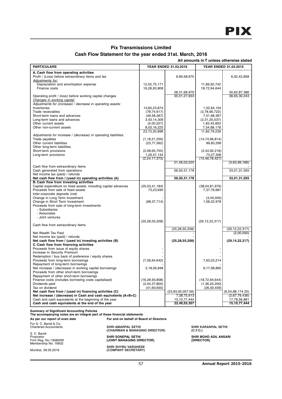# **Pix Transmissions Limited**

# **Cash Flow Statement for the year ended 31st. March, 2016**

|                                                                                                                                                                                                                                         |                                                      |                                                          |                                                                     |                                                   | All amounts in ₹ unless otherwise stated                             |
|-----------------------------------------------------------------------------------------------------------------------------------------------------------------------------------------------------------------------------------------|------------------------------------------------------|----------------------------------------------------------|---------------------------------------------------------------------|---------------------------------------------------|----------------------------------------------------------------------|
| <b>PARTICULARS</b>                                                                                                                                                                                                                      |                                                      |                                                          | YEAR ENDED 31.03.2016                                               | YEAR ENDED 31.03.2015                             |                                                                      |
| A. Cash flow from operating activities<br>Profit / (Loss) before extraordinary items and tax<br>Adjustments for:<br>Depreciation and amortisation expense                                                                               |                                                      | 12,02,75,171                                             | 6,69,58,675                                                         | 11,89,92,742                                      | 6,02,42,858                                                          |
| Finance costs                                                                                                                                                                                                                           |                                                      | 16,28,93,808                                             | 28,31,68,979                                                        | 18,72,94,644                                      | 30,62,87,386                                                         |
| Operating profit / (loss) before working capital changes<br>Changes in working capital:<br>Adjustments for (increase) / decrease in operating assets:<br>Inventories                                                                    |                                                      | 13,60,23,874                                             | 35,01,27,653                                                        | 1.02.64.104                                       | 36,65,30,243                                                         |
| Trade receivables<br>Short-term loans and advances                                                                                                                                                                                      |                                                      | (78, 74, 617)<br>(49, 58, 367)                           |                                                                     | (3,78,66,722)<br>7,51,68,367                      |                                                                      |
| Long-term loans and advances<br>Other current assets<br>Other non-current assets                                                                                                                                                        |                                                      | 3,43,14,309<br>(5,00,527)<br>8,03,16,225<br>23,73,20,898 |                                                                     | (2,31,20,537)<br>1,83,45,850<br>7,54,88,178       |                                                                      |
| Adjustments for increase / (decrease) in operating liabilities:<br>Trade payables                                                                                                                                                       |                                                      | (1, 18, 21, 200)                                         |                                                                     | 11,82,79,239<br>(14, 74, 96, 814)                 |                                                                      |
| Other current liabilities<br>Other long-term liabilities<br>Short-term provisions                                                                                                                                                       |                                                      | (23, 77, 562)<br>(2,08,65,755)                           |                                                                     | 99,83,299<br>(2, 44, 92, 218)                     |                                                                      |
| Long-term provisions                                                                                                                                                                                                                    |                                                      | 1,26,47,144<br>(2,24,17,373)                             | 21,49,03,525                                                        | 73,27,306<br>(15, 46, 78, 427)                    | (3,63,99,189)                                                        |
| Cash flow from extraordinary items<br>Cash generated from operations<br>Net income tax (paid) / refunds                                                                                                                                 |                                                      |                                                          | 56,50,31,178                                                        |                                                   | 33,01,31,055                                                         |
| Net cash flow from / (used in) operating activities (A)<br><b>B. Cash flow from investing activities</b>                                                                                                                                |                                                      |                                                          | 56,50,31,178                                                        |                                                   | 33,01,31,055                                                         |
| Capital expenditure on fixed assets, including capital advances<br>Proceeds from sale of fixed assets<br>Inter-corporate deposits (net)                                                                                                 |                                                      | (25,03,41,184)<br>73,23,690                              |                                                                     | (38,04,81,976)<br>7,37,76,681                     |                                                                      |
| Change in Long Term Investment<br>Change in Short Term Investment<br>Proceeds from sale of long-term investments<br>- Subsidiaries                                                                                                      |                                                      | (98, 37, 714)                                            |                                                                     | (3, 40, 000)<br>1,58,22,978                       |                                                                      |
| - Associates<br>- Joint ventures                                                                                                                                                                                                        |                                                      | (25, 28, 55, 208)                                        |                                                                     | (29, 12, 22, 317)                                 |                                                                      |
| Cash flow from extraordinary items<br>Net Wealth Tax Paid                                                                                                                                                                               |                                                      |                                                          | (25, 28, 55, 208)                                                   |                                                   | (29, 12, 22, 317)                                                    |
| Net income tax (paid) / refunds<br>Net cash flow from / (used in) investing activities (B)                                                                                                                                              |                                                      |                                                          | (25, 28, 55, 208)                                                   |                                                   | (2,00,000)<br>(29, 14, 22, 317)                                      |
| C. Cash flow from financing activities<br>Proceeds from issue of equity shares<br>Increase In Security Premium                                                                                                                          |                                                      |                                                          |                                                                     |                                                   |                                                                      |
| Redemption / buy back of preference / equity shares<br>Proceeds from long-term borrowings<br>Repayment of long-term borrowings                                                                                                          |                                                      | (7, 26, 64, 642)                                         |                                                                     | 7,63,23,214                                       |                                                                      |
| Net increase / (decrease) in working capital borrowings<br>Proceeds from other short-term borrowings<br>Repayment of other short-term borrowings                                                                                        |                                                      | 2,18,56,848                                              |                                                                     | 6,17,08,865                                       |                                                                      |
| Finance costs (includes borrowing costs capitalised)<br>Dividends paid<br>Tax on dividend                                                                                                                                               |                                                      | (16, 28, 93, 808)<br>(2,04,37,800)<br>(41,60,655)        |                                                                     | (18, 72, 94, 644)<br>(1,36,25,200)<br>(26,00,409) |                                                                      |
| Net cash flow from / (used in) financing activities (C)<br>Net increase / (decrease) in Cash and cash equivalents (A+B+C)<br>Cash and cash equivalents at the beginning of the year<br>Cash and cash equivalents at the end of the year |                                                      |                                                          | (23,83,00,057.00)<br>7,38,75,913<br>15, 10, 77, 444<br>22,49,53,357 |                                                   | (6,54,88,174.25)<br>(2,67,79,436)<br>17,78,56,881<br>15, 10, 77, 444 |
| <b>Summary of Significant Accounting Policies</b><br>The accompanying notes are an integral part of these financial statements                                                                                                          |                                                      |                                                          |                                                                     |                                                   |                                                                      |
| As per our report of even date                                                                                                                                                                                                          | For and on behalf of Board of Directors              |                                                          |                                                                     |                                                   |                                                                      |
| For S. C. Bandi & Co.<br><b>Chartered Accountants</b><br>S. C. Bandi                                                                                                                                                                    | SHRI AMARPAL SETHI<br>(CHAIRMAN & MANAGING DIRECTOR) |                                                          |                                                                     | <b>SHRI KARANPAL SETHI</b><br>(C.F.O.)            |                                                                      |

Proprietor **SHRI SONEPAL SETHI SHRI MOHD ADIL ANSARI** Firm Reg. No.130850W **[JOINT MANAGING DIRECTOR] [DIRECTOR]**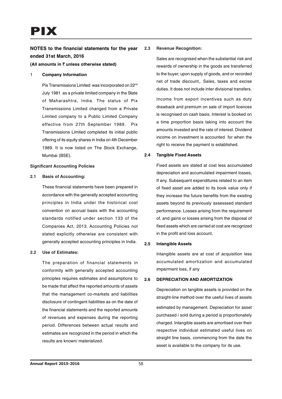# **NOTES to the financial statements for the year ended 31st March, 2016**

**(All amounts in** ` **unless otherwise stated)**

#### 1 **Company Information**

Pix Transmissions Limited was incorporated on 22<sup>nd</sup> July 1981 as a private limited company in the State of Maharashtra, India. The status of Pix Transmissions Limited changed from a Private Limited company to a Public Limited Company effective from 27th September 1989. Pix Transmissions Limited completed its initial public offering of its equity shares in India on 4th December 1989. It is now listed on The Stock Exchange, Mumbai (BSE).

### **Significant Accounting Policies**

### **2.1 Basis of Accounting:**

These financial statements have been prepared in accordance with the generally accepted accounting principles in India under the historical cost convention on accrual basis with the accounting standards notified under section 133 of the Companies Act, 2013. Accounting Policies not stated explicitly otherwise are consistent with generally accepted accounting principles in India.

## **2.2 Use of Estimates:**

The preparation of financial statements in conformity with generally accepted accounting principles requires estimates and assumptions to be made that affect the reported amounts of assets that the management co-markets and liabilities disclosure of contingent liabilities as on the date of the financial statements and the reported amounts of revenues and expenses during the reporting period. Differences between actual results and estimates are recognized in the period in which the results are known/ materialized.

## **2.3 Revenue Recognition:**

Sales are recognised when the substantial risk and rewards of ownership in the goods are transferred to the buyer, upon supply of goods, and or recorded net of trade discount,. Sales, taxes and excise duties. It does not include inter divisional transfers.

Income from export incentives such as duty drawback and premium on sale of import licences is recognised on cash basis. Interest is booked on a time proportion basis taking into account the amounts invested and the rate of interest. Dividend income on investment is accounted for when the right to receive the payment is established.

## **2.4 Tangible Fixed Assets**

Fixed assets are stated at cost less accumulated depreciation and accumulated impairment losses, If any. Subsequent expenditures related to an item of fixed asset are added to its book value only if they increase the future benefits from the existing assets beyond its previously assesssed standard performance. Losses arising from the requirement of, and gains or losses arising from the disposal of fixed assets which are carried at cost are recognized in the profit and loss account.

## **2.5 Intangible Assets**

Intangible assets are at cost of acquisition less accumulated amortization and accumulated impairment loss, if any

## **2.6 DEPRECIATION AND AMORTIZATION**

Depreciation on tangible assets is provided on the straight-line method over the useful lives of assets

estimated by management. Depreciation for asset purchased / sold during a period is proportionately charged. Intangible assets are amortised over their respective individual estimated useful lives on straight line basis, commencing from the date the asset is available to the company for its use.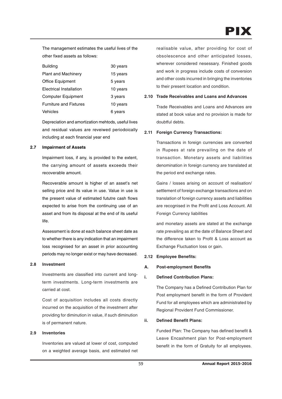The management estimates the useful lives of the other fixed assets as follows:

| <b>Building</b>               | 30 years |
|-------------------------------|----------|
| <b>Plant and Machinery</b>    | 15 years |
| Office Equipment              | 5 years  |
| Electrical Installation       | 10 years |
| <b>Computer Equipment</b>     | 3 years  |
| <b>Furniture and Fixtures</b> | 10 years |
| Vehicles                      | 6 vears  |

Depreciation and amortization mehtods, useful lives and residual values are reveiwed periodoically including at each financial year end

### **2.7 Impairment of Assets**

Impairment loss, if any, is provided to the extent, the carrying amount of assets exceeds their recoverable amount.

Recoverable amount is higher of an asset's net selling price and its value in use. Value in use is the present value of estimated fututre cash flows expected to arise from the continuing use of an asset and from its disposal at the end of its useful life.

Assessment is done at each balance sheet date as to whether there is any indication that an impairment loss recognised for an asset in prior accounting periods may no longer exist or may have decreased.

#### **2.8 Investment**

Investments are classified into current and longterm investments. Long-term investments are carried at cost.

Cost of acquisition includes all costs directly incurred on the acquisition of the investment after providing for diminution in value, if such diminution is of permanent nature.

### **2.9 Inventories**

Inventories are valued at lower of cost, computed on a weighted average basis, and estimated net realisable value, after providing for cost of obsolescence and other anticipated losses, wherever considered nesessary. Finished goods and work in progress include costs of conversion and other costs incurred in bringing the inventories to their present location and condition.

## **2.10 Trade Receivables and Loans and Advances**

Trade Receivables and Loans and Advances are stated at book value and no provision is made for doubtful debts.

## **2.11 Foreign Currency Transactions:**

Transactions in foreign currencies are converted in Rupees at rate prevailing on the date of transaction. Monetary assets and liabilities denomination in foreign currency are translated at the period end exchange rates.

Gains / losses arising on account of realisation/ settlement of foreign exchange transactions and on translation of foreign currency assets and liabilities are recognised in the Profit and Loss Account. All Foreign Currency liabilities

and monetary assets are stated at the exchange rate prevailing as at the date of Balance Sheet and the difference taken to Profit & Loss account as Exchange Fluctuation loss or gain.

## **2.12 Employee Benefits:**

#### **A. Post-employment Benefits**

## **i. Defined Contribution Plans:**

The Company has a Defined Contribution Plan for Post employment benefit in the form of Provident Fund for all employees which are administrated by Regional Provident Fund Commissioner.

## **ii. Defined Benefit Plans:**

Funded Plan: The Company has defined benefit & Leave Encashment plan for Post-employment benefit in the form of Gratuity for all employees.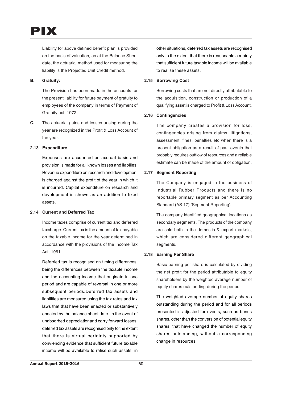PIX

Liability for above defined benefit plan is provided on the basis of valuation, as at the Balance Sheet date, the actuarial method used for measuring the liability is the Projected Unit Credit method.

## **B. Gratuity:**

The Provision has been made in the accounts for the present liability for future payment of gratuity to employees of the company in terms of Payment of Gratuity act, 1972.

**C.** The actuarial gains and losses arising during the year are recognized in the Profit & Loss Account of the year.

## **2.13 Expenditure**

Expenses are accounted on accrual basis and provision is made for all known losses and liabilies. Revenue expenditure on research and development is charged against the profit of the year in which it is incurred. Capital expenditure on research and development is shown as an addition to fixed assets.

## **2.14 Current and Deferred Tax**

Income taxes comprise of current tax and deferred taxcharge. Current tax is the amount of tax payable on the taxable income for the year determined in accordance with the provisions of the Income Tax Act, 1961.

Deferried tax is recognised on timing differences, being the differences between the taxable income and the accounting income that originate in one period and are capable of reversal in one or more subsequent periods.Deferred tax assets and liabilities are measured using the tax rates and tax laws that that have been enacted or substantively enacted by the balance sheet date. In the event of unabsorbed depreciationand carry forward losses, deferred tax assets are recognised only to the extent that there is virtual certainty supported by conviencing evidence that sufficient future taxable income will be available to ralise such assets. in other situations, deferred tax assets are recognised only to the extent that there is reasonable certainty that sufficient future taxable income will be available to realise these assets.

#### **2.15 Borrowing Cost**

Borrowing costs that are not directly attributable to the acquisition, construction or production of a qualifying asset is charged to Profit & Loss Account.

### **2.16 Contingencies**

The company creates a provision for loss, contingencies arising from claims, litigations, assessment, fines, penalties etc when there is a present obligation as a result of past events that probably requires outflow of resources and a reliable estimate can be made of the amount of obligation.

## **2.17 Segment Reporting**

The Company is engaged in the business of Industrial Rubber Products and there is no reportable primary segment as per Accounting Standard (AS 17) 'Segment Reporting'.

The company identified geographical locations as secondary segments. The products of the company are sold both in the domestic & export markets, which are considered different geographical segments.

## **2.18 Earning Per Share**

Basic earning per share is calculated by dividing the net profit for the period attributable to equity shareholders by the weighted average number of equity shares outstanding during the period.

The weighted average number of equity shares outstanding during the period and for all periods presented is adjusted for events, such as bonus shares, other than the conversion of potential equity shares, that have changed the number of equity shares outstanding, without a corresponding change in resources.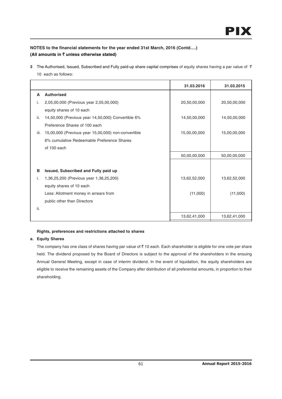**3** The Authorised, Issued, Subscribed and Fully paid-up share capital comprises of equity shares having a par value of ₹ 10 each as follows:

|      |                                                     | 31.03.2016   | 31.03.2015   |
|------|-----------------------------------------------------|--------------|--------------|
| A    | <b>Authorised</b>                                   |              |              |
| i.   | 2,05,00,000 (Previous year 2,05,00,000)             | 20,50,00,000 | 20,50,00,000 |
|      | equity shares of 10 each                            |              |              |
| ii.  | 14,50,000 (Previous year 14,50,000) Convertible 6%  | 14,50,00,000 | 14,50,00,000 |
|      | Preference Shares of 100 each                       |              |              |
| iii. | 15,00,000 (Previous year 15,00,000) non-convertible | 15,00,00,000 | 15,00,00,000 |
|      | 6% cumulative Redeemable Preference Shares          |              |              |
|      | of 100 each                                         |              |              |
|      |                                                     | 50,00,00,000 | 50,00,00,000 |
|      |                                                     |              |              |
| B    | Issued, Subscribed and Fully paid up                |              |              |
| i.   | 1,36,25,200 (Previous year 1,36,25,200)             | 13,62,52,000 | 13,62,52,000 |
|      | equity shares of 10 each                            |              |              |
|      | Less: Allotment money in arrears from               | (11,000)     | (11,000)     |
|      | public other than Directors                         |              |              |
| ii.  |                                                     |              |              |
|      |                                                     | 13,62,41,000 | 13,62,41,000 |

# **Rights, preferences and restrictions attached to shares**

## **a. Equity Shares**

The company has one class of shares having par value of  $\bar{\tau}$  10 each. Each shareholder is eligible for one vote per share held. The dividend proposed by the Board of Directors is subject to the approval of the shareholders in the ensuing Annual General Meeting, except in case of interim dividend. In the event of liquidation, the equity shareholders are eligible to receive the remaining assets of the Company after distribution of all preferential amounts, in proportion to their shareholding.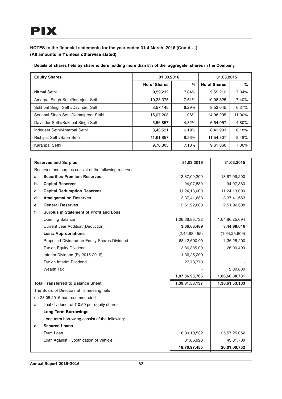**Details of shares held by shareholders holding more than 5% of the aggregate shares in the Company**

| <b>Equity Shares</b>                 | 31.03.2016   |        | 31.03.2015   |        |  |
|--------------------------------------|--------------|--------|--------------|--------|--|
|                                      | No of Shares | %      | No of Shares | $\%$   |  |
| Nirmal Sethi                         | 9,59,212     | 7.04%  | 9,59,212     | 7.04%  |  |
| Amarpal Singh Sethi/Inderjeet Sethi  | 10,23,375    | 7.51%  | 10,08,325    | 7.40%  |  |
| Sukhpal Singh Sethi/Davinder Sethi   | 8,57,145     | 6.29%  | 8,53,645     | 6.27%  |  |
| Sonepal Singh Sethi/Kamalpreet Sethi | 15,07,208    | 11.06% | 14,98,295    | 11.00% |  |
| Davinder Sethi/Sukhpal Singh Sethi   | 6,56,857     | 4.82%  | 6,54,057     | 4.80%  |  |
| Inderjeet Sethi/Amarpal Sethi        | 8,43,531     | 6.19%  | 8,41,901     | 6.18%  |  |
| Rishipal Sethi/Saba Sethi            | 11,61,857    | 8.53%  | 11,54,807    | 8.48%  |  |
| Karanpal Sethi                       | 9,70,805     | 7.13%  | 9,61,360     | 7.06%  |  |

| <b>Reserves and Surplus</b>                             | 31.03.2016     | 31.03.2015     |
|---------------------------------------------------------|----------------|----------------|
| Reserves and surplus consist of the following reserves: |                |                |
| <b>Securities Premium Reserves</b><br>a.                | 13,87,09,200   | 13,87,09,200   |
| <b>Capital Reserves</b><br>b.                           | 94,07,880      | 94,07,880      |
| <b>Capital Redumption Reserves</b><br>c.                | 11,24,13,000   | 11,24,13,000   |
| <b>Amalgamation Reserves</b><br>d.                      | 3,37,41,683    | 3,37,41,683    |
| <b>General Reserves</b><br>е.                           | 2,51,92,608    | 2,51,92,608    |
| f.<br><b>Surplus in Statement of Profit and Loss</b>    |                |                |
| <b>Opening Balance</b>                                  | 1,06,66,88,732 | 1,04,86,25,694 |
| Current year Addition/(Deduction)                       | 3,66,03,489    | 3,44,88,646    |
| <b>Less: Appropriations</b>                             | (2,45,98,455)  | (1,64,25,609)  |
| Proposed Dividend on Equity Shares Dividend             | 68,12,600.00   | 1,36,25,200    |
| Tax on Equity Dividend                                  | 13,86,885.00   | 26,00,409      |
| Interim Dividend (Fy 2015-2016)                         | 1,36,25,200    |                |
| Tax on Interim Dividend                                 | 27,73,770      |                |
| <b>Wealth Tax</b>                                       |                | 2,00,000       |
|                                                         | 1,07,86,93,766 | 1,06,66,88,731 |
| <b>Total Transferred to Balance Sheet</b>               | 1,39,81,58,137 | 1,38,61,53,103 |
| The Board of Directors at its meeting held              |                |                |
| on 28.05.2016 has recommended                           |                |                |
| final dividend of ₹0.50 per equity shares.<br>a         |                |                |
| <b>Long Term Borrowings</b>                             |                |                |
| Long term borrowing consist of the following:           |                |                |
| <b>Secured Loans</b><br>а.                              |                |                |
| Term Loan                                               | 18,39,10,532   | 25,57,25,052   |
| Loan Against Hypothication of Vehicle                   | 31,86,923      | 43,81,700      |
|                                                         | 18,70,97,455   | 26,01,06,752   |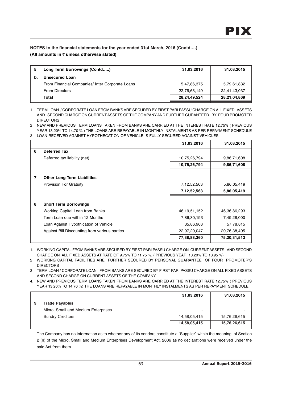| Long Term Borrowings (Contd)                    | 31.03.2016   | 31.03.2015   |
|-------------------------------------------------|--------------|--------------|
| Unsecured Loan                                  |              |              |
| From Financial Companies/ Inter Corporate Loans | 5.47,86,375  | 5,79,61,832  |
| <b>From Directors</b>                           | 22,76,63,149 | 22,41,43,037 |
| <b>Total</b>                                    | 28,24,49,524 | 28,21,04,869 |
|                                                 |              |              |

1 TERM LOAN / CORPORATE LOAN FROM BANKS ARE SECURED BY FIRST PARI PASSU CHARGE ON ALL FIXED ASSETS AND SECOND CHARGE ON CURRENT ASSETS OF THE COMPANY AND FURTHER GURANTEED BY FOUR PROMOTER DIRECTORS

2 NEW AND PREVIOUS TERM LOANS TAKEN FROM BANKS ARE CARRIED AT THE INTEREST RATE 12.75% ( PREVIOUS YEAR 13.20% TO 14.70 % ) THE LOANS ARE REPAYABLE IN MONTHLY INSTALMENTS AS PER REPAYMENT SCHEDULE 3 LOAN RECEIVED AGAINST HYPOTHECATION OF VEHICLE IS FULLY SECURED AGAINST VEHICLES.

|                                               | 31.03.2016      | 31.03.2015   |
|-----------------------------------------------|-----------------|--------------|
| 6<br><b>Deferred Tax</b>                      |                 |              |
| Deferred tax liability (net)                  | 10,75,26,794    | 9,86,71,608  |
|                                               | 10,75,26,794    | 9,86,71,608  |
|                                               |                 |              |
| <b>Other Long Term Liabilities</b><br>7       |                 |              |
| <b>Provision For Gratuity</b>                 | 7,12,52,563     | 5,86,05,419  |
|                                               | 7,12,52,563     | 5,86,05,419  |
|                                               |                 |              |
| 8<br><b>Short Term Borrowings</b>             |                 |              |
| Working Capital Loan from Banks               | 46, 19, 51, 152 | 46,36,86,293 |
| Term Loan due within 12 Months                | 7,86,30,193     | 7,49,28,000  |
| Loan Against Hypothication of Vehicle         | 35,86,968       | 57,78,815    |
| Against Bill Discounting from various parties | 22,97,20,047    | 20,76,38,405 |
|                                               | 77,38,88,360    | 75,20,31,513 |

1. WORKING CAPITAL FROM BANKS ARE SECURED BY FIRST PARI PASSU CHARGE ON CURRENT ASSETS AND SECOND CHARGE ON ALL FIXED ASSETS AT RATE OF 9.75% TO 11.75 %. ( PREVIOUS YEAR 10.20% TO 13.95 %)

2 WORKING CAPITAL FACILITIES ARE FURTHER SECURED BY PERSONAL GUARANTEE OF FOUR PROMOTER'S DIRECTORS

3 TERM LOAN / CORPORATE LOAN FROM BANKS ARE SECURED BY FIRST PARI PASSU CHARGE ON ALL FIXED ASSETS AND SECOND CHARGE ON CURRENT ASSETS OF THE COMPANY

4. NEW AND PREVIOUS TERM LOANS TAKEN FROM BANKS ARE CARRIED AT THE INTEREST RATE 12.75% ( PREVIOUS YEAR 13.20% TO 14.70 %) THE LOANS ARE REPAYABLE IN MONTHLY INSTALMENTS AS PER REPAYMENT SCHEDULE

|   |                                     | 31.03.2016               | 31.03.2015   |
|---|-------------------------------------|--------------------------|--------------|
| 9 | <b>Trade Payables</b>               |                          |              |
|   | Micro, Small and Medium Enterprises | $\overline{\phantom{0}}$ |              |
|   | <b>Sundry Creditors</b>             | 14,58,05,415             | 15,76,26,615 |
|   |                                     | 14,58,05,415             | 15,76,26,615 |

The Company has no information as to whether any of its vendors constitute a "Supplier" within the meaning of Section 2 (n) of the Micro, Small and Medium Enterprises Development Act, 2006 as no declarations were received under the said Act from them.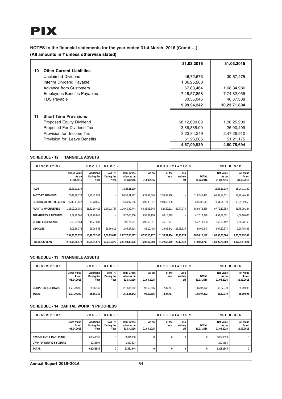**NOTES to the financial statements for the year ended 31st March, 2016 (Contd….)**

# **(All amounts in** ` **unless otherwise stated)**

| 31.03.2016   | 31.03.2015   |
|--------------|--------------|
|              |              |
| 46,72,673    | 39,67,475    |
| 1,36,25,200  |              |
| 67,83,464    | 1,68,34,936  |
| 7,18,57,858  | 7,74,82,055  |
| 30,55,046    | 40,87,338    |
| 9,99,94,242  | 10,23,71,804 |
|              |              |
| 68,12,600.00 | 1,36,25,200  |
| 13,86,885.00 | 26,00,409    |
| 3,23,84,249  | 2,47,28,910  |
| 61,26,205    | 51,21,175    |
| 4,67,09,939  | 4,60,75,694  |
|              |              |

# **SCHEDULE - 12 TANGIBLE ASSETS**

| <b>DESCRIPTION</b>               | GROSS<br>BLOCK                            |                                        |                                 | <b>DEPRICIATION</b>                             |                     |                 |                        | <b>BLOCK</b><br><b>NET</b> |                                         |                                         |
|----------------------------------|-------------------------------------------|----------------------------------------|---------------------------------|-------------------------------------------------|---------------------|-----------------|------------------------|----------------------------|-----------------------------------------|-----------------------------------------|
|                                  | <b>Gross Value</b><br>As on<br>01.04.2015 | <b>Additions</b><br>During the<br>Year | Sold/Trf.<br>During the<br>Year | <b>Total Gross</b><br>Value as on<br>31.03.2016 | As on<br>01.04.2015 | For the<br>Year | Less<br>Written<br>off | <b>TOTAL</b><br>31.03.2016 | <b>Net Value</b><br>As on<br>31.03.2016 | <b>Net Value</b><br>As on<br>31.03.2015 |
| <b>PLOT</b>                      | 15.26.11.139                              |                                        |                                 | 15,26,11,139                                    |                     |                 |                        |                            | 15,26,11,139                            | 15,26,11,139                            |
| <b>FACTORY PREMISES</b>          | 76,62,89,073                              | 3,93,42,089                            |                                 | 80,56,31,162                                    | 9,33,42,576         | 2.58.99.916     |                        | 11,92,42,492               | 68,63,88,671                            | 67,29,46,497                            |
| <b>ELECTRICAL INSTALLATION</b>   | 15,86,18,442                              | 73,78,655                              |                                 | 16,59,97,096                                    | 4,90,35,587         | 2,04,66,930     |                        | 6,95,02,517                | 9,64,94,579                             | 10,95,82,855                            |
| <b>PLANT &amp; MACHINERIES</b>   | 1,26,09,06,080                            | 11,82,16,422                           | 1,30,32,757                     | 1,36,60,89,744                                  | 64,33,96,845        | 5,24,52,611     | 69,77,070              | 68,88,72,386               | 67,72,17,358                            | 61,75,09,234                            |
| <b>FURNITURES &amp; FIXTURES</b> | 7,57,22,105                               | 1,19,78,845                            |                                 | 8,77,00,950                                     | 3,51,02,100         | 66,16,299       |                        | 4, 17, 18, 399             | 4,59,82,551                             | 4,06,20,006                             |
| <b>OFFICE EQUIPMENTS</b>         | 6,52,99,964                               | 48,77,537                              |                                 | 7,01,77,501                                     | 4,96,66,201         | 46,12,807       |                        | 5,42,79,008                | 1,58,98,492                             | 1,56,33,763                             |
| <b>VEHICLES</b>                  | 3,05,86,273                               | 29,08,553                              | 39,66,912                       | 2,95,27,914                                     | 85,10,408           | 29,88,842       | 26,98,910              | 88,00,340                  | 2,07,27,574                             | 2,20,75,865                             |
|                                  | 2,51,00,33,075                            | 18,47,02,100                           | 1,69,99,669                     | 2,67,77,35,507                                  | 87,90,53,717        | 11,30,37,404    | 96,75,979              | 98,24,15,142               | 1,69,53,20,364                          | 1,63,09,79,359                          |
| <b>PREVIOUS YEAR</b>             | 2,13,98,65,472                            | 38,04,81,976                           | 1,03,14,372                     | 2,51,00,33,076                                  | 76,97,17,650        | 11,22,53,909    | 29,17,842              | 87,90,53,717               | 1,63,09,79,359                          | 1,37,01,47,821                          |

# **SCHEDULE - 13 INTANGIBLE ASSETS**

| <b>DESCRIPTION</b>       | GROSS BLOCK                               |                                        |                                 | <b>DEPRICIATION</b>                             |                     |                 |                        | <b>NET BLOCK</b>           |                                         |                                         |
|--------------------------|-------------------------------------------|----------------------------------------|---------------------------------|-------------------------------------------------|---------------------|-----------------|------------------------|----------------------------|-----------------------------------------|-----------------------------------------|
|                          | <b>Gross Value</b><br>As on<br>01.04.2015 | <b>Additions</b><br>During the<br>Year | Sold/Trf.<br>During the<br>Year | <b>Total Gross</b><br>Value as on<br>31.03.2016 | As on<br>01.04.2015 | For the<br>Year | Less<br>Written<br>off | <b>TOTAL</b><br>31.03.2016 | <b>Net Value</b><br>As on<br>31.03.2016 | <b>Net Value</b><br>As on<br>31.03.2015 |
| <b>COMPUTER SOFTWARE</b> | 1.77.79.202                               | 35.56.140                              |                                 | 2,13,35,342                                     | 92.69.605           | 72.37.767       |                        | 1,65,07,372                | 48.27.970                               | 85,09,598                               |
| <b>TOTAL</b>             | 1,77,79,202                               | 35,56,140                              |                                 | 2,13,35,342                                     | 92.69.605           | 72,37,767       |                        | 1,65,07,372                | 48,27,970                               | 85,09,598                               |

# **SCHEDULE - 14 CAPITAL WORK IN PROGRESS**

| <b>DESCRIPTION</b>                                                       | GROSS BLOCK                               |                                        |                                 | <b>DEPRICIATION</b>                             |                     |                 | <b>NET BLOCK</b>       |                            |                                  |                                  |
|--------------------------------------------------------------------------|-------------------------------------------|----------------------------------------|---------------------------------|-------------------------------------------------|---------------------|-----------------|------------------------|----------------------------|----------------------------------|----------------------------------|
|                                                                          | <b>Gross Value</b><br>As on<br>01.04.2015 | <b>Additions</b><br>During the<br>Year | Sold/Trf.<br>During the<br>Year | <b>Total Gross</b><br>Value as on<br>31.03.2016 | As on<br>01.04.2015 | For the<br>Year | Less<br>Written<br>off | <b>TOTAL</b><br>31.03.2016 | Net Value<br>As on<br>31.03.2016 | Net Value<br>As on<br>31.03.2015 |
| <b>CWIP-PLANT &amp; MACHINARY</b><br><b>CWIP-FURNITURE &amp; FIXTURE</b> |                                           | 60049050<br>2033894                    |                                 | 60049050<br>2033894                             |                     | 0               | 0                      | $\Omega$                   | 60049050<br>2033894              | $\mathbf 0$                      |
| <b>TOTAL</b>                                                             |                                           | 62082944                               |                                 | 62082944                                        |                     | 0               |                        | 0                          | 62082944                         | 0                                |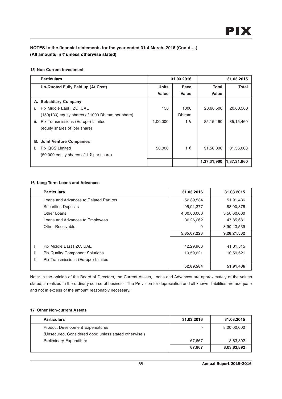## **15 Non Current Investment**

|     | <b>Particulars</b>                                |              | 31.03.2016    | 31.03.2015   |             |  |
|-----|---------------------------------------------------|--------------|---------------|--------------|-------------|--|
|     | Un-Quoted Fully Paid up (At Cost)                 | <b>Units</b> | Face          | <b>Total</b> | Total       |  |
|     |                                                   | Value        | Value         | Value        |             |  |
|     | A. Subsidiary Company                             |              |               |              |             |  |
|     | Pix Middle East FZC, UAE                          | 150          | 1000          | 20,60,500    | 20,60,500   |  |
|     | (150(130) equity shares of 1000 Dhiram per share) |              | <b>Dhiram</b> |              |             |  |
| ii. | Pix Transmissions (Europe) Limited                | 1,00,000     | 1€            | 85,15,460    | 85,15,460   |  |
|     | (equity shares of per share)                      |              |               |              |             |  |
|     |                                                   |              |               |              |             |  |
|     | <b>B. Joint Venture Companies</b>                 |              |               |              |             |  |
|     | Pix QCS Limited                                   | 50,000       | 1€            | 31,56,000    | 31,56,000   |  |
|     | (50,000 equity shares of 1 € per share)           |              |               |              |             |  |
|     |                                                   |              |               | 1,37,31,960  | 1,37,31,960 |  |

## **16 Long Term Loans and Advances**

|              | <b>Particulars</b>                     | 31.03.2016  | 31.03.2015  |
|--------------|----------------------------------------|-------------|-------------|
|              | Loans and Advances to Related Partires | 52,89,584   | 51,91,436   |
|              | <b>Securities Deposits</b>             | 95,91,377   | 88,00,876   |
|              | Other Loans                            | 4,00,00,000 | 3,50,00,000 |
|              | Loans and Advances to Employees        | 36,26,262   | 47,85,681   |
|              | Other Receivable                       | 0           | 3,90,43,539 |
|              |                                        | 5,85,07,223 | 9,28,21,532 |
|              |                                        |             |             |
|              | Pix Middle East FZC, UAE               | 42,29,963   | 41,31,815   |
| $\mathbf{H}$ | <b>Pix Quality Component Solutions</b> | 10,59,621   | 10,59,621   |
| III          | Pix Transmissions (Europe) Limited     |             |             |
|              |                                        | 52,89,584   | 51,91,436   |

Note: In the opinion of the Board of Directors, the Current Assets, Loans and Advances are approximately of the values stated, if realized in the ordinary course of business. The Provision for depreciation and all known liabilities are adequate and not in excess of the amount reasonably necessary.

## **17 Other Non-current Assets**

| <b>Particulars</b>                                   | 31.03.2016 | 31.03.2015  |
|------------------------------------------------------|------------|-------------|
| <b>Product Development Expenditures</b>              |            | 8,00,00,000 |
| (Unsecured, Considered good unless stated otherwise) |            |             |
| <b>Preliminary Expenditure</b>                       | 67.667     | 3,83,892    |
|                                                      | 67,667     | 8,03,83,892 |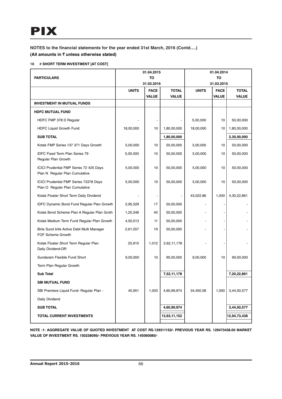## **18 # SHORT TERM INVESTMENT [AT COST]**

|                                                                           |                  | 01.04.2015                  |                              |              | 01.04.2014                  |                              |
|---------------------------------------------------------------------------|------------------|-----------------------------|------------------------------|--------------|-----------------------------|------------------------------|
| <b>PARTICULARS</b>                                                        | TO<br>31.03.2016 |                             | TO<br>31.03.2015             |              |                             |                              |
|                                                                           |                  |                             |                              |              |                             |                              |
|                                                                           | <b>UNITS</b>     | <b>FACE</b><br><b>VALUE</b> | <b>TOTAL</b><br><b>VALUE</b> | <b>UNITS</b> | <b>FACE</b><br><b>VALUE</b> | <b>TOTAL</b><br><b>VALUE</b> |
| <b>INVESTMENT IN MUTUAL FUNDS</b>                                         |                  |                             |                              |              |                             |                              |
| <b>HDFC MUTUAL FUND</b>                                                   |                  |                             |                              |              |                             |                              |
| HDFC FMP 378 D Regular                                                    |                  | $\overline{\phantom{a}}$    |                              | 5,00,000     | 10                          | 50,00,000                    |
| HDFC Liquid Growth Fund                                                   | 18,00,000        | 10                          | 1,80,00,000                  | 18,00,000    | 10                          | 1,80,00,000                  |
| <b>SUB TOTAL</b>                                                          |                  |                             | 1,80,00,000                  |              |                             | 2,30,00,000                  |
| Kotak FMP Series 137 371 Days Growth                                      | 5,00,000         | 10                          | 50,00,000                    | 5,00,000     | 10                          | 50,00,000                    |
| <b>IDFC Fixed Term Plan Series 79</b><br>Regular Plan Growth              | 5,00,000         | 10                          | 50,00,000                    | 5,00,000     | 10                          | 50,00,000                    |
| ICICI Prudential FMP Series 72 425 Days<br>Plan N Regular Plan Cumulative | 5,00,000         | 10                          | 50,00,000                    | 5,00,000     | 10                          | 50,00,000                    |
| ICICI Prudential FMP Series 73378 Days<br>Plan O Regular Plan Cumulative  | 5,00,000         | 10                          | 50,00,000                    | 5,00,000     | 10                          | 50,00,000                    |
| Kotak Floater Short Term Daily Dividend                                   |                  | $\overline{\phantom{a}}$    |                              | 43,022.86    | 1,000                       | 4,30,22,861                  |
| IDFC Dynamic Bond Fund Regular Plan Growth                                | 2,95,529         | 17                          | 50,00,000                    |              |                             |                              |
| Kotak Bond Scheme Plan A Regular Plan Groth                               | 1,25,346         | 40                          | 50,00,000                    |              |                             |                              |
| Kotak Medium Term Fund Regular Plan Growth                                | 4,50,013         | 11                          | 50,00,000                    |              |                             |                              |
| Birla Sund linfe Active Debt Multi Manager<br>FOF Scheme Growth           | 2,61,557         | 19                          | 50,00,000                    |              |                             |                              |
| Kotak Floater Short Term Regular Plan<br>Daily Dividend-DR                | 25,910           | 1,012                       | 2,62,11,178                  |              |                             |                              |
| Sundaram Flexible Fund Short                                              | 9,00,000         | 10                          | 90,00,000                    | 9,00,000     | 10                          | 90,00,000                    |
| Term Plan Regular Growth                                                  |                  |                             |                              |              |                             |                              |
| <b>Sub Total</b>                                                          |                  |                             | 7,52,11,178                  |              |                             | 7,20,22,861                  |
| <b>SBI MUTUAL FUND</b>                                                    |                  |                             |                              |              |                             |                              |
| SBI Premiere Liquid Fund- Regular Plan -                                  | 45,951           | 1,003                       | 4,60,99,974                  | 34,450.58    | 1,000                       | 3,44,50,577                  |
| Daily Dividend                                                            |                  |                             |                              |              |                             |                              |
| <b>SUB TOTAL</b>                                                          |                  |                             | 4,60,99,974                  |              |                             | 3,44,50,577                  |
| <b>TOTAL CURRENT INVESTMENTS</b>                                          |                  |                             | 13,93,11,152                 |              |                             | 12,94,73,438                 |
|                                                                           |                  |                             |                              |              |                             |                              |

**NOTE :1: AGGREGATE VALUE OF QUOTED INVESTMENT AT COST RS.139311152/- PREVIOUS YEAR RS. 129473438.00 MARKET VALUE OF INVESTMENT RS. 150238095/- PREVIOUS YEAR RS. 145060085/-**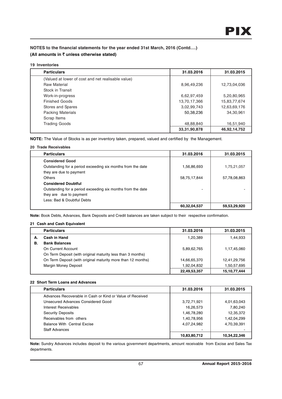### **19 Inventories**

| <b>Particulars</b>                                 | 31.03.2016      | 31.03.2015   |
|----------------------------------------------------|-----------------|--------------|
| (Valued at lower of cost and net realisable value) |                 |              |
| <b>Raw Material</b>                                | 8,96,49,236     | 12,73,04,036 |
| Stock in Transit                                   |                 |              |
| Work-in-progress                                   | 6,62,97,459     | 5,20,80,965  |
| <b>Finished Goods</b>                              | 13,70,17,366    | 15,83,77,674 |
| Stores and Spares                                  | 3,02,99,743     | 12,63,69,176 |
| Packing Materials                                  | 50,38,236       | 34,30,961    |
| Scrap Items                                        |                 |              |
| <b>Trading Goods</b>                               | 48,88,840       | 16,51,940    |
|                                                    | 33, 31, 90, 878 | 46,92,14,752 |

**NOTE:** The Value of Stocks is as per inventory taken, prepared, valued and certified by the Management.

# **20 Trade Receivables**

| <b>Particulars</b>                                          | 31.03.2016   | 31.03.2015   |
|-------------------------------------------------------------|--------------|--------------|
| <b>Considered Good</b>                                      |              |              |
| Outstanding for a period exceeding six months from the date | 1,56,86,693  | 1,75,21,057  |
| they are due to payment                                     |              |              |
| Others                                                      | 58,75,17,844 | 57,78,08,863 |
| <b>Considered Doubtful</b>                                  |              |              |
| Outstanding for a period exceeding six months from the date |              |              |
| they are due to payment                                     |              |              |
| Less: Bad & Doubtful Debts                                  |              |              |
|                                                             | 60,32,04,537 | 59,53,29,920 |

**Note:** Book Debts, Advances, Bank Deposits and Credit balances are taken subject to their respective confirmation.

## **21 Cash and Cash Equivalent**

|    | <b>Particulars</b>                                           | 31.03.2016   | 31.03.2015      |
|----|--------------------------------------------------------------|--------------|-----------------|
| А. | Cash in Hand                                                 | 1,20,389     | 1,44,933        |
| В. | <b>Bank Balances</b>                                         |              |                 |
|    | On Current Account                                           | 5,89,62,765  | 1,17,45,060     |
|    | On Term Deposit (with original maturity less than 3 months)  |              |                 |
|    | On Term Deposit (with original maturity more than 12 months) | 14,66,65,370 | 12,41,29,756    |
|    | Margin Money Deposit                                         | 1,92,04,832  | 1,50,57,695     |
|    |                                                              | 22,49,53,357 | 15, 10, 77, 444 |

# **22 Short Term Loans and Advances**

| <b>Particulars</b>                                        | 31.03.2016   | 31.03.2015   |
|-----------------------------------------------------------|--------------|--------------|
| Advances Recoverable in Cash or Kind or Value of Received |              |              |
| Unsecured Advances Considered Good                        | 3,72,71,921  | 4,01,63,043  |
| Interest Receivables                                      | 16,26,573    | 7,80,240     |
| <b>Security Deposits</b>                                  | 1,46,78,280  | 12,35,372    |
| Receivables from others                                   | 1,40,78,956  | 1,42,04,299  |
| <b>Balance With Central Excise</b>                        | 4,07,24,982  | 4,70,39,391  |
| <b>Staff Advances</b>                                     |              |              |
|                                                           | 10,83,80,712 | 10,34,22,346 |

**Note:** Sundry Advances includes deposit to the various government departments, amount receivable from Excise and Sales Tax departments.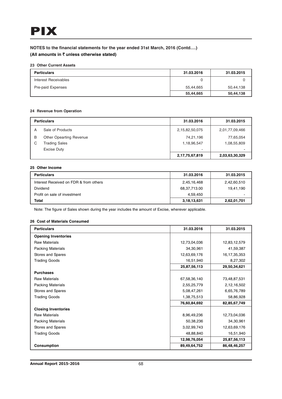## **23 Other Current Assets**

| <b>Particulars</b>   | 31.03.2016 | 31.03.2015 |
|----------------------|------------|------------|
| Interest Receivables |            |            |
| Pre-paid Expenses    | 55.44.665  | 50,44,138  |
|                      | 55,44,665  | 50,44,138  |

# **24 Revenue from Operation**

|   | <b>Particulars</b>             | 31.03.2016     | 31.03.2015     |
|---|--------------------------------|----------------|----------------|
| А | Sale of Products               | 2,15,82,50,075 | 2,01,77,09,466 |
| B | <b>Other Opearting Revenue</b> | 74,21,196      | 77,65,054      |
| C | <b>Trading Sales</b>           | 1,18,96,547    | 1,08,55,809    |
|   | <b>Excise Duty</b>             | ۰              | -              |
|   |                                | 2,17,75,67,819 | 2,03,63,30,329 |

#### **25 Other Income**

| <b>Particulars</b>                     | 31.03.2016   | 31.03.2015  |
|----------------------------------------|--------------|-------------|
| Interest Received on FDR & from others | 2,45,16,468  | 2,42,60,510 |
| Dividend                               | 68,37,713.00 | 19,41,190   |
| Profit on sale of investment           | 4.59.450     | ٠           |
| Total                                  | 3,18,13,631  | 2,62,01,701 |

Note: The figure of Sales shown during the year includes the amount of Excise, wherever applicable.

## **26 Cost of Materials Consumed**

| <b>Particulars</b>         | 31.03.2016   | 31.03.2015      |
|----------------------------|--------------|-----------------|
| <b>Opening Inventories</b> |              |                 |
| <b>Raw Materials</b>       | 12,73,04,036 | 12,83,12,579    |
| <b>Packing Materials</b>   | 34,30,961    | 41,59,387       |
| Stores and Spares          | 12,63,69,176 | 16, 17, 35, 353 |
| <b>Trading Goods</b>       | 16,51,940    | 8,27,302        |
|                            | 25,87,56,113 | 29,50,34,621    |
| <b>Purchases</b>           |              |                 |
| <b>Raw Materials</b>       | 67,58,36,140 | 73,48,87,531    |
| <b>Packing Materials</b>   | 2,55,25,779  | 2,12,16,502     |
| Stores and Spares          | 5,08,47,261  | 6,65,76,789     |
| <b>Trading Goods</b>       | 1,38,75,513  | 58,86,928       |
|                            | 76,60,84,692 | 82,85,67,749    |
| <b>Closing Inventories</b> |              |                 |
| <b>Raw Materials</b>       | 8,96,49,236  | 12,73,04,036    |
| <b>Packing Materials</b>   | 50,38,236    | 34,30,961       |
| Stores and Spares          | 3,02,99,743  | 12,63,69,176    |
| <b>Trading Goods</b>       | 48,88,840    | 16,51,940       |
|                            | 12,98,76,054 | 25,87,56,113    |
| <b>Consumption</b>         | 89,49,64,752 | 86,48,46,257    |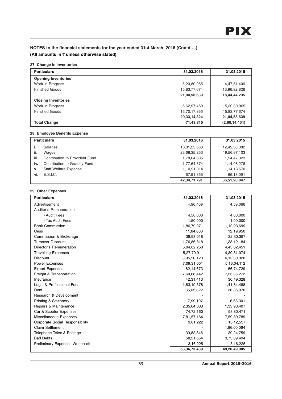## **27 Change in Inventories**

| <b>Particulars</b>         | 31.03.2016   | 31.03.2015    |
|----------------------------|--------------|---------------|
| <b>Opening Inventories</b> |              |               |
| Work-in-Progress           | 5,20,80,965  | 4,47,51,409   |
| <b>Finished Goods</b>      | 15,83,77,674 | 13,96,92,826  |
|                            | 21,04,58,639 | 18,44,44,235  |
| <b>Closing Inventories</b> |              |               |
| Work-in-Progress           | 6,62,97,459  | 5,20,80,965   |
| <b>Finished Goods</b>      | 13,70,17,366 | 15,83,77,674  |
|                            | 20,33,14,824 | 21,04,58,639  |
| <b>Total Change</b>        | 71,43,815    | (2,60,14,404) |

# **28 Employee Benefits Expense**

|      | <b>Particulars</b>             | 31.03.2016   | 31.03.2015   |
|------|--------------------------------|--------------|--------------|
|      | <b>Salaries</b>                | 13,31,23,660 | 12,45,36,382 |
| ii.  | Wages                          | 23,68,35,253 | 19,56,97,103 |
| iii. | Contribution to Provident Fund | 1,78,64,635  | 1,54,47,323  |
| iv.  | Contribution to Gratuity Fund  | 1,77,64,574  | 1,14,08,278  |
| v.   | <b>Staff Welfare Expense</b>   | 1,10,91,814  | 1,14,13,670  |
| vi.  | E.S.I.C.                       | 67,91,855    | 66,18,091    |
|      |                                | 42,34,71,791 | 36,51,20,847 |

# **29 Other Expenses**

| <b>Particulars</b>                     | 31.03.2016   | 31.03.2015   |
|----------------------------------------|--------------|--------------|
| Advertisement                          | 4,96,409     | 4,59,066     |
| Auditor's Remuneration                 |              |              |
| - Audit Fees                           | 4,50,000     | 4,00,000     |
| - Tax Audit Fees                       | 1,50,000     | 1,00,000     |
| <b>Bank Commission</b>                 | 1,86,79,071  | 1,12,93,699  |
| Cess                                   | 11,64,800    | 12,19,950    |
| Commission & Brokerage                 | 38,98,018    | 32,30,397    |
| <b>Turnover Discount</b>               | 1,76,86,818  | 1,38,12,184  |
| Director's Remuneration                | 5,04,62,250  | 4,43,62,451  |
| <b>Travelling Expenses</b>             | 5,27,70,911  | 4,30,31,074  |
| <b>Discount</b>                        | 8,05,50,120  | 6,13,30,320  |
| <b>Power Expenses</b>                  | 7,09,31,051  | 5,13,04,112  |
| <b>Export Expenses</b>                 | 82,14,673    | 56,74,729    |
| Freight & Transportation               | 7,60,68,442  | 7,23,36,272  |
| Insurance                              | 42,31,413    | 36,49,328    |
| Legal & Professional Fees              | 1,83,19,378  | 1,41,84,488  |
| Rent                                   | 85,65,322    | 36,85,970    |
| Research & Development                 |              |              |
| <b>Printing &amp; Stationery</b>       | 7,99,107     | 6,68,301     |
| Repairs & Maintenance                  | 2,35,04,383  | 1,33,93,407  |
| Car & Scooter Expenses                 | 74,72,160    | 93,80,471    |
| Miscellaneous Expenses                 | 7,81,57,164  | 7,59,89,789  |
| <b>Corporate Social Responsibility</b> | 9,81,222     | 13, 12, 537  |
| <b>Claim Settlement</b>                |              | 1,96,00,064  |
| Telephone Telex & Postage              | 39,82,848    | 39,24,759    |
| <b>Bad Debts</b>                       | 58,21,654    | 3,73,89,494  |
| Preliminary Expenses Written off       | 3,16,225     | 3,16,225     |
|                                        | 53,36,73,439 | 49,20,49,085 |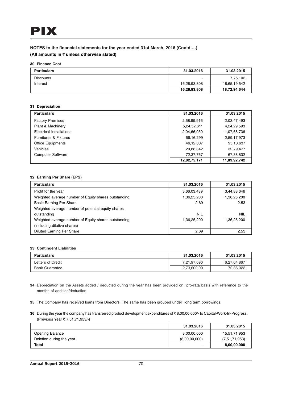#### **30 Finance Cost**

| <b>Particulars</b> | 31.03.2016   | 31.03.2015   |
|--------------------|--------------|--------------|
| <b>Discounts</b>   | -            | 7,75,102     |
| Interest           | 16,28,93,808 | 18,65,19,542 |
|                    | 16,28,93,808 | 18,72,94,644 |

## **31 Depreciation**

| <b>Particulars</b>               | 31.03.2016   | 31.03.2015   |
|----------------------------------|--------------|--------------|
| <b>Factory Premises</b>          | 2,58,99,916  | 2,03,47,493  |
| Plant & Machinery                | 5,24,52,611  | 4,24,29,593  |
| Electrical Installations         | 2,04,66,930  | 1,07,68,736  |
| <b>Furnitures &amp; Fixtures</b> | 66,16,299    | 2,59,17,973  |
| <b>Office Equipments</b>         | 46,12,807    | 95,10,637    |
| Vehicles                         | 29,88,842    | 32,79,477    |
| <b>Computer Software</b>         | 72,37,767    | 67,38,832    |
|                                  | 12,02,75,171 | 11,89,92,742 |

## **32 Earning Per Share (EPS)**

| <b>Particulars</b>                                   | 31.03.2016  | 31.03.2015  |
|------------------------------------------------------|-------------|-------------|
| Profit for the year                                  | 3,66,03,489 | 3,44,88,646 |
| Weighted average number of Equity shares outstanding | 1,36,25,200 | 1,36,25,200 |
| <b>Basic Earning Per Share</b>                       | 2.69        | 2.53        |
| Weighted average number of potential equity shares   |             |             |
| outstanding                                          | NIL         | <b>NIL</b>  |
| Weighted average number of Equity shares outstanding | 1,36,25,200 | 1,36,25,200 |
| (including dilutive shares)                          |             |             |
| <b>Diluted Earning Per Share</b>                     | 2.69        | 2.53        |

#### **33 Contingent Liabilities**

| <b>Particulars</b>    | 31.03.2016  | 31.03.2015  |
|-----------------------|-------------|-------------|
| Letters of Credit     | 7,21,97,090 | 6,27,64,867 |
| <b>Bank Guarantee</b> | 2,73,602.00 | 72,86,322   |

- **34** Depreciation on the Assets added / deducted during the year has been provided on pro-rata basis with reference to the months of addition/deduction.
- **35** The Company has received loans from Directors. The same has been grouped under long term borrowings.
- **36** During the year the company has transferred product development expenditures of ₹8.00,00.000/- to Capital-Work-In-Progress. (Previous Year ₹ 7,51,71,953/-)

|                          | 31.03.2016    | 31.03.2015    |
|--------------------------|---------------|---------------|
| Opening Balance          | 8,00,00,000   | 15,51,71,953  |
| Deletion during the year | (8,00,00,000) | (7,51,71,953) |
| Total                    | ۰             | 8,00,00,000   |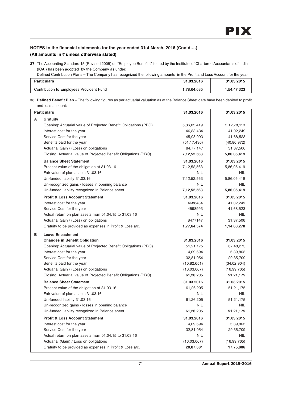# **NOTES to the financial statements for the year ended 31st March, 2016 (Contd….)**

# **(All amounts in** ` **unless otherwise stated)**

**37** The Accounting Standard 15 (Revised 2005) on "Employee Benefits" issued by the Institute of Chartered Accountants of India (ICAI) has been adopted by the Company as under:

Defined Contribution Plans – The Company has recognized the following amounts in the Profit and Loss Account for the year

| Particulars                              | 31.03.2016 | 31.03.2015  |
|------------------------------------------|------------|-------------|
| Contribution to Employees Provident Fund | .78,64,635 | 1,54,47,323 |

**38 Defined Benefit Plan** – The following figures as per actuarial valuation as at the Balance Sheet date have been debited to profit and loss account:

| <b>Particulars</b> |                                                                 | 31.03.2016     | 31.03.2015     |
|--------------------|-----------------------------------------------------------------|----------------|----------------|
| A                  | Gratuity                                                        |                |                |
|                    | Opening: Actuarial value of Projected Benefit Obligations (PBO) | 5,86,05,419    | 5, 12, 78, 113 |
|                    | Interest cost for the year                                      | 46,88,434      | 41,02,249      |
|                    | Service Cost for the year                                       | 45,98,993      | 41,68,523      |
|                    | Benefits paid for the year                                      | (51, 17, 430)  | (40,80,972)    |
|                    | Actuarial Gain / (Loss) on obligations                          | 84,77,147      | 31,37,506      |
|                    | Closing: Actuarial value of Projected Benefit Obligations (PBO) | 7, 12, 52, 563 | 5,86,05,419    |
|                    | <b>Balance Sheet Statement</b>                                  | 31.03.2016     | 31.03.2015     |
|                    | Present value of the obligation at 31.03.16                     | 7,12,52,563    | 5,86,05,419    |
|                    | Fair value of plan assets 31.03.16                              | NIL            | <b>NIL</b>     |
|                    | Un-funded liability 31.03.16                                    | 7, 12, 52, 563 | 5,86,05,419    |
|                    | Un-recognized gains / losses in opening balance                 | <b>NIL</b>     | <b>NIL</b>     |
|                    | Un-funded liability recognized in Balance sheet                 | 7, 12, 52, 563 | 5,86,05,419    |
|                    | <b>Profit &amp; Loss Account Statement</b>                      | 31.03.2016     | 31.03.2015     |
|                    | Interest cost for the year                                      | 4688434        | 41,02,249      |
|                    | Service Cost for the year                                       | 4598993        | 41,68,523      |
|                    | Actual return on plan assets from 01.04.15 to 31.03.16          | <b>NIL</b>     | <b>NIL</b>     |
|                    | Actuarial Gain / (Loss) on obligations                          | 8477147        | 31,37,506      |
|                    | Gratuity to be provided as expenses in Profit & Loss a/c.       | 1,77,64,574    | 1,14,08,278    |
| в                  | <b>Leave Encashment</b>                                         |                |                |
|                    | <b>Changes in Benefit Obligation</b>                            | 31.03.2016     | 31.03.2015     |
|                    | Opening: Actuarial value of Projected Benefit Obligations (PBO) | 51,21,175      | 67,48,273      |
|                    | Interest cost for the year                                      | 4,09,694       | 5,39,862       |
|                    | Service Cost for the year                                       | 32,81,054      | 29,35,709      |
|                    | Benefits paid for the year                                      | (10, 82, 651)  | (34, 02, 904)  |
|                    | Actuarial Gain / (Loss) on obligations                          | (16,03,067)    | (16, 99, 765)  |
|                    | Closing: Actuarial value of Projected Benefit Obligations (PBO) | 61,26,205      | 51,21,175      |
|                    | <b>Balance Sheet Statement</b>                                  | 31.03.2016     | 31.03.2015     |
|                    | Present value of the obligation at 31.03.16                     | 61,26,205      | 51,21,175      |
|                    | Fair value of plan assets 31.03.16                              | NIL            | <b>NIL</b>     |
|                    | Un-funded liability 31.03.16                                    | 61,26,205      | 51,21,175      |
|                    | Un-recognized gains / losses in opening balance                 | <b>NIL</b>     | <b>NIL</b>     |
|                    | Un-funded liability recognized in Balance sheet                 | 61,26,205      | 51,21,175      |
|                    | <b>Profit &amp; Loss Account Statement</b>                      | 31.03.2016     | 31.03.2015     |
|                    | Interest cost for the year                                      | 4,09,694       | 5,39,862       |
|                    | Service Cost for the year                                       | 32,81,054      | 29,35,709      |
|                    | Actual return on plan assets from 01.04.15 to 31.03.16          | <b>NIL</b>     | <b>NIL</b>     |
|                    | Actuarial (Gain) / Loss on obligations                          | (16,03,067)    | (16, 99, 765)  |
|                    | Gratuity to be provided as expenses in Profit & Loss a/c.       | 20,87,681      | 17,75,806      |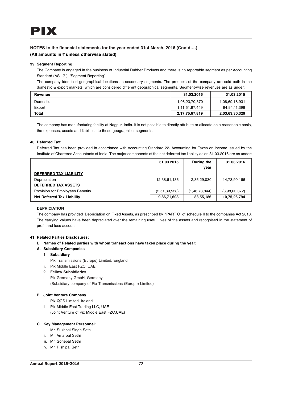## **NOTES to the financial statements for the year ended 31st March, 2016 (Contd….)**

## **(All amounts in** ` **unless otherwise stated)**

#### **39 Segment Reporting:**

The Company is engaged in the business of Industrial Rubber Products and there is no reportable segment as per Accounting Standard (AS 17 ) 'Segment Reporting'.

The company identified geographical locations as secondary segments. The products of the company are sold both in the domestic & export markets, which are considered different geographical segments. Segment-wise revenues are as under:

| Revenue      | 31.03.2016     | 31.03.2015     |
|--------------|----------------|----------------|
| Domestic     | 1,06,23,70,370 | 1,08,69,18,931 |
| Export       | 1,11,51,97,449 | 94,94,11,398   |
| <b>Total</b> | 2,17,75,67,819 | 2,03,63,30,329 |

The company has manufacturing facility at Nagpur, India. It is not possible to directly attribute or allocate on a reasonable basis, the expenses, assets and liabilities to these geographical segments.

#### **40 Deferred Tax:**

Deferred Tax has been provided in accordance with Accounting Standard 22- Accounting for Taxes on income issued by the Institute of Chartered Accountants of India. The major components of the net deferred tax liability as on 31.03.2016 are as under:

|                                         | 31.03.2015    | During the<br>vear | 31.03.2016    |
|-----------------------------------------|---------------|--------------------|---------------|
| <b>DEFERRED TAX LIABILITY</b>           |               |                    |               |
| Depreciation                            | 12,38,61,136  | 2,35,29,030        | 14,73,90,166  |
| <b>DEFERRED TAX ASSETS</b>              |               |                    |               |
| <b>Provision for Employees Benefits</b> | (2,51,89,528) | (1, 46, 73, 844)   | (3,98,63,372) |
| <b>Net Deferred Tax Liability</b>       | 9,86,71,608   | 88,55,186          | 10,75,26,794  |

#### **DEPRICIATION**

The company has provided Depriciation on Fixed Assets, as prescribed by "PART C" of schedule II to the companies Act 2013. The carrying values have been depreciated over the remaining useful lives of the assets and recognised in the statement of profit and loss account.

#### **41 Related Parties Disclosures:**

- **I. Names of Related parties with whom transactions have taken place during the year:**
- **A. Subsidiary Companies**
	- **1 Subsidiary**
	- i. Pix Transmissions (Europe) Limited, England
	- ii. Pix Middle East FZC, UAE
	- **2 Fellow Subsidiaries**
	- i. Pix Germany GmbH, Germany (Subsidiary company of Pix Transmissions (Europe) Limited)

## **B. Joint Venture Company**

- i. Pix QCS Limited, Ireland
- ii Pix Middle East Trading LLC, UAE (Joint Venture of Pix Middle East FZC,UAE)

## **C. Key Management Personnel**:

- i. Mr. Sukhpal Singh Sethi
- ii. Mr. Amarpal Sethi
- iii. Mr. Sonepal Sethi
- iv. Mr. Rishipal Sethi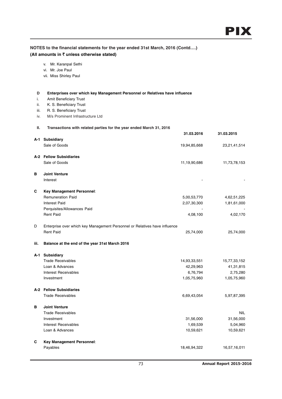## **NOTES to the financial statements for the year ended 31st March, 2016 (Contd….) (All amounts in** ` **unless otherwise stated)**

- v. Mr. Karanpal Sethi
- vi. Mr. Joe Paul
- vii. Miss Shirley Paul

#### **D Enterprises over which key Management Personnel or Relatives have influence**

- i. Amit Beneficiary Trust
- ii. K. S. Beneficiary Trust
- iii. R. S. Beneficiary Trust
- iv. M/s Prominent Infrastructure Ltd

#### **II. Transactions with related parties for the year ended March 31, 2016**

|      |                                                                            | 31.03.2016   | 31.03.2015   |
|------|----------------------------------------------------------------------------|--------------|--------------|
|      | A-1 Subsidiary                                                             |              |              |
|      | Sale of Goods                                                              | 19,94,85,668 | 23,21,41,514 |
|      | A-2 Fellow Subsidiaries                                                    |              |              |
|      | Sale of Goods                                                              | 11,19,90,686 | 11,73,78,153 |
| в    | <b>Joint Venture</b>                                                       |              |              |
|      | Interest                                                                   |              |              |
| С    | Key Management Personnel:                                                  |              |              |
|      | <b>Remuneration Paid</b>                                                   | 5,00,53,770  | 4,62,51,225  |
|      | <b>Interest Paid</b>                                                       | 2,07,30,300  | 1,81,61,000  |
|      | Perquisites/Allowances Paid                                                |              |              |
|      | <b>Rent Paid</b>                                                           | 4,08,100     | 4,02,170     |
| D    | Enterprise over which key Management Personnel or Relatives have influence |              |              |
|      | <b>Rent Paid</b>                                                           | 25,74,000    | 25,74,000    |
| iii. | Balance at the end of the year 31st March 2016                             |              |              |
| A-1  | <b>Subsidiary</b>                                                          |              |              |
|      | <b>Trade Receivables</b>                                                   | 14,93,33,551 | 15,77,33,152 |
|      | Loan & Advances                                                            | 42,29,963    | 41,31,815    |
|      | <b>Interest Receivables</b>                                                | 6,76,794     | 2,75,280     |
|      | Investment                                                                 | 1,05,75,960  | 1,05,75,960  |
|      | A-2 Fellow Subsidiaries                                                    |              |              |
|      | <b>Trade Receivables</b>                                                   | 6,69,43,054  | 5,97,87,395  |
| в    | <b>Joint Venture</b>                                                       |              |              |
|      | <b>Trade Receivables</b>                                                   |              | <b>NIL</b>   |
|      | Investment                                                                 | 31,56,000    | 31,56,000    |
|      | Interest Receivables                                                       | 1,69,539     | 5,04,960     |
|      | Loan & Advances                                                            | 10,59,621    | 10,59,621    |
| С    | Key Management Personnel:                                                  |              |              |
|      | Payables                                                                   | 18,46,94,322 | 16,57,16,011 |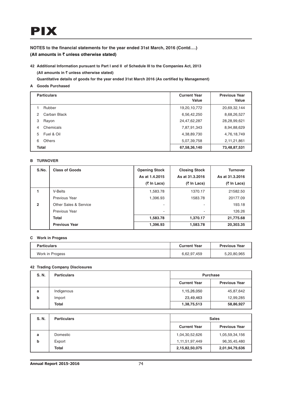# PIX

**NOTES to the financial statements for the year ended 31st March, 2016 (Contd….) (All amounts in** ` **unless otherwise stated)**

**42 Additional Information pursuant to Part I and II of Schedule III to the Companies Act, 2013 (All amounts in** ` **unless otherwise stated)**

**Quantitative details of goods for the year ended 31st March 2016 (As certified by Management)**

**A Goods Purchased**

|              | <b>Particulars</b> | <b>Current Year</b><br>Value | <b>Previous Year</b><br>Value |
|--------------|--------------------|------------------------------|-------------------------------|
|              | Rubber             | 19,20,10,772                 | 20,69,32,144                  |
| 2            | Carban Black       | 6,56,42,250                  | 8,68,26,527                   |
| 3            | Rayon              | 24,47,62,287                 | 28,28,99,621                  |
| 4            | Chemicals          | 7,87,91,343                  | 8,94,88,629                   |
| 5            | Fuel & Oil         | 4,38,89,730                  | 4,76,18,749                   |
| 6            | <b>Others</b>      | 5,07,39,758                  | 2,11,21,861                   |
| <b>Total</b> |                    | 67,58,36,140                 | 73,48,87,531                  |

## **B TURNOVER**

| S.No.          | <b>Class of Goods</b> | <b>Opening Stock</b>     | <b>Closing Stock</b> | <b>Turnover</b> |
|----------------|-----------------------|--------------------------|----------------------|-----------------|
|                |                       | As at 1.4.2015           | As at 31.3.2016      | As at 31.3.2016 |
|                |                       | (₹ In Lacs)              | (₹ In Lacs)          | (₹ In Lacs)     |
|                | V-Belts               | 1,583.78                 | 1370.17              | 21582.50        |
|                | Previous Year         | 1,396.93                 | 1583.78              | 20177.09        |
| $\overline{2}$ | Other Sales & Service | -                        |                      | 193.18          |
|                | Previous Year         | $\overline{\phantom{a}}$ |                      | 126.26          |
|                | <b>Total</b>          | 1,583.78                 | 1,370.17             | 21,775.68       |
|                | <b>Previous Year</b>  | 1,396.93                 | 1,583.78             | 20,303.35       |

#### **C Work in Progess**

| <b>Particulars</b> | <b>Current Year</b> | <b>Previous Year</b> |
|--------------------|---------------------|----------------------|
| Work in Progess    | 6,62,97,459         | 5,20,80,965          |

#### **42 Trading Company Disclosures**

| S. N. | <b>Particulars</b> | <b>Purchase</b>          |                      |
|-------|--------------------|--------------------------|----------------------|
|       |                    | <b>Current Year</b>      | <b>Previous Year</b> |
| a     | Indigenous         | 1,15,26,050              | 45,87,642            |
| b     | Import             | 23,49,463                | 12,99,285            |
|       | Total              | 58,86,927<br>1,38,75,513 |                      |

| S. N. | <b>Particulars</b> | <b>Sales</b>        |                      |
|-------|--------------------|---------------------|----------------------|
|       |                    | <b>Current Year</b> | <b>Previous Year</b> |
| a     | Domestic           | 1,04,30,52,626      | 1,05,59,34,156       |
| b     | Export             | 1, 11, 51, 97, 449  | 96,35,45,480         |
|       | Total              | 2,15,82,50,075      | 2,01,94,79,636       |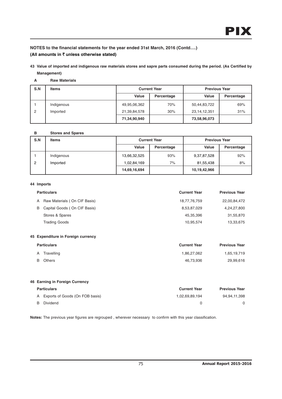## **NOTES to the financial statements for the year ended 31st March, 2016 (Contd….) (All amounts in** ` **unless otherwise stated)**

**43 Value of imported and indigenous raw materials stores and sapre parts consumed during the period. (As Certified by Management)**

## **A Raw Materials**

| S.N | <b>Items</b> | <b>Current Year</b> |            | <b>Previous Year</b> |            |
|-----|--------------|---------------------|------------|----------------------|------------|
|     |              | Value               | Percentage | Value                | Percentage |
|     | Indigenous   | 49,95,06,362        | 70%        | 50,44,83,722         | 69%        |
| 2   | Imported     | 21,39,84,578        | 30%        | 23, 14, 12, 351      | 31%        |
|     |              | 71,34,90,940        |            | 73,58,96,073         |            |

#### **B Stores and Spares**

| S.N | <b>Items</b> | <b>Current Year</b> |            | <b>Previous Year</b> |            |
|-----|--------------|---------------------|------------|----------------------|------------|
|     |              | Value               | Percentage | Value                | Percentage |
|     | Indigenous   | 13,66,32,525        | 93%        | 9,37,87,528          | 92%        |
| 2   | Imported     | 1,02,84,169         | 7%         | 81,55,438            | 8%         |
|     |              | 14,69,16,694        |            | 10,19,42,966         |            |

## **44 Imports**

|   | <b>Particulars</b>                 | <b>Current Year</b> | <b>Previous Year</b> |
|---|------------------------------------|---------------------|----------------------|
| A | Raw Materials (On CIF Basis)       | 18,77,76,759        | 22,00,84,472         |
| B | Capital Goods (On CIF Basis)       | 8,53,87,029         | 4,24,27,800          |
|   | Stores & Spares                    | 45,35,396           | 31,55,870            |
|   | <b>Trading Goods</b>               | 10,95,574           | 13,33,675            |
|   |                                    |                     |                      |
|   | 45 Expenditure in Foreign currency |                     |                      |
|   | <b>Particulars</b>                 | <b>Current Year</b> | <b>Previous Year</b> |
| Α | Travelling                         | 1,86,27,062         | 1,65,19,719          |
| B | <b>Others</b>                      | 46,73,936           | 29,99,616            |
|   |                                    |                     |                      |
|   |                                    |                     |                      |
|   | 46 Earning in Foreign Currency     |                     |                      |

| <b>Particulars</b>                | <b>Current Year</b> | <b>Previous Year</b> |
|-----------------------------------|---------------------|----------------------|
| A Exports of Goods (On FOB basis) | 1.02.69.89.194      | 94,94,11,398         |
| Dividend                          |                     |                      |

**Notes:** The previous year figures are regrouped , wherever necessary to confirm with this year classification.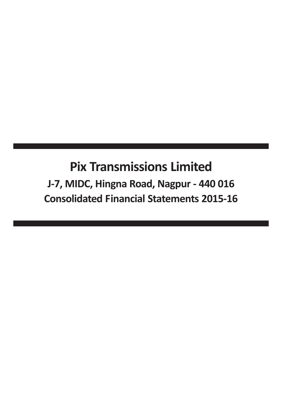# Pix Transmissions Limited J-7, MIDC, Hingna Road, Nagpur - 440 016 Consolidated Financial Statements 2015-16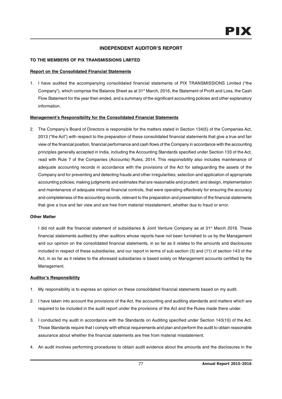## **INDEPENDENT AUDITOR'S REPORT**

## **TO THE MEMBERS OF PIX TRANSMISSIONS LIMITED**

## **Report on the Consolidated Financial Statements**

1. I have audited the accompanying consolidated financial statements of PIX TRANSMISSIONS Limited ("the Company"), which comprise the Balance Sheet as at 31<sup>st</sup> March, 2016, the Statement of Profit and Loss, the Cash Flow Statement for the year then ended, and a summary of the significant accounting policies and other explanatory information.

## **Management's Responsibility for the Consolidated Financial Statements**

2. The Company's Board of Directors is responsible for the matters stated in Section 134(5) of the Companies Act, 2013 ("the Act") with respect to the preparation of these consolidated financial statements that give a true and fair view of the financial position, financial performance and cash flows of the Company in accordance with the accounting principles generally accepted in India, including the Accounting Standards specified under Section 133 of the Act, read with Rule 7 of the Companies (Accounts) Rules, 2014. This responsibility also includes maintenance of adequate accounting records in accordance with the provisions of the Act for safeguarding the assets of the Company and for preventing and detecting frauds and other irregularities; selection and application of appropriate accounting policies; making judgments and estimates that are reasonable and prudent; and design, implementation and maintenance of adequate internal financial controls, that were operating effectively for ensuring the accuracy and completeness of the accounting records, relevant to the preparation and presentation of the financial statements that give a true and fair view and are free from material misstatement, whether due to fraud or error.

## **Other Matter**

I did not audit the financial statement of subsidiaries & Joint Venture Company as at 31<sup>st</sup> March 2016. These financial statements audited by other auditors whose reports have not been furnished to us by the Management and our opinion on the consolidated financial statements, in so far as it relates to the amounts and disclosures included in respect of these subsidiaries, and our report in terms of sub section (3) and (11) of section 143 of the Act, in so far as it relates to the aforesaid subsidiaries is based solely on Management accounts certified by the Management.

## **Auditor's Responsibility**

- 1. My responsibility is to express an opinion on these consolidated financial statements based on my audit.
- 2. I have taken into account the provisions of the Act, the accounting and auditing standards and matters which are required to be included in the audit report under the provisions of the Act and the Rules made there under.
- 3. I conducted my audit in accordance with the Standards on Auditing specified under Section 143(10) of the Act. Those Standards require that I comply with ethical requirements and plan and perform the audit to obtain reasonable assurance about whether the financial statements are free from material misstatement.
- 4. An audit involves performing procedures to obtain audit evidence about the amounts and the disclosures in the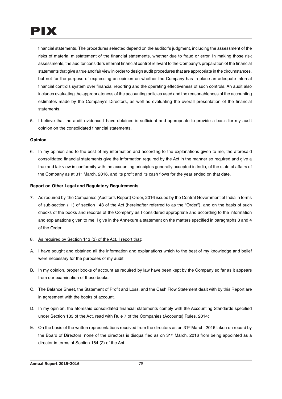financial statements. The procedures selected depend on the auditor's judgment, including the assessment of the risks of material misstatement of the financial statements, whether due to fraud or error. In making those risk assessments, the auditor considers internal financial control relevant to the Company's preparation of the financial statements that give a true and fair view in order to design audit procedures that are appropriate in the circumstances, but not for the purpose of expressing an opinion on whether the Company has in place an adequate internal financial controls system over financial reporting and the operating effectiveness of such controls. An audit also includes evaluating the appropriateness of the accounting policies used and the reasonableness of the accounting estimates made by the Company's Directors, as well as evaluating the overall presentation of the financial statements.

5. I believe that the audit evidence I have obtained is sufficient and appropriate to provide a basis for my audit opinion on the consolidated financial statements.

## **Opinion**

6. In my opinion and to the best of my information and according to the explanations given to me, the aforesaid consolidated financial statements give the information required by the Act in the manner so required and give a true and fair view in conformity with the accounting principles generally accepted in India, of the state of affairs of the Company as at  $31<sup>st</sup>$  March, 2016, and its profit and its cash flows for the year ended on that date.

## **Report on Other Legal and Regulatory Requirements**

- 7. As required by 'the Companies (Auditor's Report) Order, 2016 issued by the Central Government of India in terms of sub-section (11) of section 143 of the Act (hereinafter referred to as the "Order"), and on the basis of such checks of the books and records of the Company as I considered appropriate and according to the information and explanations given to me, I give in the Annexure a statement on the matters specified in paragraphs 3 and 4 of the Order.
- 8. As required by Section 143 (3) of the Act, I report that:
- A. I have sought and obtained all the information and explanations which to the best of my knowledge and belief were necessary for the purposes of my audit.
- B. In my opinion, proper books of account as required by law have been kept by the Company so far as it appears from our examination of those books.
- C. The Balance Sheet, the Statement of Profit and Loss, and the Cash Flow Statement dealt with by this Report are in agreement with the books of account.
- D. In my opinion, the aforesaid consolidated financial statements comply with the Accounting Standards specified under Section 133 of the Act, read with Rule 7 of the Companies (Accounts) Rules, 2014;
- E. On the basis of the written representations received from the directors as on 31<sup>st</sup> March, 2016 taken on record by the Board of Directors, none of the directors is disqualified as on 31st March, 2016 from being appointed as a director in terms of Section 164 (2) of the Act.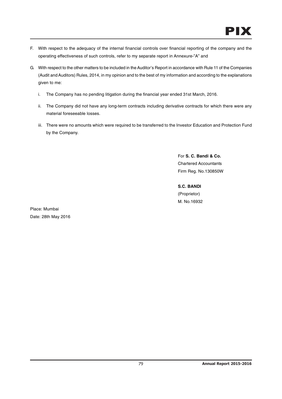- F. With respect to the adequacy of the internal financial controls over financial reporting of the company and the operating effectiveness of such controls, refer to my separate report in Annexure-"A" and
- G. With respect to the other matters to be included in the Auditor's Report in accordance with Rule 11 of the Companies (Audit and Auditors) Rules, 2014, in my opinion and to the best of my information and according to the explanations given to me:
	- i. The Company has no pending litigation during the financial year ended 31st March, 2016.
	- ii. The Company did not have any long-term contracts including derivative contracts for which there were any material foreseeable losses.
	- iii. There were no amounts which were required to be transferred to the Investor Education and Protection Fund by the Company.

For **S. C. Bandi & Co.** Chartered Accountants Firm Reg. No.130850W

**S.C. BANDI** (Proprietor) M. No.16932

Place: Mumbai Date: 28th May 2016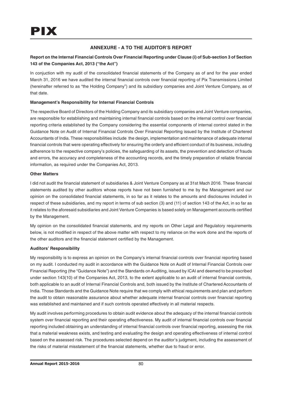## **ANNEXURE - A TO THE AUDITOR'S REPORT**

## **Report on the Internal Financial Controls Over Financial Reporting under Clause (i) of Sub-section 3 of Section 143 of the Companies Act, 2013 ("the Act")**

In conjuction with my audit of the consolidated financial statements of the Company as of and for the year ended March 31, 2016 we have audited the internal financial controls over financial reporting of Pix Transmissions Limited (hereinafter referred to as "the Holding Company") and its subsidiary companies and Joint Venture Company, as of that date.

## **Management's Responsibility for Internal Financial Controls**

The respective Board of Directors of the Holding Company and its subsidiary companies and Joint Venture companies, are responsible for establishing and maintaining internal financial controls based on the internal control over financial reporting criteria established by the Company considering the essential components of internal control stated in the Guidance Note on Audit of Internal Financial Controls Over Financial Reporting issued by the Institute of Chartered Accountants of India. These responsibilities include the design, implementation and maintenance of adequate internal financial controls that were operating effectively for ensuring the orderly and efficient conduct of its business, including adherence to the respective company's policies, the safeguarding of its assets, the prevention and detection of frauds and errors, the accuracy and completeness of the accounting records, and the timely preparation of reliable financial information, as required under the Companies Act, 2013.

## **Other Matters**

I did not audit the financial statement of subsidiaries & Joint Venture Company as at 31st Mach 2016. These financial statements audited by other auditors whose reports have not been furnished to me by the Management and our opinion on the consolidated financial statements, in so far as it relates to the amounts and disclosures included in respect of these subsidiaries, and my report in terms of sub section (3) and (11) of section 143 of the Act, in so far as it relates to the aforesaid subsidiaries and Joint Venture Companies is based solely on Management accounts certified by the Management.

My opinion on the consolidated financial statements, and my reports on Other Legal and Regulatory requirements below, is not modified in respect of the above matter with respect to my reliance on the work done and the reports of the other auditors and the financial statement certified by the Management.

## **Auditors' Responsibility**

My responsibility is to express an opinion on the Company's internal financial controls over financial reporting based on my audit. I conducted my audit in accordance with the Guidance Note on Audit of Internal Financial Controls over Financial Reporting (the "Guidance Note") and the Standards on Auditing, issued by ICAI and deemed to be prescribed under section 143(10) of the Companies Act, 2013, to the extent applicable to an audit of internal financial controls, both applicable to an audit of Internal Financial Controls and, both issued by the Institute of Chartered Accountants of India. Those Standards and the Guidance Note require that we comply with ethical requirements and plan and perform the audit to obtain reasonable assurance about whether adequate internal financial controls over financial reporting was established and maintained and if such controls operated effectively in all material respects.

My audit involves performing procedures to obtain audit evidence about the adequacy of the internal financial controls system over financial reporting and their operating effectiveness. My audit of internal financial controls over financial reporting included obtaining an understanding of internal financial controls over financial reporting, assessing the risk that a material weakness exists, and testing and evaluating the design and operating effectiveness of internal control based on the assessed risk. The procedures selected depend on the auditor's judgment, including the assessment of the risks of material misstatement of the financial statements, whether due to fraud or error.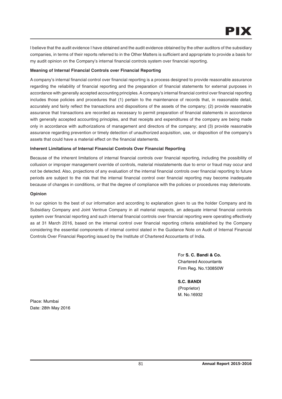I believe that the audit evidence I have obtained and the audit evidence obtained by the other auditors of the subsidiary companies, in terms of their reports referred to in the Other Matters is sufficient and appropriate to provide a basis for my audit opinion on the Company's internal financial controls system over financial reporting.

## **Meaning of Internal Financial Controls over Financial Reporting**

A company's internal financial control over financial reporting is a process designed to provide reasonable assurance regarding the reliability of financial reporting and the preparation of financial statements for external purposes in accordance with generally accepted accounting principles. A company's internal financial control over financial reporting includes those policies and procedures that (1) pertain to the maintenance of records that, in reasonable detail, accurately and fairly reflect the transactions and dispositions of the assets of the company; (2) provide reasonable assurance that transactions are recorded as necessary to permit preparation of financial statements in accordance with generally accepted accounting principles, and that receipts and expenditures of the company are being made only in accordance with authorizations of management and directors of the company; and (3) provide reasonable assurance regarding prevention or timely detection of unauthorized acquisition, use, or disposition of the company's assets that could have a material effect on the financial statements.

## **Inherent Limitations of Internal Financial Controls Over Financial Reporting**

Because of the inherent limitations of internal financial controls over financial reporting, including the possibility of collusion or improper management override of controls, material misstatements due to error or fraud may occur and not be detected. Also, projections of any evaluation of the internal financial controls over financial reporting to future periods are subject to the risk that the internal financial control over financial reporting may become inadequate because of changes in conditions, or that the degree of compliance with the policies or procedures may deteriorate.

## **Opinion**

In our opinion to the best of our information and according to explanation given to us the holder Company and its Subsidiary Company and Joint Ventrue Company in all material respects, an adequate internal financial controls system over financial reporting and such internal financial controls over financial reporting were operating effectively as at 31 March 2016, based on the internal control over financial reporting criteria established by the Company considering the essential components of internal control stated in the Guidance Note on Audit of Internal Financial Controls Over Financial Reporting issued by the Institute of Chartered Accountants of India.

> For **S. C. Bandi & Co.** Chartered Accountants Firm Reg. No.130850W

**S.C. BANDI** (Proprietor) M. No.16932

Place: Mumbai Date: 28th May 2016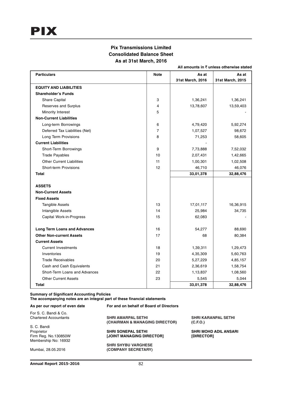## **Pix Transmissions Limited Consolidated Balance Sheet As at 31st March, 2016**

**All amounts in** ` **unless otherwise stated**

| <b>Particulars</b>                  | <b>Note</b>    | As at            | As at            |
|-------------------------------------|----------------|------------------|------------------|
|                                     |                | 31st March, 2016 | 31st March, 2015 |
| <b>EQUITY AND LIABILITIES</b>       |                |                  |                  |
| <b>Shareholder's Funds</b>          |                |                  |                  |
| Share Capital                       | 3              | 1,36,241         | 1,36,241         |
| Reserves and Surplus                | 4              | 13,78,607        | 13,59,403        |
| Minority Interest                   | 5              |                  |                  |
| <b>Non-Current Liabilities</b>      |                |                  |                  |
| Long-term Borrowings                | 6              | 4,79,420         | 5,92,274         |
| Deferred Tax Liabilities (Net)      | $\overline{7}$ | 1,07,527         | 98,672           |
| Long Term Provisions                | 8              | 71,253           | 58,605           |
| <b>Current Liabilities</b>          |                |                  |                  |
| Short-Term Borrowings               | 9              | 7,73,888         | 7,52,032         |
| <b>Trade Payables</b>               | 10             | 2,07,431         | 1,42,665         |
| <b>Other Current Liabilities</b>    | 11             | 1,00,301         | 1,02,508         |
| Short-term Provisions               | 12             | 46,710           | 46,076           |
| <b>Total</b>                        |                | 33,01,378        | 32,88,476        |
|                                     |                |                  |                  |
| <b>ASSETS</b>                       |                |                  |                  |
| <b>Non-Current Assets</b>           |                |                  |                  |
| <b>Fixed Assets</b>                 |                |                  |                  |
| <b>Tangible Assets</b>              | 13             | 17,01,117        | 16,36,915        |
| Intangible Assets                   | 14             | 25,984           | 34,735           |
| Capital Work-in-Progress            | 15             | 62,083           |                  |
| <b>Long Term Loans and Advances</b> | 16             | 54,277           | 88,690           |
| <b>Other Non-current Assets</b>     | 17             | 68               | 80,384           |
| <b>Current Assets</b>               |                |                  |                  |
| <b>Current Investments</b>          | 18             | 1,39,311         | 1,29,473         |
| Inventories                         | 19             | 4,35,309         | 5,60,763         |
| <b>Trade Receivables</b>            | 20             | 5,27,229         | 4,85,157         |
| Cash and Cash Equivalents           | 21             | 2,36,619         | 1,58,754         |
| Short-Term Loans and Advances       | 22             | 1,13,837         | 1,08,560         |
| <b>Other Current Assets</b>         | 23             | 5,545            | 5,044            |
| <b>Total</b>                        |                | 33,01,378        | 32,88,476        |

**Summary of Significant Accounting Policies**

**The accompanying notes are an integral part of these financial statements**

| As per our report of even date | For and on behalf of Board of Directors |                              |
|--------------------------------|-----------------------------------------|------------------------------|
| For S. C. Bandi & Co.          |                                         |                              |
| <b>Chartered Accountants</b>   | <b>SHRI AMARPAL SETHI</b>               | <b>SHRI KARANPAL SETHI</b>   |
|                                | (CHAIRMAN & MANAGING DIRECTOR)          | (C.F.O.)                     |
| S. C. Bandi                    |                                         |                              |
| Proprietor                     | <b>SHRI SONEPAL SETHI</b>               | <b>SHRI MOHD ADIL ANSARI</b> |
| Firm Reg. No.130850W           | <b>JOINT MANAGING DIRECTORI</b>         | [DIRECTOR]                   |
| Membership No: 16932           |                                         |                              |
|                                | <b>SHRI SHYBU VARGHESE</b>              |                              |
| Mumbai, 28.05.2016             | (COMPANY SECRETARY)                     |                              |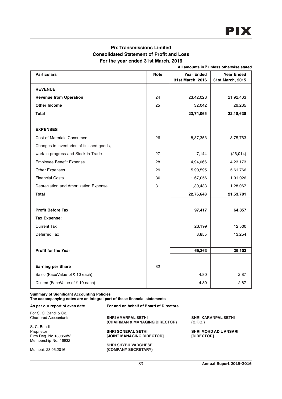## **Pix Transmissions Limited Consolidated Statement of Profit and Loss For the year ended 31st March, 2016**

**All amounts in** ` **unless otherwise stated**

| <b>Particulars</b>                        | <b>Note</b> | <b>Year Ended</b> | <b>Year Ended</b> |
|-------------------------------------------|-------------|-------------------|-------------------|
|                                           |             | 31st March, 2016  | 31st March, 2015  |
| <b>REVENUE</b>                            |             |                   |                   |
| <b>Revenue from Operation</b>             | 24          | 23,42,023         | 21,92,403         |
| <b>Other Income</b>                       | 25          | 32,042            | 26,235            |
| <b>Total</b>                              |             | 23,74,065         | 22,18,638         |
|                                           |             |                   |                   |
| <b>EXPENSES</b>                           |             |                   |                   |
| Cost of Materials Consumed                | 26          | 8,87,353          | 8,75,763          |
| Changes in inventories of finished goods, |             |                   |                   |
| work-in-progress and Stock-in-Trade       | 27          | 7,144             | (26, 014)         |
| <b>Employee Benefit Expense</b>           | 28          | 4,94,066          | 4,23,173          |
| Other Expenses                            | 29          | 5,90,595          | 5,61,766          |
| <b>Financial Costs</b>                    | 30          | 1,67,056          | 1,91,026          |
| Depreciation and Amortization Expense     | 31          | 1,30,433          | 1,28,067          |
| <b>Total</b>                              |             | 22,76,648         | 21,53,781         |
|                                           |             |                   |                   |
| <b>Profit Before Tax</b>                  |             | 97,417            | 64,857            |
| <b>Tax Expense:</b>                       |             |                   |                   |
| <b>Current Tax</b>                        |             | 23,199            | 12,500            |
| Deferred Tax                              |             | 8,855             | 13,254            |
|                                           |             |                   |                   |
| Profit for the Year                       |             | 65,363            | 39,103            |
|                                           |             |                   |                   |
| <b>Earning per Share</b>                  | 32          |                   |                   |
| Basic (FaceValue of ₹10 each)             |             | 4.80              | 2.87              |
| Diluted (FaceValue of ₹ 10 each)          |             | 4.80              | 2.87              |

## **Summary of Significant Accounting Policies**

**The accompanying notes are an integral part of these financial statements**

| As per our report of even date | For and on behalf of Board of Directors |                              |
|--------------------------------|-----------------------------------------|------------------------------|
| For S. C. Bandi & Co.          |                                         |                              |
| <b>Chartered Accountants</b>   | <b>SHRI AMARPAL SETHI</b>               | <b>SHRI KARANPAL SETHI</b>   |
|                                | (CHAIRMAN & MANAGING DIRECTOR)          | (C.F.O.)                     |
| S. C. Bandi                    |                                         |                              |
| Proprietor                     | <b>SHRI SONEPAL SETHI</b>               | <b>SHRI MOHD ADIL ANSARI</b> |
| Firm Reg. No.130850W           | [JOINT MANAGING DIRECTOR]               | [DIRECTOR]                   |
| Membership No: 16932           |                                         |                              |
|                                | <b>SHRI SHYBU VARGHESE</b>              |                              |
| Mumbai, 28.05.2016             | (COMPANY SECRETARY)                     |                              |
|                                |                                         |                              |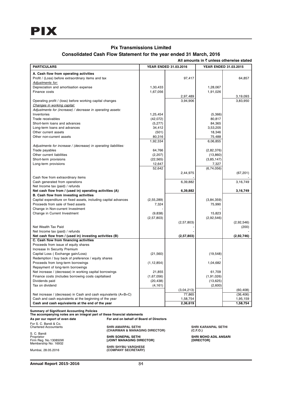## **Pix Transmissions Limited**

## **Consolidated Cash Flow Statement for the year ended 31 March, 2016**

| <b>PARTICULARS</b>                                              |                 |                       |                       |            |
|-----------------------------------------------------------------|-----------------|-----------------------|-----------------------|------------|
|                                                                 |                 | YEAR ENDED 31.03.2016 | YEAR ENDED 31.03.2015 |            |
| A. Cash flow from operating activities                          |                 |                       |                       |            |
| Profit / (Loss) before extraordinary items and tax              |                 | 97,417                |                       | 64,857     |
| <u>Adjustments for:</u>                                         |                 |                       |                       |            |
| Depreciation and amortisation expense                           | 1,30,433        |                       | 1,28,067              |            |
| Finance costs                                                   | 1,67,056        |                       | 1,91,026              |            |
|                                                                 |                 | 2,97,489              |                       | 3,19,093   |
| Operating profit / (loss) before working capital changes        |                 | 3,94,906              |                       | 3,83,950   |
| Changes in working capital:                                     |                 |                       |                       |            |
| Adjustments for (increase) / decrease in operating assets:      |                 |                       |                       |            |
| Inventories                                                     | 1,25,454        |                       | (5,366)               |            |
| Trade receivables                                               | (42,072)        |                       | 80,817                |            |
| Short-term loans and advances                                   | (5,277)         |                       | 84,365<br>3,53,205    |            |
| Long-term loans and advances<br>Other current assets            | 34,412<br>(501) |                       | 18,346                |            |
| Other non-current assets                                        | 80,316          |                       | 75,488                |            |
|                                                                 | 1,92,334        |                       | 6,06,855              |            |
| Adjustments for increase / (decrease) in operating liabilities: |                 |                       |                       |            |
| Trade payables                                                  | 64,766          |                       | (2,82,376)            |            |
| Other current liabilities                                       | (2,207)         |                       | (13,860)              |            |
| Short-term provisions                                           | (22, 565)       |                       | (3, 85, 147)          |            |
| Long-term provisions                                            | 12,647          |                       | 7,327                 |            |
|                                                                 | 52,642          |                       | (6,74,056)            |            |
|                                                                 |                 | 2,44,975              |                       | (67, 201)  |
| Cash flow from extraordinary items                              |                 |                       |                       |            |
| Cash generated from operations                                  |                 | 6,39,882              |                       | 3,16,749   |
| Net Income tax (paid) / refunds                                 |                 |                       |                       |            |
| Net cash flow from / (used in) operating activities (A)         |                 | 6,39,882              |                       | 3,16,749   |
| B. Cash flow from investing activities                          |                 |                       |                       |            |
| Capital expenditure on fixed assets, including capital advances | (2,55,289)      |                       | (3,84,359)            |            |
| Proceeds from sale of fixed assets                              | 7,324           |                       | 75,990                |            |
| Change in Non-current Investment                                |                 |                       |                       |            |
| Change in Current Investment                                    | (9,838)         |                       | 15,823                |            |
|                                                                 | (2, 57, 803)    |                       | (2,92,546)            |            |
|                                                                 |                 | (2,57,803)            |                       | (2,92,546) |
| Net Wealth Tax Paid                                             |                 |                       |                       | (200)      |
| Net Income tax (paid) / refunds                                 |                 |                       |                       |            |
| Net cash flow from / (used in) investing activities (B)         |                 | (2,57,803)            |                       | (2,92,746) |
| C. Cash flow from financing activities                          |                 |                       |                       |            |
| Proceeds from issue of equity shares                            |                 |                       |                       |            |
| Increase In Security Premium                                    |                 |                       |                       |            |
| Capital Loss (Exchange gain/Loss)                               | (21, 560)       |                       | (19, 548)             |            |
| Redemption / buy back of preference / equity shares             |                 |                       |                       |            |
| Proceeds from long-term borrowings                              | (1, 12, 854)    |                       | 1,04,682              |            |
| Repayment of long-term borrowings                               |                 |                       |                       |            |
| Net increase / (decrease) in working capital borrowings         | 21,855          |                       | 61,709                |            |
| Finance costs (includes borrowing costs capitalised             | (1,67,056)      |                       | (1, 91, 026)          |            |
| Dividends paid                                                  | (20, 438)       |                       | (13, 625)             |            |
| Tax on dividend                                                 | (4, 161)        | (3,04,213)            | (2,600)               | (60, 408)  |
| Net increase / (decrease) in Cash and cash equivalents (A+B+C)  |                 | 77,865                |                       | (36, 406)  |
| Cash and cash equivalents at the beginning of the year          |                 | 1,58,754              |                       | 1,95,159   |
| Cash and cash equivalents at the end of the year                |                 | 2,36,619              |                       | 1,58,754   |
|                                                                 |                 |                       |                       |            |

**As per our report of even date For and on behalf of Board of Directors** For S. C. Bandi & Co.

S. C. Bandi C. C. Bandi<br>Proprietor<br>Firm Reg. No. 130850W<br>Membership No: 16932

**SHRI SHYBU VARGHESE** Mumbai, 28.05.2016 **(COMPANY SECRETARY)**

Chartered Accountants **SHRI AMARPAL SETHI SHRI KARANPAL SETHI (CHAIRMAN & MANAGING DIRECTOR) (C.F.O.)**

Proprietor **SHRI SONEPAL SETHI SHRI MOHD ADIL ANSARI** Firm Reg. No.130850W **[JOINT MANAGING DIRECTOR] [DIRECTOR]**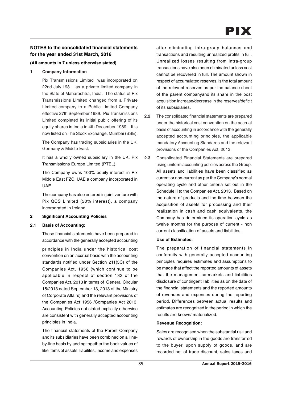## **NOTES to the consolidated financial statements for the year ended 31st March, 2016**

## **(All amounts in** ` **unless otherwise stated)**

**1 Company Information**

Pix Transmissions Limited was incorporated on 22nd July 1981 as a private limited company in the State of Maharashtra, India. The status of Pix Transmissions Limited changed from a Private Limited company to a Public Limited Company effective 27th September 1989. Pix Transmissions Limited completed its initial public offering of its equity shares in India in 4th December 1989. It is now listed on The Stock Exchange, Mumbai (BSE).

The Company has trading subsidiaries in the UK, Germany & Middle East.

It has a wholly owned subsidiary in the UK, Pix Transmissions Europe Limited (PTEL).

The Company owns 100% equity interest in Pix Middle East FZC, UAE a company incorporated in UAE.

The company has also entered in joint venture with Pix QCS Limited (50% interest), a company incorporated in Ireland.

## **2 Significant Accounting Policies**

## **2.1 Basis of Accounting:**

These financial statements have been prepared in accordance with the generally accepted accounting

principles in India under the historical cost convention on an accrual basis with the accounting standards notified under Section 211(3C) of the Companies Act, 1956 (which continue to be applicable in respect of section 133 of the Companies Act, 2013 in terms of General Circular 15/2013 dated September 13, 2013 of the Ministry of Corporate Affairs) and the relevant provisions of the Companies Act 1956 /Companies Act 2013. Accounting Policies not stated explicitly otherwise are consistent with generally accepted accounting principles in India.

The financial statements of the Parent Company and its subsidiaries have been combined on a lineby-line basis by adding together the book values of like items of assets, liabilites, income and expenses

after eliminating intra-group balances and transactions and resulting unrealized profits in full. Unrealized losses resulting from intra-group transactions have also been eliminated unless cost cannot be recovered in full. The amount shown in respect of accumulated reserves, is the total amount of the relevent reserves as per the balance sheet of the parent companyand its share in the post acquisition increase/decrease in the reserves/deficit of its subsidiaries.

**2.2** The consolidated financial statements are prepared under the historical cost convention on the accrual basis of accounting in accordance with the generally accepted accounting principles, the applicable mandatory Accounting Standards and the relevant provisions of the Companies Act, 2013.

**2.3** Consolidated Financial Statements are prepared using uniform accounting policies across the Group. All assets and liabilities have been classified as current or non-current as per the Company's normal operating cycle and other criteria set out in the Schedule II to the Companies Act, 2013. Based on the nature of products and the time between the acquisition of assets for processing and their realization in cash and cash equivalents, the Company has determined its operation cycle as twelve months for the purpose of current - non current classification of assets and liabilities.

## **Use of Estimates:**

The preparation of financial statements in conformity with generally accepted accounting principles requires estimates and assumptions to be made that affect the reported amounts of assets that the management co-markets and liabilities disclosure of contingent liabilities as on the date of the financial statements and the reported amounts of revenues and expenses during the reporting period. Differences between actual results and estimates are recognized in the period in which the results are known/ materialized.

## **Revenue Recognition:**

Sales are recognised when the substantial risk and rewards of ownership in the goods are transferred to the buyer, upon supply of goods, and are recorded net of trade discount, sales taxes and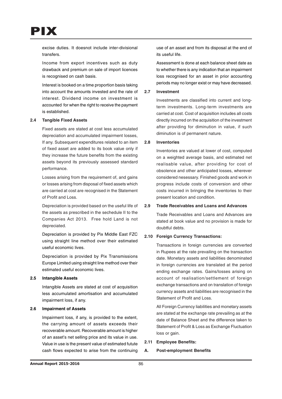

excise duties. It doesnot include inter-divisional transfers.

Income from export incentives such as duty drawback and premium on sale of import licences is recognised on cash basis.

Interest is booked on a time proportion basis taking into account the amounts invested and the rate of interest. Dividend income on investment is accounted for when the right to receive the payment is established.

#### **2.4 Tangible Fixed Assets**

Fixed assets are stated at cost less accumulated depreciation and accumulated impairment losses, If any. Subsequent expenditures related to an item of fixed asset are added to its book value only if they increase the future benefits from the existing assets beyond its previously assessed standard performance.

Losses arising from the requirement of, and gains or losses arising from disposal of fixed assets which are carried at cost are recognised in the Statement of Profit and Loss.

Depreciation is provided based on the useful life of the assets as prescribed in the sechedule II to the Companies Act 2013. Free hold Land is not depreciated.

Depreciation is provided by Pix Middle East FZC using straight line method over their estimated useful economic lives.

Depreciation is provided by Pix Transmissions Europe Limited using straight line method over their estimated useful economic lives.

#### **2.5 Intangible Assets**

Intangible Assets are stated at cost of acquisition less accumulated amortisation and accumulated impairment loss, if any.

## **2.6 Impairment of Assets**

Impairment loss, if any, is provided to the extent, the carrying amount of assets exceeds their recoverable amount. Recoverable amount is higher of an asset's net selling price and its value in use. Value in use is the present value of estimated futute cash flows expected to arise from the continuing

use of an asset and from its disposal at the end of its useful life.

Assessment is done at each balance sheet date as to whether there is any indication that an impairment loss recognised for an asset in prior accounting periods may no longer exist or may have decreased.

#### **2.7 Investment**

Investments are classified into current and longterm investments. Long-term investments are carried at cost. Cost of acquisition includes all costs directly incurred on the acquisition of the investment after providing for diminution in value, if such diminution is of permanent nature.

#### **2.8 Inventories**

Inventories are valued at lower of cost, computed on a weighted average basis, and estimated net realisable value, after providing for cost of obsolence and other anticipated losses, wherever considered nesessary. Finished goods and work in progress include costs of conversion and other costs incurred in bringing the inventories to their present location and condition.

#### **2.9 Trade Receivables and Loans and Advances**

Trade Receivables and Loans and Advances are stated at book value and no provision is made for doubtful debts.

#### **2.10 Foreign Currency Transactions:**

Transactions in foreign currencies are converted in Rupees at the rate prevailing on the transaction date. Monetary assets and liabilities denominated in foreign currencies are translated at the period ending exchange rates. Gains/losses arising on account of realisation/settlement of foreign exchange transactions and on translation of foreign currency assets and liabilities are recognised in the Statement of Profit and Loss.

All Foreign Currency liabilities and monetary assets are stated at the exchange rate prevailing as at the date of Balance Sheet and the difference taken to Statement of Profit & Loss as Exchange Fluctuation loss or gain.

#### **2.11 Employee Benefits:**

#### **A. Post-employment Benefits**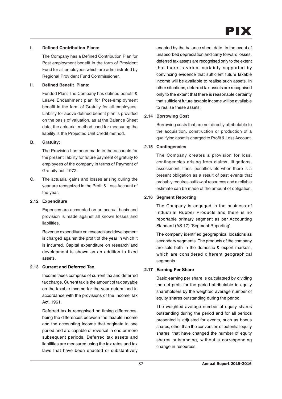# PIX

## **i. Defined Contribution Plans:**

The Company has a Defined Contribution Plan for Post employment benefit in the form of Provident Fund for all employees which are administrated by Regional Provident Fund Commissioner.

## **ii. Defined Benefit Plans:**

Funded Plan: The Company has defined benefit & Leave Encashment plan for Post-employment benefit in the form of Gratuity for all employees. Liability for above defined benefit plan is provided on the basis of valuation, as at the Balance Sheet date, the actuarial method used for measuring the liability is the Projected Unit Credit method.

## **B. Gratuity:**

The Provision has been made in the accounts for the present liability for future payment of gratuity to employees of the company in terms of Payment of Gratuity act, 1972.

**C.** The actuarial gains and losses arising during the year are recognized in the Profit & Loss Account of the year.

## **2.12 Expenditure**

Expenses are accounted on an accrual basis and provision is made against all known losses and liabilities.

Revenue expenditure on research and development is charged against the profit of the year in which it is incurred. Capital expenditure on research and development is shown as an addition to fixed assets.

## **2.13 Current and Deferred Tax**

Income taxes comprise of current tax and deferred tax charge. Current tax is the amount of tax payable on the taxable income for the year determined in accordance with the provisions of the Income Tax Act, 1961.

Deferred tax is recognised on timing differences, being the differences between the taxable income and the accounting income that originate in one period and are capable of reversal in one or more subsequent periods. Deferred tax assets and liabilities are measured using the tax rates and tax laws that have been enacted or substantively

enacted by the balance sheet date. In the event of unabsorbed depreciation and carry forward losses, deferred tax assets are recognised only to the extent that there is virtual certainty supported by convincing evidence that sufficient future taxable income will be available to realise such assets. In other situations, deferred tax assets are recognised only to the extent that there is reasonable certainty that sufficient future taxable income will be available to realise these assets.

## **2.14 Borrowing Cost**

Borrowing costs that are not directly attributable to the acquisition, construction or production of a qualifying asset is charged to Profit & Loss Account.

## **2.15 Contingencies**

The Company creates a provision for loss, contingencies arising from claims, litigations, assessment, fines, penalties etc when there is a present obligation as a result of past events that probably requires outflow of resources and a reliable estimate can be made of the amount of obligation.

## **2.16 Segment Reporting**

The Company is engaged in the business of Industrial Rubber Products and there is no reportable primary segment as per Accounting Standard (AS 17) 'Segment Reporting'.

The company identified geographical locations as secondary segments. The products of the company are sold both in the domestic & export markets, which are considered different geographical segments.

## **2.17 Earning Per Share**

Basic earning per share is calculateed by dividing the net profit for the period attributable to equity shareholders by the weighted average number of equity shares outstanding during the period.

The weighted average number of equity shares outstanding during the period and for all periods presented is adjusted for events, such as bonus shares, other than the conversion of potential equity shares, that have changed the number of equity shares outstanding, without a corresponding change in resources.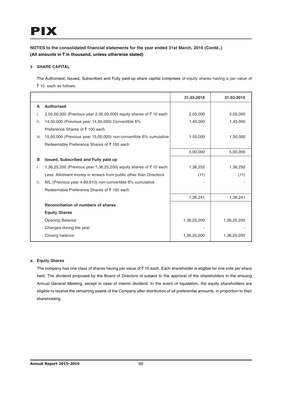## **3 SHARE CAPITAL**

The Authorised, Issued, Subscribed and Fully paid-up share capital comprises of equity shares having a par value of ` 10 each as follows:

|      |                                                                    | 31.03.2016  | 31.03.2015  |
|------|--------------------------------------------------------------------|-------------|-------------|
| A    | <b>Authorised</b>                                                  |             |             |
| i.   | 2,05,00,000 (Previous year 2,05,00,000) equity shares of ₹10 each  | 2,05,000    | 2,05,000    |
| ii.  | 14,50,000 (Previous year 14,50,000) Convertible 6%                 | 1,45,000    | 1,45,000    |
|      | Preference Shares of ₹100 each                                     |             |             |
| iii. | 15,00,000 (Previous year 15,00,000) non-convertible 6% cumulative  | 1,50,000    | 1,50,000    |
|      | Redeemable Preference Shares of ₹100 each                          |             |             |
|      |                                                                    | 5,00,000    | 5,00,000    |
| в    | Issued, Subscribed and Fully paid up                               |             |             |
| i.   | 1,36,25,200 (Previous year 1,36,25,200) equity shares of ₹10 each  | 1,36,252    | 1,36,252    |
|      | Less: Allotment money in arrears from public other than Directiors | (11)        | (11)        |
| ii.  | NIL (Previous year 4,69,610) non-convertible 6% cumulative         |             |             |
|      | Redeemable Preference Shares of ₹100 each                          |             |             |
|      |                                                                    | 1,36,241    | 1,36,241    |
|      | Reconciliation of numbers of shares                                |             |             |
|      | <b>Equity Shares</b>                                               |             |             |
|      | <b>Opening Balance</b>                                             | 1,36,25,200 | 1,36,25,200 |
|      | Changes during the year                                            |             |             |
|      | Closing balance                                                    | 1,36,25,200 | 1,36,25,200 |

## **a. Equity Shares**

The company has one class of shares having par value of  $\bar{\tau}$  10 each. Each shareholder is eligible for one vote per share held. The dividend proposed by the Board of Directors id subject to the approval of the shareholders in the ensuing Annual General Meeting, except in case of interim dividend. In the event of liquidation, the equity shareholders are eligible to receive the remaining assets of the Company after distribution of all preferential amounts, in proportion to their shareholding.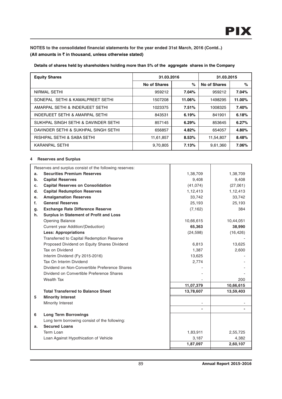**Details of shares held by shareholders holding more than 5% of the aggregate shares in the Company**

| <b>Equity Shares</b>                   |              | 31.03.2016 |                     | 31.03.2015 |
|----------------------------------------|--------------|------------|---------------------|------------|
|                                        | No of Shares | $\%$       | <b>No of Shares</b> | $\%$       |
| NIRMAL SETHI                           | 959212       | 7.04%      | 959212              | 7.04%      |
| SONEPAL SETHI & KAMALPREET SETHI       | 1507208      | 11.06%     | 1498295             | 11.00%     |
| AMARPAL SETHI & INDERJEET SETHI        | 1023375      | 7.51%      | 1008325             | 7.40%      |
| INDERJEET SETHI & AMARPAL SETHI        | 843531       | 6.19%      | 841901              | 6.18%      |
| SUKHPAL SINGH SETHI & DAVINDER SETHI   | 857145       | 6.29%      | 853645              | 6.27%      |
| DAVINDER SETHI & SUKHPAL SINGH SETHI   | 656857       | 4.82%      | 654057              | 4.80%      |
| <b>RISHIPAL SETHI &amp; SABA SETHI</b> | 11,61,857    | 8.53%      | 11,54,807           | 8.48%      |
| KARANPAL SETHI                         | 9,70,805     | 7.13%      | 9,61,360            | 7.06%      |

## **4 Reserves and Surplus**

|    | Reserves and surplus consist of the following reserves: |           |           |
|----|---------------------------------------------------------|-----------|-----------|
| a. | <b>Securities Premium Reserves</b>                      | 1,38,709  | 1,38,709  |
| b. | <b>Capital Reserves</b>                                 | 9,408     | 9,408     |
| c. | <b>Capital Reserves on Consolidation</b>                | (41, 074) | (27,061)  |
| d. | <b>Capital Redumption Reserves</b>                      | 1,12,413  | 1,12,413  |
| e. | <b>Amalgamation Reserves</b>                            | 33,742    | 33,742    |
| f. | <b>General Reserves</b>                                 | 25,193    | 25,193    |
| g. | <b>Exchange Rate Difference Reserve</b>                 | (7, 162)  | 384       |
| h. | <b>Surplus in Statement of Profit and Loss</b>          |           |           |
|    | Opening Balance                                         | 10,66,615 | 10,44,051 |
|    | Current year Addition/(Deduction)                       | 65,363    | 38,990    |
|    | <b>Less: Appropriations</b>                             | (24, 598) | (16, 426) |
|    | Transferred to Capital Redemption Reserve               |           |           |
|    | Proposed Dividend on Equity Shares Dividend             | 6,813     | 13,625    |
|    | Tax on Dividend                                         | 1,387     | 2,600     |
|    | Interim Dividend (Fy 2015-2016)                         | 13,625    |           |
|    | Tax On Interim Dividend                                 | 2,774     |           |
|    | Dividend on Non-Convertible Preference Shares           |           |           |
|    | Dividend on Convertible Preference Shares               |           |           |
|    | <b>Wealth Tax</b>                                       |           | 200       |
|    |                                                         | 11,07,379 | 10,66,615 |
|    | <b>Total Transferred to Balance Sheet</b>               | 13,78,607 | 13,59,403 |
| 5  | <b>Minority Interest</b>                                |           |           |
|    | Minority Interest                                       |           |           |
|    |                                                         |           |           |
| 6  | <b>Long Term Borrowings</b>                             |           |           |
|    | Long term borrowing consist of the following:           |           |           |
| a. | <b>Secured Loans</b>                                    |           |           |
|    | Term Loan                                               | 1,83,911  | 2,55,725  |
|    | Loan Against Hypothication of Vehicle                   | 3,187     | 4,382     |
|    |                                                         | 1,87,097  | 2,60,107  |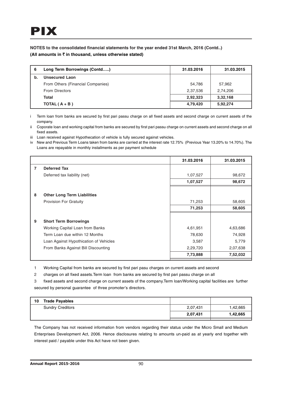| 6  | Long Term Borrowings (Contd)      | 31.03.2016 | 31.03.2015 |
|----|-----------------------------------|------------|------------|
| b. | <b>Unsecured Laon</b>             |            |            |
|    | From Others (Financial Companies) | 54,786     | 57,962     |
|    | <b>From Directors</b>             | 2,37,536   | 2,74,206   |
|    | Total                             | 2,92,323   | 3,32,168   |
|    | TOTAL $(A + B)$                   | 4,79,420   | 5,92,274   |

i Term loan from banks are secured by first pari passu charge on all fixed assets and second charge on current assets of the company.

ii Coporate loan and working capital from banks are secured by first pari passu charge on current assets and second charge on all fixed assets.

iii Loan received against Hypothecation of vehicle is fully secured against vehicles.

iv New and Previous Term Loans taken from banks are carried at the interest rate 12.75% (Previous Year 13.20% to 14.70%). The Loans are repayable in monthly installments as per payment schedule

|   |                                        | 31.03.2016 | 31.03.2015 |
|---|----------------------------------------|------------|------------|
| 7 | <b>Deferred Tax</b>                    |            |            |
|   | Deferred tax liability (net)           | 1,07,527   | 98,672     |
|   |                                        | 1,07,527   | 98,672     |
|   |                                        |            |            |
| 8 | <b>Other Long Term Liabilities</b>     |            |            |
|   | <b>Provision For Gratuity</b>          | 71,253     | 58,605     |
|   |                                        | 71,253     | 58,605     |
|   |                                        |            |            |
| 9 | <b>Short Term Borrowings</b>           |            |            |
|   | Working Capital Loan from Banks        | 4,61,951   | 4,63,686   |
|   | Term Loan due within 12 Months         | 78,630     | 74,928     |
|   | Loan Against Hypothication of Vehicles | 3,587      | 5,779      |
|   | From Banks Against Bill Discounting    | 2,29,720   | 2,07,638   |
|   |                                        | 7,73,888   | 7,52,032   |

1 Working Capital from banks are secured by first pari pasu charges on current assets and second

2 charges on all fixed assets.Term loan from banks are secured by first pari passu charge on all

3 fixed assets and second charge on current assets of the company.Term loan/Working capital facilities are further secured by personal guarantee of three promoter's directors.

| 10 | <b>Trade Payables</b>   |          |          |
|----|-------------------------|----------|----------|
|    | <b>Sundry Creditors</b> | 2,07,431 | 1,42,665 |
|    |                         | 2,07,431 | 1,42,665 |
|    |                         |          |          |

The Company has not received information from vendors regarding their status under the Micro Small and Medium Enterprises Development Act, 2006. Hence disclosures relating to amounts un-paid as at yearly end together with interest paid / payable under this Act have not been given.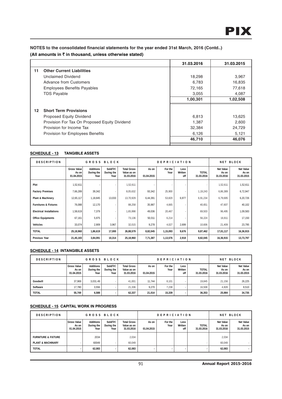|    |                                                                                                                                                                                  | 31.03.2016                                  | 31.03.2015                                   |
|----|----------------------------------------------------------------------------------------------------------------------------------------------------------------------------------|---------------------------------------------|----------------------------------------------|
| 11 | <b>Other Current Liabilities</b>                                                                                                                                                 |                                             |                                              |
|    | Unclaimed Dividend                                                                                                                                                               | 18,298                                      | 3,967                                        |
|    | Advance from Customers                                                                                                                                                           | 6,783                                       | 16,835                                       |
|    | <b>Employees Benefits Payables</b>                                                                                                                                               | 72,165                                      | 77,618                                       |
|    | <b>TDS Payable</b>                                                                                                                                                               | 3,055                                       | 4.087                                        |
|    |                                                                                                                                                                                  | 1,00,301                                    | 1,02,508                                     |
| 12 | <b>Short Term Provisions</b><br><b>Proposed Equity Dividend</b><br>Provision For Tax On Proposed Equity Dividend<br>Provision for Income Tax<br>Provision for Employees Benefits | 6,813<br>1,387<br>32,384<br>6,126<br>46,710 | 13,625<br>2,600<br>24,729<br>5,121<br>46,076 |
|    |                                                                                                                                                                                  |                                             |                                              |

## **SCHEDULE - 13 TANGIBLE ASSETS**

| <b>DESCRIPTION</b>               | GROSS<br>BLOCK                            |                                        |                                 |                                                 | <b>DEPRICIATION</b> |                 |                        | BLOCK<br>NET               |                                         |                                         |
|----------------------------------|-------------------------------------------|----------------------------------------|---------------------------------|-------------------------------------------------|---------------------|-----------------|------------------------|----------------------------|-----------------------------------------|-----------------------------------------|
|                                  | <b>Gross Value</b><br>As on<br>01.04.2015 | <b>Additions</b><br>During the<br>Year | Sold/Trf.<br>During the<br>Year | <b>Total Gross</b><br>Value as on<br>31.03.2016 | As on<br>01.04.2015 | For the<br>Year | Less<br>Written<br>off | <b>TOTAL</b><br>31.03.2016 | <b>Net Value</b><br>As on<br>31.03.2016 | <b>Net Value</b><br>As on<br>31.03.2015 |
| Plot                             | 1,52,611                                  |                                        |                                 | 1,52,611                                        |                     |                 | ٠                      |                            | 1,52,611                                | 1,52,611                                |
| <b>Factory Premises</b>          | 7,66,289                                  | 39,342                                 |                                 | 8,05,632                                        | 93,342              | 25,900          | ٠                      | 1,19,243                   | 6,86,389                                | 6,72,947                                |
| Plant & Machinery                | 12,65,117                                 | 1,18,845                               | 13,033                          | 13,70,929                                       | 6,44,391            | 53,820          | 6,977                  | 6,91,234                   | 6,79,695                                | 6,20,726                                |
| <b>Furnitures &amp; Fixtures</b> | 76,088                                    | 12,170                                 |                                 | 88,258                                          | 35,987              | 4,665           | ٠                      | 40,651                     | 47,607                                  | 40,102                                  |
| <b>Electrical Installations</b>  | 1,58,619                                  | 7,379                                  |                                 | 1,65,998                                        | 49,036              | 20,467          | ٠                      | 69,503                     | 96,495                                  | 1,09,583                                |
| <b>Office Equipments</b>         | 67,161                                    | 5,975                                  |                                 | 73,136                                          | 50,011              | 6,214           | ٠                      | 56,224                     | 16,911                                  | 17,150                                  |
| <b>Vehicles</b>                  | 33,074                                    | 2,909                                  | 3,967                           | 32,015                                          | 9,278               | 4,027           | 2,699                  | 10,606                     | 21,409                                  | 23,795                                  |
| <b>TOTAL</b>                     | 25,18,960                                 | 1,86,619                               | 17,000                          | 26,88,579                                       | 8,82,045            | 1,15,093        | 9,676                  | 9,87,462                   | 17,01,117                               | 16,36,915                               |
| <b>Previous Year</b>             | 21,45,183                                 | 3,84,091                               | 10,314                          | 25,18,960                                       | 7,71,387            | 1,13,576        | 2,918                  | 8,82,045                   | 16,36,915                               | 13,73,797                               |

## **SCHEDULE - 14 INTANGIBLE ASSETS**

| <b>DESCRIPTION</b> | GROSS BLOCK                               |                                        |                                 |                                                 | <b>DEPRICIATION</b> |                 |                        | <b>NET BLOCK</b>           |                                         |                                         |
|--------------------|-------------------------------------------|----------------------------------------|---------------------------------|-------------------------------------------------|---------------------|-----------------|------------------------|----------------------------|-----------------------------------------|-----------------------------------------|
|                    | <b>Gross Value</b><br>As on<br>01.04.2015 | <b>Additions</b><br>During the<br>Year | Sold/Trf.<br>During the<br>Year | <b>Total Gross</b><br>Value as on<br>31.03.2016 | As on<br>01.04.2015 | For the<br>Year | Less<br>Written<br>off | <b>TOTAL</b><br>31.03.2016 | <b>Net Value</b><br>As on<br>31.03.2016 | <b>Net Value</b><br>As on<br>31.03.2015 |
| Goodwill           | 37.969                                    | 3.031.49                               |                                 | 41.001                                          | 11.744              | 8.101           | ٠                      | 19.845                     | 21.156                                  | 26,225                                  |
| Software           | 17.780                                    | 3.556                                  |                                 | 21.336                                          | 9.270               | 7.238           | ٠                      | 16.508                     | 4.828                                   | 8,510                                   |
| <b>TOTAL</b>       | 55,749                                    | 6,588                                  |                                 | 62,337                                          | 21.014              | 15.339          | ۰                      | 36,353                     | 25.984                                  | 34,735                                  |

## **SCHEDULE - 15 CAPITAL WORK IN PROGRESS**

| <b>DESCRIPTION</b>             | GROSS BLOCK                               |                                        |                                 |                                                 | <b>DEPRICIATION</b> |                 |                        | <b>NET BLOCK</b>           |                                  |                                  |
|--------------------------------|-------------------------------------------|----------------------------------------|---------------------------------|-------------------------------------------------|---------------------|-----------------|------------------------|----------------------------|----------------------------------|----------------------------------|
|                                | <b>Gross Value</b><br>As on<br>01.04.2015 | <b>Additions</b><br>During the<br>Year | Sold/Trf.<br>During the<br>Year | <b>Total Gross</b><br>Value as on<br>31.03.2016 | As on<br>01.04.2015 | For the<br>Year | Less<br>Written<br>off | <b>TOTAL</b><br>31.03.2016 | Net Value<br>As on<br>31.03.2016 | Net Value<br>As on<br>31.03.2015 |
| <b>FURNITURE &amp; FIXTURE</b> |                                           | 2034                                   |                                 | 2,034                                           |                     |                 |                        |                            | 2.034                            |                                  |
| <b>PLANT &amp; MACHINARY</b>   |                                           | 60049                                  |                                 | 60.049                                          |                     |                 |                        |                            | 60.049                           | . .                              |
| <b>TOTAL</b>                   |                                           | 62.083                                 |                                 | 62.083                                          |                     |                 | ۰                      |                            | 62.083                           | . .                              |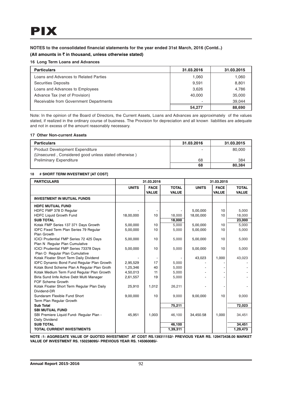# **NOTES to the consolidated financial statements for the year ended 31st March, 2016 (Contd..)**

## **(All amounts in** ` **in thousand, unless otherwise stated)**

## **16 Long Term Loans and Advances**

| <b>Particulars</b>                     | 31.03.2016 | 31.03.2015 |
|----------------------------------------|------------|------------|
| Loans and Advances to Related Parties  | 1,060      | 1,060      |
| <b>Securities Deposits</b>             | 9,591      | 8,801      |
| Loans and Advances to Employees        | 3.626      | 4.786      |
| Advance Tax (net of Provision)         | 40.000     | 35,000     |
| Receivable from Government Departments |            | 39.044     |
|                                        | 54.277     | 88,690     |

Note: In the opinion of the Board of Directors, the Current Assets, Loans and Advances are approximately of the values stated, if realized in the ordinary course of business. The Provision for depreciation and all known liabilities are adequate and not in excess of the amount reasonably necessary.

#### **17 Other Non-current Assets**

| <b>Particulars</b>                                   | 31.03.2016 | 31.03.2015 |
|------------------------------------------------------|------------|------------|
| <b>Product Development Expenditure</b>               |            | 80,000     |
| (Unsecured, Considered good unless stated otherwise) |            |            |
| <b>Preliminary Expenditure</b>                       | 68         | 384        |
|                                                      | 68         | 80.384     |

#### **18 # SHORT TERM INVESTMENT [AT COST]**

| <b>PARTICULARS</b>                                |              | 31.03.2016   |              |              | 31.03.2015   |              |
|---------------------------------------------------|--------------|--------------|--------------|--------------|--------------|--------------|
|                                                   | <b>UNITS</b> | <b>FACE</b>  | <b>TOTAL</b> | <b>UNITS</b> | <b>FACE</b>  | <b>TOTAL</b> |
|                                                   |              | <b>VALUE</b> | <b>VALUE</b> |              | <b>VALUE</b> | <b>VALUE</b> |
| <b>INVESTMENT IN MUTUAL FUNDS</b>                 |              |              |              |              |              |              |
| <b>HDFC MUTUAL FUND</b>                           |              |              |              |              |              |              |
| HDFC FMP 378 D Regular                            |              |              |              | 5,00,000     | 10           | 5,000        |
| <b>HDFC Liquid Growth Fund</b>                    | 18,00,000    | 10           | 18,000       | 18,00,000    | 10           | 18,000       |
| <b>SUB TOTAL</b>                                  |              |              | 18,000       |              |              | 23,000       |
| Kotak FMP Series 137 371 Days Growth              | 5,00,000     | 10           | 5,000        | 5,00,000     | 10           | 5,000        |
| IDFC Fixed Term Plan Series 79 Regular            | 5,00,000     | 10           | 5,000        | 5,00,000     | 10           | 5,000        |
| Plan Growth                                       |              |              |              |              |              |              |
| ICICI Prudential FMP Series 72 425 Days           | 5,00,000     | 10           | 5,000        | 5,00,000     | 10           | 5,000        |
| Plan N Regular Plan Cumulative                    |              |              |              |              |              |              |
| ICICI Prudential FMP Series 73378 Days            | 5,00,000     | 10           | 5,000        | 5,00,000     | 10           | 5,000        |
| Plan O Regular Plan Cumulative                    |              |              |              |              |              |              |
| Kotak Floater Short Term Daily Dividend           |              |              |              | 43,023       | 1,000        | 43,023       |
| <b>IDFC Dynamic Bond Fund Regular Plan Growth</b> | 2,95,529     | 17           | 5,000        |              |              |              |
| Kotak Bond Scheme Plan A Regular Plan Groth       | 1,25,346     | 40           | 5,000        |              |              |              |
| Kotak Medium Term Fund Regular Plan Growth        | 4,50,013     | 11           | 5,000        |              |              |              |
| Birla Sund linfe Active Debt Multi Manager        | 2,61,557     | 19           | 5,000        |              |              |              |
| FOF Scheme Growth                                 |              |              |              |              |              |              |
| Kotak Floater Short Term Regular Plan Daily       | 25,910       | 1,012        | 26,211       |              |              |              |
| Dividend-DR                                       |              |              |              |              |              |              |
| Sundaram Flexible Fund Short                      | 9,00,000     | 10           | 9,000        | 9,00,000     | 10           | 9,000        |
| Term Plan Regular Growth                          |              |              |              |              |              |              |
| <b>Sub Total</b>                                  |              |              | 75,211       |              |              | 72,023       |
| <b>SBI MUTUAL FUND</b>                            |              |              |              |              |              |              |
| SBI Premiere Liquid Fund- Regular Plan -          | 45,951       | 1,003        | 46,100       | 34,450.58    | 1.000        | 34,451       |
| Daily Dividend                                    |              |              |              |              |              |              |
| <b>SUB TOTAL</b>                                  |              |              | 46,100       |              |              | 34,451       |
| <b>TOTAL CURRENT INVESTMENTS</b>                  |              |              | 1,39,311     |              |              | 1,29,473     |

**NOTE :1: AGGREGATE VALUE OF QUOTED INVESTMENT AT COST RS.139311152/- PREVIOUS YEAR RS. 129473438.00 MARKET VALUE OF INVESTMENT RS. 150238095/- PREVIOUS YEAR RS. 145060085/-**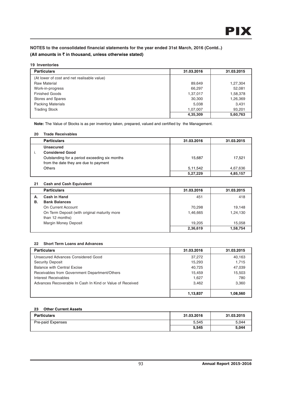#### **19 Inventories**

| <b>Particulars</b>                          | 31.03.2016 | 31.03.2015 |
|---------------------------------------------|------------|------------|
| (At lower of cost and net realisable value) |            |            |
| <b>Raw Material</b>                         | 89,649     | 1,27,304   |
| Work-in-progress                            | 66,297     | 52,081     |
| <b>Finished Goods</b>                       | 1,37,017   | 1,58,378   |
| Stores and Spares                           | 30,300     | 1,26,369   |
| <b>Packing Materials</b>                    | 5.038      | 3,431      |
| <b>Trading Stock</b>                        | 1,07,007   | 93,201     |
|                                             | 4,35,309   | 5,60,763   |

**Note:** The Value of Stocks is as per inventory taken, prepared, valued and certified by the Management.

#### **20 Trade Receivables**

| <b>Particulars</b>                                                                     | 31.03.2016 | 31.03.2015 |
|----------------------------------------------------------------------------------------|------------|------------|
| <b>Unsecured</b>                                                                       |            |            |
| <b>Considered Good</b>                                                                 |            |            |
| Outstanding for a period exceeding six months<br>from the date they are due to payment | 15,687     | 17,521     |
| Others                                                                                 | 5,11,542   | 4,67,636   |
|                                                                                        | 5,27,229   | 4,85,157   |

#### **21 Cash and Cash Equivalent**

|    | <b>Particulars</b>                           | 31.03.2016 | 31.03.2015 |
|----|----------------------------------------------|------------|------------|
| А. | Cash in Hand                                 | 451        | 418        |
| В. | <b>Bank Balances</b>                         |            |            |
|    | On Current Account                           | 70.298     | 19.148     |
|    | On Term Deposit (with original maturity more | 1,46,665   | 1,24,130   |
|    | than 12 months)                              |            |            |
|    | <b>Margin Money Deposit</b>                  | 19.205     | 15,058     |
|    |                                              | 2,36,619   | 1,58,754   |

#### **22 Short Term Loans and Advances**

| <b>Particulars</b>                                        | 31.03.2016 | 31.03.2015 |
|-----------------------------------------------------------|------------|------------|
| Unsecured Advances Considered Good                        | 37,272     | 40,163     |
| <b>Security Deposit</b>                                   | 15,293     | 1.715      |
| <b>Balance with Central Excise</b>                        | 40.725     | 47.039     |
| Receivables from Government Department/Others             | 15.459     | 15,503     |
| Interest Receivables                                      | 1.627      | 780        |
| Advances Recoverable In Cash In Kind or Value of Received | 3.462      | 3,360      |
|                                                           | 1,13,837   | 1.08.560   |

### **23 Other Current Assets**

| <b>Particulars</b> | 31.03.2016 | 31.03.2015 |
|--------------------|------------|------------|
| Pre-paid Expenses  | 5,545      | 5.044      |
|                    | 5,545      | 5,044      |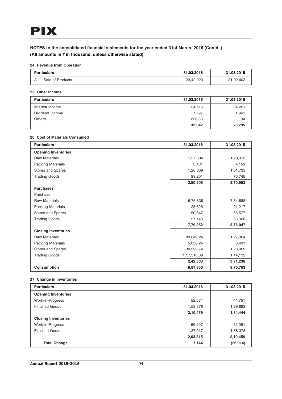## **24 Revenue from Operation**

| <b>Particulars</b> |                  | 31.03.2016 | 31.03.2015 |
|--------------------|------------------|------------|------------|
|                    | Sale of Products | 23,42,023  | 21,92,403  |

#### **25 Other Income**

| <b>Particulars</b> | 31.03.2016 | 31.03.2015 |
|--------------------|------------|------------|
| Interest Income    | 24,516     | 24,261     |
| Dividend Income    | 7.297      | 1,941      |
| Others             | 228.83     | 34         |
|                    | 32,042     | 26,235     |

#### **26 Cost of Materials Consumed**

| <b>Particulars</b>         | 31.03.2016  | 31.03.2015 |
|----------------------------|-------------|------------|
| <b>Opening Inventories</b> |             |            |
| <b>Raw Materials</b>       | 1,27,304    | 1,28,313   |
| <b>Packing Materials</b>   | 3,431       | 4,159      |
| Stores and Spares          | 1,26,369    | 1,61,735   |
| <b>Trading Goods</b>       | 93,201      | 76,745     |
|                            | 3,50,305    | 3,70,952   |
| <b>Purchases</b>           |             |            |
| Purchase                   |             |            |
| <b>Raw Materials</b>       | 6,75,836    | 7,34,888   |
| <b>Packing Materials</b>   | 25,526      | 21,217     |
| Stores and Spares          | 50,847      | 66,577     |
| <b>Trading Goods</b>       | 27,143      | 53,366     |
|                            | 7,79,352    | 8,76,047   |
| <b>Closing Inventories</b> |             |            |
| <b>Raw Materials</b>       | 89,649.24   | 1,27,304   |
| <b>Packing Materials</b>   | 5,038.24    | 3,431      |
| Stores and Spares          | 30,299.74   | 1,26,369   |
| <b>Trading Goods</b>       | 1,17,316.09 | 1,14,132   |
|                            | 2,42,303    | 3,71,236   |
| <b>Consumption</b>         | 8,87,353    | 8,75,763   |

#### **27 Change in Inventories**

| <b>Particulars</b>         | 31.03.2016 | 31.03.2015 |
|----------------------------|------------|------------|
| <b>Opening Inventories</b> |            |            |
| Work-in-Progress           | 52,081     | 44,751     |
| <b>Finished Goods</b>      | 1,58,378   | 1,39,693   |
|                            | 2,10,459   | 1,84,444   |
| <b>Closing Inventories</b> |            |            |
| Work-in-Progress           | 66,297     | 52,081     |
| <b>Finished Goods</b>      | 1,37,017   | 1,58,378   |
|                            | 2,03,315   | 2,10,459   |
| <b>Total Change</b>        | 7,144      | (26, 014)  |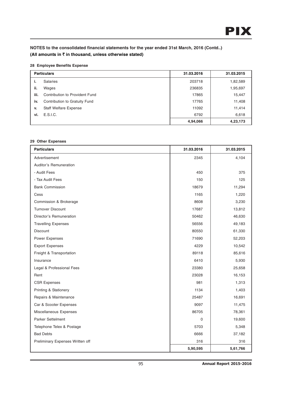## **28 Employee Benefits Expense**

|      | <b>Particulars</b>             | 31.03.2016 | 31.03.2015 |
|------|--------------------------------|------------|------------|
| ٠.   | <b>Salaries</b>                | 203718     | 1,82,589   |
| ii.  | Wages                          | 236835     | 1,95,697   |
| iii. | Contribution to Provident Fund | 17865      | 15,447     |
| iv.  | Contribution to Gratuity Fund  | 17765      | 11,408     |
| v.   | <b>Staff Welfare Expense</b>   | 11092      | 11,414     |
| vi.  | E.S.I.C.                       | 6792       | 6,618      |
|      |                                | 4,94,066   | 4,23,173   |

#### **29 Other Expenses**

| <b>Particulars</b>               | 31.03.2016 | 31.03.2015 |
|----------------------------------|------------|------------|
| Advertisement                    | 2345       | 4,104      |
| Auditor's Remuneration           |            |            |
| - Audit Fees                     | 450        | 375        |
| - Tax Audit Fees                 | 150        | 125        |
| <b>Bank Commission</b>           | 18679      | 11,294     |
| Cess                             | 1165       | 1,220      |
| Commission & Brokerage           | 8608       | 3,230      |
| <b>Turnover Discount</b>         | 17687      | 13,812     |
| Director's Remuneration          | 50462      | 46,630     |
| <b>Travelling Expenses</b>       | 56556      | 49,183     |
| <b>Discount</b>                  | 80550      | 61,330     |
| Power Expenses                   | 71690      | 52,203     |
| <b>Export Expenses</b>           | 4229       | 10,542     |
| Freight & Transportation         | 89118      | 85,616     |
| Insurance                        | 6410       | 5,930      |
| Legal & Professional Fees        | 23380      | 25,658     |
| Rent                             | 23028      | 16,153     |
| <b>CSR Expenses</b>              | 981        | 1,313      |
| Printing & Stationery            | 1134       | 1,403      |
| Repairs & Maintenance            | 25487      | 16,691     |
| Car & Scooter Expenses           | 9097       | 11,475     |
| Miscellaneous Expenses           | 86705      | 78,361     |
| <b>Parker Settelment</b>         | $\Omega$   | 19,600     |
| Telephone Telex & Postage        | 5703       | 5,348      |
| <b>Bad Debts</b>                 | 6666       | 37,182     |
| Preliminary Expenses Written off | 316        | 316        |
|                                  | 5,90,595   | 5,61,766   |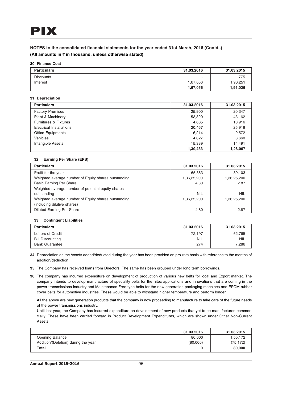## **NOTES to the consolidated financial statements for the year ended 31st March, 2016 (Contd..)**

## **(All amounts in** ` **in thousand, unless otherwise stated)**

#### **30 Finance Cost**

| <b>Particulars</b> | 31.03.2016 | 31.03.2015 |
|--------------------|------------|------------|
| <b>Discounts</b>   |            | 775        |
| Interest           | 67,056.    | 1,90,251   |
|                    | 1,67,056   | 1,91,026   |

#### **31 Depreciation**

| <b>Particulars</b>               | 31.03.2016 | 31.03.2015 |
|----------------------------------|------------|------------|
| <b>Factory Premises</b>          | 25,900     | 20,347     |
| <b>Plant &amp; Machinery</b>     | 53,820     | 43,162     |
| <b>Furnitures &amp; Fixtures</b> | 4,665      | 10,916     |
| Electrical Installations         | 20,467     | 25,918     |
| <b>Office Equipments</b>         | 6.214      | 9,572      |
| <b>Vehicles</b>                  | 4.027      | 3,660      |
| Intangible Assets                | 15,339     | 14.491     |
|                                  | 1,30,433   | 1,28,067   |

#### **32 Earning Per Share (EPS)**

| <b>Particulars</b>                                   | 31.03.2016  | 31.03.2015  |
|------------------------------------------------------|-------------|-------------|
| Profit for the year                                  | 65,363      | 39.103      |
| Weighted average number of Equity shares outstanding | 1,36,25,200 | 1,36,25,200 |
| <b>Basic Earning Per Share</b>                       | 4.80        | 2.87        |
| Weighted average number of potential equity shares   |             |             |
| outstanding                                          | <b>NIL</b>  | <b>NIL</b>  |
| Weighted average number of Equity shares outstanding | 1,36,25,200 | 1,36,25,200 |
| (including dilutive shares)                          |             |             |
| <b>Diluted Earning Per Share</b>                     | 4.80        | 2.87        |

#### **33 Contingent Liabilities**

| <b>Particulars</b>      | 31.03.2016 | 31.03.2015 |
|-------------------------|------------|------------|
| Letters of Credit       | 72.197     | 62.765     |
| <b>Bill Discounting</b> | NIL        | <b>NIL</b> |
| <b>Bank Guarantee</b>   | 274        | 7,286      |

- **34** Depreciation on the Assets added/deducted during the year has been provided on pro-rata basis with reference to the months of addition/deduction.
- **35** The Company has received loans from Directors. The same has been grouped under long term borrowings.
- **36** The company has incurred expenditure on development of production of various new belts for local and Export market. The company intends to develop manufacture of speciality belts for the hitec applications and innovations that are coming in the power transmissions industry and Maintenance Free type belts for the new generation packaging machines and EPDM rubber cover belts for automotive industries. These would be able to withstand higher temperature and perform longer.

All the above are new generation products that the company is now proceeding to manufacture to take care of the future needs of the power transmissions industry.

Until last year, the Company has incurred expenditure on development of new products that yet to be manufactured commercially. These have been carried forward in Product Development Expenditures, which are shown under Other Non-Current Assets.

|                                     | 31.03.2016 | 31.03.2015 |
|-------------------------------------|------------|------------|
| <b>Opening Balance</b>              | 80,000     | 1,55,172   |
| Addition/(Deletion) during the year | (80,000)   | (75, 172)  |
| Total                               |            | 80,000     |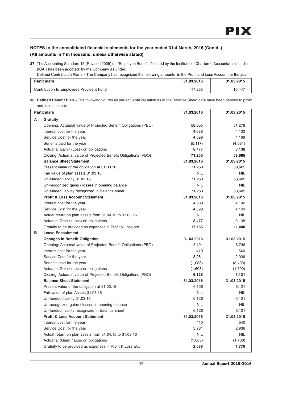**37** The Accounting Standard 15 (Revised 2005) on "Employee Benefits" issued by the Institute of Chartered Accountants of India (ICAI) has been adopted by the Company as under:

Defined Contribution Plans – The Company has recognized the following amounts in the Profit and Loss Account for the year

| <b>Particulars</b>                       | 31.03.2016 | .03.2015<br>94 |
|------------------------------------------|------------|----------------|
| Contribution to Employees Provident Fund | 17,865     | 15,447         |

**38 Defined Benefit Plan** – The following figures as per actuarial valuation as at the Balance Sheet date have been debited to profit and loss account:

| <b>Particulars</b>                                              | 31.03.2016 | 31.03.2015 |
|-----------------------------------------------------------------|------------|------------|
| A<br>Gratuity                                                   |            |            |
| Opening: Actuarial value of Projected Benefit Obligations (PBO) | 58,605     | 51,278     |
| Interest cost for the year                                      | 4,688      | 4,102      |
| Service Cost for the year                                       | 4,599      | 4,169      |
| Benefits paid for the year                                      | (5, 117)   | (4,081)    |
| Actuarial Gain / (Loss) on obligations                          | 8,477      | 3,138      |
| Closing: Actuarial value of Projected Benefit Obligations (PBO) | 71,253     | 58,605     |
| <b>Balance Sheet Statement</b>                                  | 31.03.2016 | 31.03.2015 |
| Present value of the obligation at 31.03.16                     | 71,253     | 58,605     |
| Fair value of plan assets 31.03.16                              | <b>NIL</b> | <b>NIL</b> |
| Un-funded liability 31.03.16                                    | 71.253     | 58.605     |
| Un-recognized gains / losses in opening balance                 | NIL.       | <b>NIL</b> |
| Un-funded liability recognized in Balance sheet                 | 71,253     | 58,605     |
| <b>Profit &amp; Loss Account Statement</b>                      | 31.03.2016 | 31.03.2015 |
| Interest cost for the year                                      | 4.688      | 4,102      |
| Service Cost for the year                                       | 4,599      | 4,169      |
| Actual return on plan assets from 01.04.15 to 31.03.16          | <b>NIL</b> | <b>NIL</b> |
| Actuarial Gain / (Loss) on obligations                          | 8,477      | 3,138      |
| Gratuity to be provided as expenses in Profit & Loss a/c.       | 17,765     | 11,408     |
| в<br><b>Leave Encashment</b>                                    |            |            |
| <b>Changes in Benefit Obligation</b>                            | 31.03.2016 | 31.03.2015 |
| Opening: Actuarial value of Projected Benefit Obligations (PBO) | 5.121      | 6,748      |
| Interest cost for the year                                      | 410        | 540        |
| Service Cost for the year                                       | 3,281      | 2,936      |
| Benefits paid for the year                                      | (1,083)    | (3,403)    |
| Actuarial Gain / (Loss) on obligations                          | (1,603)    | (1,700)    |
| Closing: Actuarial value of Projected Benefit Obligations (PBO) | 6,126      | 5,121      |
| <b>Balance Sheet Statement</b>                                  | 31.03.2016 | 31.03.2015 |
| Present value of the obligation at 31.03.16                     | 6.126      | 5.121      |
| Fair value of plan Assets 31.03.16                              | <b>NIL</b> | <b>NIL</b> |
| Un-funded liability 31.03.16                                    | 6,126      | 5,121      |
| Un-recognized gains / losses in opening balance                 | NIL.       | <b>NIL</b> |
| Un-funded liability recognized in Balance sheet                 | 6,126      | 5,121      |
| <b>Profit &amp; Loss Account Statement</b>                      | 31.03.2016 | 31.03.2015 |
| Interest cost for the year                                      | 410        | 540        |
| Service Cost for the year                                       | 3,281      | 2,936      |
| Actual return on plan assets from 01.04.15 to 31.03.16          | <b>NIL</b> | <b>NIL</b> |
| Actuarial (Gain) / Loss on obligations                          | (1,603)    | (1,700)    |
| Gratuity to be provided as expenses in Profit & Loss a/c.       | 2,088      | 1,776      |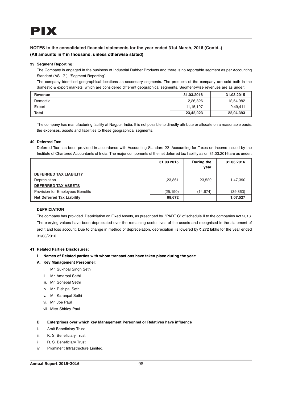#### **39 Segment Reporting:**

The Company is engaged in the business of Industrial Rubber Products and there is no reportable segment as per Accounting Standard (AS 17 ) 'Segment Reporting'.

The company identified geographical locations as secondary segments. The products of the company are sold both in the domestic & export markets, which are considered different geographical segments. Segment-wise revenues are as under:

| Revenue      | 31.03.2016  | 31.03.2015 |
|--------------|-------------|------------|
| Domestic     | 12,26,826   | 12,54,982  |
| Export       | 11, 15, 197 | 9.49.411   |
| <b>Total</b> | 23,42,023   | 22,04,393  |

The company has manufacturing facility at Nagpur, India. It is not possible to directly attribute or allocate on a reasonable basis, the expenses, assets and liabilities to these geographical segments.

#### **40 Deferred Tax:**

Deferred Tax has been provided in accordance with Accounting Standard 22- Accounting for Taxes on income issued by the Institute of Chartered Accountants of India. The major components of the net deferred tax liability as on 31.03.2016 are as under:

|                                   | 31.03.2015 | During the | 31.03.2016 |
|-----------------------------------|------------|------------|------------|
|                                   |            | vear       |            |
| <b>DEFERRED TAX LIABILITY</b>     |            |            |            |
| Depreciation                      | 1,23,861   | 23.529     | 1,47,390   |
| <b>DEFERRED TAX ASSETS</b>        |            |            |            |
| Provision for Employees Benefits  | (25, 190)  | (14, 674)  | (39, 863)  |
| <b>Net Deferred Tax Liability</b> | 98,672     |            | 1,07,527   |

#### **DEPRICIATION**

The company has provided Depriciation on Fixed Assets, as prescribed by "PART C" of schedule II to the companies Act 2013. The carrying values have been depreciated over the remaining useful lives of the assets and recognised in the statement of profit and loss account. Due to change in method of depreceiation, depreciation is lowered by  $\bar{z}$  272 lakhs for the year ended 31/03/2016

#### **41 Related Parties Disclosures:**

**i Names of Related parties with whom transactions have taken place during the year:**

#### **A. Key Management Personnel**:

- i. Mr. Sukhpal Singh Sethi
- ii. Mr. Amarpal Sethi
- iii. Mr. Sonepal Sethi
- iv. Mr. Rishipal Sethi
- v. Mr. Karanpal Sethi
- vi. Mr. Joe Paul
- vii. Miss Shirley Paul

#### **B Enterprises over which key Management Personnel or Relatives have influence**

- i. Amit Beneficiary Trust
- ii. K. S. Beneficiary Trust
- iii. R. S. Beneficiary Trust
- iv. Prominent Infrastructure Limited.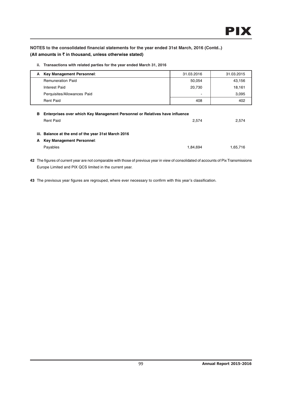**ii. Transactions with related parties for the year ended March 31, 2016**

| A Key Management Personnel: | 31.03.2016 | 31.03.2015 |
|-----------------------------|------------|------------|
| <b>Remuneration Paid</b>    | 50,054     | 43,156     |
| Interest Paid               | 20,730     | 18,161     |
| Perquisites/Allowances Paid | -          | 3,095      |
| <b>Rent Paid</b>            | 408        | 402        |
|                             |            |            |

| 2.574    |
|----------|
|          |
|          |
|          |
| 1.65.716 |
|          |

**42** The figures of current year are not comparable with those of previous year in view of consolidated of accounts of Pix Transmissions Europe Limited and PIX QCS limited in the current year.

**43** The previsous year figures are regrouped, where ever necessary to confirm with this year's classification.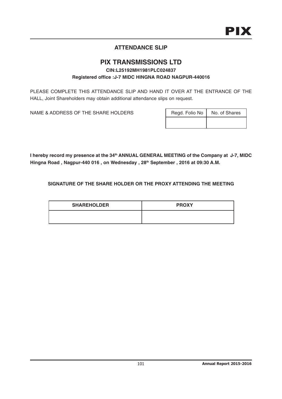# **ATTENDANCE SLIP**

## **PIX TRANSMISSIONS LTD CIN:L25192MH1981PLC024837 Registered office :J-7 MIDC HINGNA ROAD NAGPUR-440016**

PLEASE COMPLETE THIS ATTENDANCE SLIP AND HAND IT OVER AT THE ENTRANCE OF THE HALL, Joint Shareholders may obtain additional attendance slips on request.

NAME & ADDRESS OF THE SHARE HOLDERS

| Regd. Folio No | No. of Shares |
|----------------|---------------|
|                |               |

I hereby record my presence at the 34<sup>th</sup> ANNUAL GENERAL MEETING of the Company at J-7, MIDC Hingna Road, Nagpur-440 016, on Wednesday, 28<sup>th</sup> September, 2016 at 09:30 A.M.

**SIGNATURE OF THE SHARE HOLDER OR THE PROXY ATTENDING THE MEETING**

| <b>SHAREHOLDER</b> | <b>PROXY</b> |
|--------------------|--------------|
|                    |              |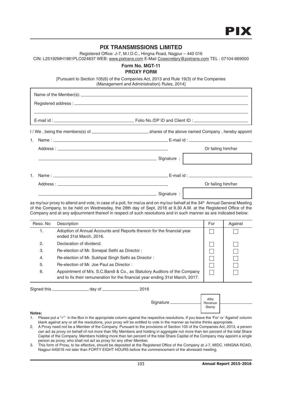## **PIX TRANSMISSIONS LIMITED**

Registered Office: J-7, M.I.D.C., Hingna Road, Nagpur – 440 016

CIN: L25192MH1981PLC024837 WEB: www.pixtrans.com E-Mail Cosecretary@pixtrans.com TEL : 07104-669000

## **Form No. MGT-11 PROXY FORM**

[Pursuant to Section 105(6) of the Companies Act, 2013 and Rule 19(3) of the Companies (Management and Administration) Rules, 2014]

|                              | Or failing him/her |
|------------------------------|--------------------|
| Signature:                   |                    |
|                              |                    |
|                              | Or failing him/her |
| <u>Signature: Signature:</u> |                    |

as my/our proxy to attend and vote, in case of a poll, for me/us and on my/our behalf at the 34<sup>th</sup> Annual General Meeting of the Company, to be held on Wednesday, the 28th day of Sept, 2016 at 9.30 A.M. at the Registered Office of the Company and at any adjournment thereof in respect of such resolutions and in such manner as are indicated below:

| Reso, No | Description                                                                                                                                                 | For | Against |
|----------|-------------------------------------------------------------------------------------------------------------------------------------------------------------|-----|---------|
|          | Adoption of Annual Accounts and Reports thereon for the financial year<br>ended 31st March, 2016.                                                           |     |         |
| 2.       | Declaration of dividend.                                                                                                                                    |     |         |
| З.       | Re-election of Mr. Sonepal Sethi as Director:                                                                                                               |     |         |
| 4.       | Re-election of Mr. Sukhpal Singh Sethi as Director:                                                                                                         |     |         |
| 5.       | Re-election of Mr. Joe Paul as Director:                                                                                                                    |     |         |
| 6.       | Appointment of M/s. S.C. Bandi & Co., as Statutory Auditors of the Company<br>and to fix their remuneration for the financial year ending 31st March, 2017. |     |         |

Signed this \_\_\_\_\_\_\_\_\_\_\_\_\_\_\_\_\_\_\_\_\_\_\_ day of \_\_\_\_\_\_\_\_\_\_\_\_\_\_\_\_\_\_\_\_\_\_ 2016

| Signature __ |  |
|--------------|--|
|              |  |

Affix Revenue Stamp

#### **Notes:**

- 1. Please put a " $\checkmark$ " in the Box in the appropriate column against the respective resolutions. If you leave the 'For' or 'Against' column blank against any or all the resolutions, your proxy will be entitled to vote in the manner as he/she thinks appropriate.
- 2. A Proxy need not be a Member of the Company. Pursuant to the provisions of Section 105 of the Companies Act, 2013, a person can act as proxy on behalf of not more than fifty Members and holding in aggregate not more than ten percent of the total Share Capital of the Company. Members holding more than ten percent of the total Share Capital of the Company may appoint a single person as proxy, who shall not act as proxy for any other Member.
- 3. This form of Proxy, to be effective, should be deposited at the Registered Office of the Company at J-7, MIDC, HINGNA ROAD, Nagpur-440016 not later than FORTY EIGHT HOURS before the commencement of the aforesaid meeting.